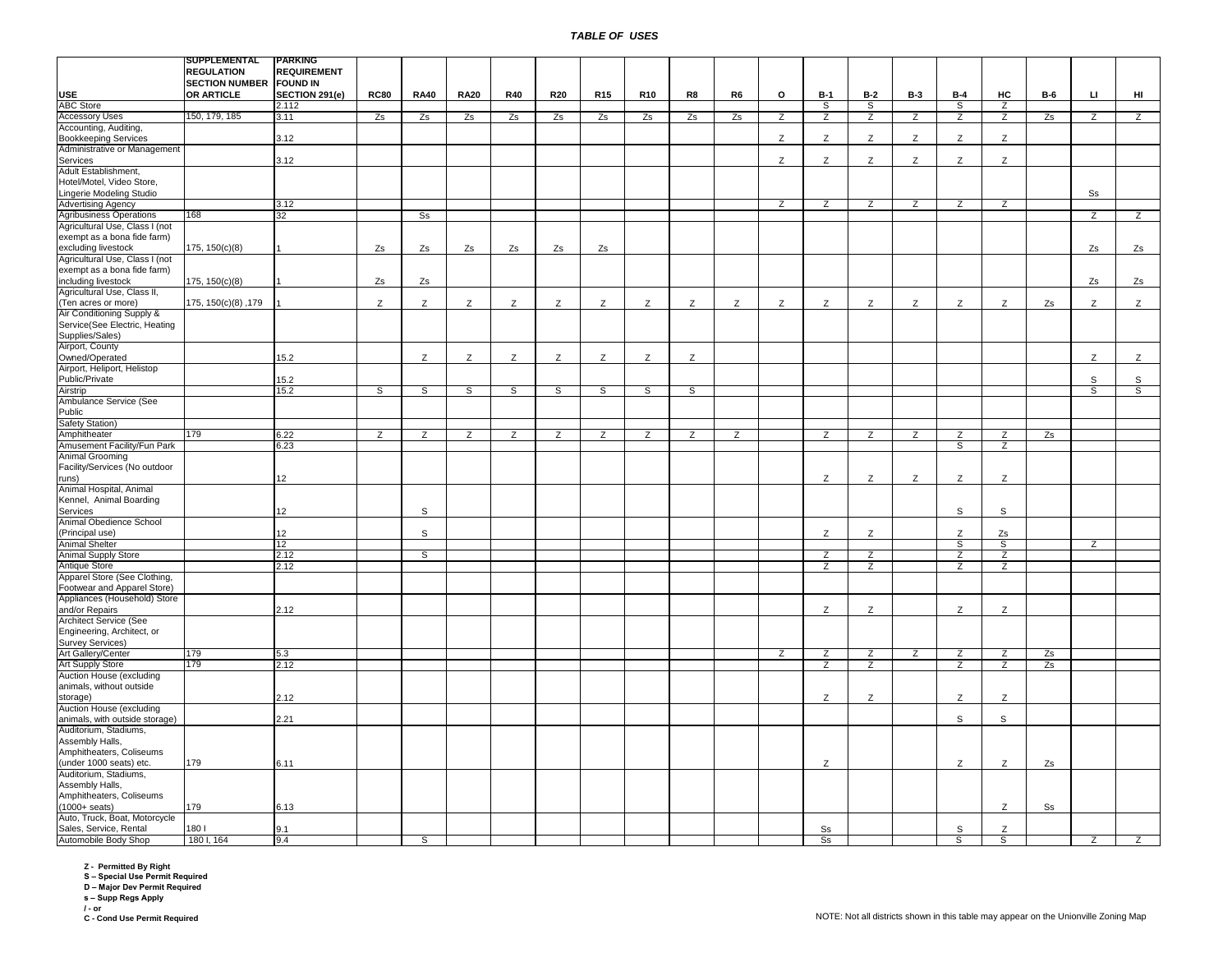|                                | <b> SUPPLEMENTAL</b>           | <b>PARKING</b>     |                |                |                |                |                |                |                 |                |                |   |                |                |                |                |                |                |    |                |
|--------------------------------|--------------------------------|--------------------|----------------|----------------|----------------|----------------|----------------|----------------|-----------------|----------------|----------------|---|----------------|----------------|----------------|----------------|----------------|----------------|----|----------------|
|                                | <b>REGULATION</b>              | <b>REQUIREMENT</b> |                |                |                |                |                |                |                 |                |                |   |                |                |                |                |                |                |    |                |
|                                |                                |                    |                |                |                |                |                |                |                 |                |                |   |                |                |                |                |                |                |    |                |
|                                | <b>SECTION NUMBER FOUND IN</b> |                    |                |                |                |                |                |                |                 |                |                |   |                |                |                |                |                |                |    |                |
| <b>USE</b>                     | <b>OR ARTICLE</b>              | SECTION 291(e)     | <b>RC80</b>    | <b>RA40</b>    | <b>RA20</b>    | <b>R40</b>     | <b>R20</b>     | <b>R15</b>     | R <sub>10</sub> | R8             | R <sub>6</sub> | o | $B-1$          | $B-2$          | <b>B-3</b>     | $B-4$          | HC             | <b>B-6</b>     | Ц  | HI             |
| <b>ABC Store</b>               |                                | 2.112              |                |                |                |                |                |                |                 |                |                |   | s,             | ड              |                | ड              | $\overline{z}$ |                |    |                |
| <b>Accessory Uses</b>          | 150, 179, 185                  | 3.11               | Zs             | Zs             | Zs             | Zs             | Zs             | Zs             | Zs              | Zs             | Zs             | Z | $\overline{z}$ | Z              | $\overline{z}$ | Z              | $\overline{z}$ | Zs             | Z  | Z              |
|                                |                                |                    |                |                |                |                |                |                |                 |                |                |   |                |                |                |                |                |                |    |                |
| Accounting, Auditing,          |                                |                    |                |                |                |                |                |                |                 |                |                |   |                |                |                |                |                |                |    |                |
| <b>Bookkeeping Services</b>    |                                | 3.12               |                |                |                |                |                |                |                 |                |                | Z | Z              | Z              | Z              | Z              | Z              |                |    |                |
| Administrative or Management   |                                |                    |                |                |                |                |                |                |                 |                |                |   |                |                |                |                |                |                |    |                |
|                                |                                |                    |                |                |                |                |                |                |                 |                |                |   |                |                |                |                |                |                |    |                |
| Services                       |                                | 3.12               |                |                |                |                |                |                |                 |                |                | Z | Z              | Z              | Z              | Z              | Z              |                |    |                |
| Adult Establishment,           |                                |                    |                |                |                |                |                |                |                 |                |                |   |                |                |                |                |                |                |    |                |
| Hotel/Motel, Video Store,      |                                |                    |                |                |                |                |                |                |                 |                |                |   |                |                |                |                |                |                |    |                |
| Lingerie Modeling Studio       |                                |                    |                |                |                |                |                |                |                 |                |                |   |                |                |                |                |                |                | Ss |                |
|                                |                                |                    |                |                |                |                |                |                |                 |                |                |   |                |                |                |                |                |                |    |                |
| <b>Advertising Agency</b>      |                                | 3.12               |                |                |                |                |                |                |                 |                |                | Ζ | z              | Z              | Z              | Z              | Z              |                |    |                |
| <b>Agribusiness Operations</b> | 168                            | 32                 |                | s <sub>s</sub> |                |                |                |                |                 |                |                |   |                |                |                |                |                |                | Z  | $\overline{z}$ |
| Agricultural Use, Class I (not |                                |                    |                |                |                |                |                |                |                 |                |                |   |                |                |                |                |                |                |    |                |
|                                |                                |                    |                |                |                |                |                |                |                 |                |                |   |                |                |                |                |                |                |    |                |
| exempt as a bona fide farm)    |                                |                    |                |                |                |                |                |                |                 |                |                |   |                |                |                |                |                |                |    |                |
| excluding livestock            | 175, 150(c)(8)                 |                    | Zs             | Zs             | Zs             | Zs             | Zs             | Zs             |                 |                |                |   |                |                |                |                |                |                | Zs | Zs             |
| Agricultural Use, Class I (not |                                |                    |                |                |                |                |                |                |                 |                |                |   |                |                |                |                |                |                |    |                |
| exempt as a bona fide farm)    |                                |                    |                |                |                |                |                |                |                 |                |                |   |                |                |                |                |                |                |    |                |
|                                |                                |                    |                |                |                |                |                |                |                 |                |                |   |                |                |                |                |                |                |    |                |
| including livestock            | 175, 150(c)(8)                 |                    | Zs             | Zs             |                |                |                |                |                 |                |                |   |                |                |                |                |                |                | Zs | Zs             |
| Agricultural Use, Class II,    |                                |                    |                |                |                |                |                |                |                 |                |                |   |                |                |                |                |                |                |    |                |
| (Ten acres or more)            | 175, 150(c)(8), 179            |                    | Z              | Z              | Z              | Z              | Z              | Z              | Z               | Z              | Z              | Z | Z              | Z              | Z              | Z              | Z              | Zs             | Z  | $\mathsf{Z}$   |
|                                |                                |                    |                |                |                |                |                |                |                 |                |                |   |                |                |                |                |                |                |    |                |
| Air Conditioning Supply &      |                                |                    |                |                |                |                |                |                |                 |                |                |   |                |                |                |                |                |                |    |                |
| Service(See Electric, Heating  |                                |                    |                |                |                |                |                |                |                 |                |                |   |                |                |                |                |                |                |    |                |
| Supplies/Sales)                |                                |                    |                |                |                |                |                |                |                 |                |                |   |                |                |                |                |                |                |    |                |
| Airport, County                |                                |                    |                |                |                |                |                |                |                 |                |                |   |                |                |                |                |                |                |    |                |
|                                |                                |                    |                |                |                |                |                |                |                 |                |                |   |                |                |                |                |                |                |    |                |
| Owned/Operated                 |                                | 15.2               |                | Z              | Z              | Z              | Z              | Z              | Z               | Z              |                |   |                |                |                |                |                |                | Z  | $\mathsf{Z}$   |
| Airport, Heliport, Helistop    |                                |                    |                |                |                |                |                |                |                 |                |                |   |                |                |                |                |                |                |    |                |
| Public/Private                 |                                | 15.2               |                |                |                |                |                |                |                 |                |                |   |                |                |                |                |                |                | S  | $\mathsf S$    |
|                                |                                |                    |                |                |                |                |                |                |                 |                |                |   |                |                |                |                |                |                |    |                |
| Airstrip                       |                                | 15.2               | S              | S              | S              | S              | S              | S              | S               | S              |                |   |                |                |                |                |                |                | S  | S              |
| Ambulance Service (See         |                                |                    |                |                |                |                |                |                |                 |                |                |   |                |                |                |                |                |                |    |                |
| Public                         |                                |                    |                |                |                |                |                |                |                 |                |                |   |                |                |                |                |                |                |    |                |
| Safety Station)                |                                |                    |                |                |                |                |                |                |                 |                |                |   |                |                |                |                |                |                |    |                |
|                                |                                |                    |                |                |                |                |                |                |                 |                |                |   |                |                |                |                |                |                |    |                |
| Amphitheater                   | 179                            | 6.22               | $\overline{z}$ | $\overline{z}$ | $\overline{z}$ | $\overline{z}$ | $\overline{z}$ | $\overline{z}$ | $\overline{z}$  | $\overline{z}$ | $\overline{z}$ |   | $\overline{z}$ | $\overline{z}$ | Z              | $\overline{z}$ | $\overline{z}$ | Zs             |    |                |
| Amusement Facility/Fun Park    |                                | 6.23               |                |                |                |                |                |                |                 |                |                |   |                |                |                | S              | $\overline{z}$ |                |    |                |
| <b>Animal Grooming</b>         |                                |                    |                |                |                |                |                |                |                 |                |                |   |                |                |                |                |                |                |    |                |
|                                |                                |                    |                |                |                |                |                |                |                 |                |                |   |                |                |                |                |                |                |    |                |
| Facility/Services (No outdoor  |                                |                    |                |                |                |                |                |                |                 |                |                |   |                |                |                |                |                |                |    |                |
| runs)                          |                                | 12 <sup>12</sup>   |                |                |                |                |                |                |                 |                |                |   | Z              | Z              | Z              | Z              | Z              |                |    |                |
| Animal Hospital, Animal        |                                |                    |                |                |                |                |                |                |                 |                |                |   |                |                |                |                |                |                |    |                |
| Kennel, Animal Boarding        |                                |                    |                |                |                |                |                |                |                 |                |                |   |                |                |                |                |                |                |    |                |
|                                |                                |                    |                |                |                |                |                |                |                 |                |                |   |                |                |                |                |                |                |    |                |
| Services                       |                                | 12                 |                | s              |                |                |                |                |                 |                |                |   |                |                |                | S              | s              |                |    |                |
| Animal Obedience School        |                                |                    |                |                |                |                |                |                |                 |                |                |   |                |                |                |                |                |                |    |                |
| (Principal use)                |                                | 12 <sup>2</sup>    |                | S              |                |                |                |                |                 |                |                |   | Z              | Z              |                | Z              | Zs             |                |    |                |
|                                |                                |                    |                |                |                |                |                |                |                 |                |                |   |                |                |                |                |                |                |    |                |
| <b>Animal Shelter</b>          |                                | 12                 |                |                |                |                |                |                |                 |                |                |   |                |                |                | s              | S              |                | Z  |                |
| Animal Supply Store            |                                | 2.12               |                | s              |                |                |                |                |                 |                |                |   | Z              | $\overline{z}$ |                | Z              | Z              |                |    |                |
| Antique Store                  |                                | 2.12               |                |                |                |                |                |                |                 |                |                |   | Z              | Z              |                | Z              | Z              |                |    |                |
| Apparel Store (See Clothing,   |                                |                    |                |                |                |                |                |                |                 |                |                |   |                |                |                |                |                |                |    |                |
|                                |                                |                    |                |                |                |                |                |                |                 |                |                |   |                |                |                |                |                |                |    |                |
| Footwear and Apparel Store)    |                                |                    |                |                |                |                |                |                |                 |                |                |   |                |                |                |                |                |                |    |                |
| Appliances (Household) Store   |                                |                    |                |                |                |                |                |                |                 |                |                |   |                |                |                |                |                |                |    |                |
| and/or Repairs                 |                                | 2.12               |                |                |                |                |                |                |                 |                |                |   | Z              | Z              |                | Z              | Z              |                |    |                |
| <b>Architect Service (See</b>  |                                |                    |                |                |                |                |                |                |                 |                |                |   |                |                |                |                |                |                |    |                |
|                                |                                |                    |                |                |                |                |                |                |                 |                |                |   |                |                |                |                |                |                |    |                |
| Engineering, Architect, or     |                                |                    |                |                |                |                |                |                |                 |                |                |   |                |                |                |                |                |                |    |                |
| Survey Services)               |                                |                    |                |                |                |                |                |                |                 |                |                |   |                |                |                |                |                |                |    |                |
| Art Gallery/Center             | 179                            | 5.3                |                |                |                |                |                |                |                 |                |                | Z | Z              | Z              | Z              | Z              | Z              | Zs             |    |                |
|                                |                                |                    |                |                |                |                |                |                |                 |                |                |   |                |                |                |                |                |                |    |                |
| Art Supply Store               | 179                            | 2.12               |                |                |                |                |                |                |                 |                |                |   | $\overline{z}$ | Z              |                | $\overline{z}$ | Z              | Zs             |    |                |
| Auction House (excluding       |                                |                    |                |                |                |                |                |                |                 |                |                |   |                |                |                |                |                |                |    |                |
| animals, without outside       |                                |                    |                |                |                |                |                |                |                 |                |                |   |                |                |                |                |                |                |    |                |
|                                |                                | 2.12               |                |                |                |                |                |                |                 |                |                |   | Z              | Z              |                | Z              | Z              |                |    |                |
| storage)                       |                                |                    |                |                |                |                |                |                |                 |                |                |   |                |                |                |                |                |                |    |                |
| Auction House (excluding       |                                |                    |                |                |                |                |                |                |                 |                |                |   |                |                |                |                |                |                |    |                |
| animals, with outside storage) |                                | 2.21               |                |                |                |                |                |                |                 |                |                |   |                |                |                | S              | s              |                |    |                |
| Auditorium, Stadiums,          |                                |                    |                |                |                |                |                |                |                 |                |                |   |                |                |                |                |                |                |    |                |
|                                |                                |                    |                |                |                |                |                |                |                 |                |                |   |                |                |                |                |                |                |    |                |
| Assembly Halls,                |                                |                    |                |                |                |                |                |                |                 |                |                |   |                |                |                |                |                |                |    |                |
| Amphitheaters, Coliseums       |                                |                    |                |                |                |                |                |                |                 |                |                |   |                |                |                |                |                |                |    |                |
| (under 1000 seats) etc.        | 179                            | 6.11               |                |                |                |                |                |                |                 |                |                |   | Z              |                |                | Z              | Z              | Zs             |    |                |
|                                |                                |                    |                |                |                |                |                |                |                 |                |                |   |                |                |                |                |                |                |    |                |
| Auditorium, Stadiums,          |                                |                    |                |                |                |                |                |                |                 |                |                |   |                |                |                |                |                |                |    |                |
| Assembly Halls,                |                                |                    |                |                |                |                |                |                |                 |                |                |   |                |                |                |                |                |                |    |                |
| Amphitheaters, Coliseums       |                                |                    |                |                |                |                |                |                |                 |                |                |   |                |                |                |                |                |                |    |                |
| $(1000 + \text{seats})$        | 179                            | 6.13               |                |                |                |                |                |                |                 |                |                |   |                |                |                |                | Z              | S <sub>S</sub> |    |                |
|                                |                                |                    |                |                |                |                |                |                |                 |                |                |   |                |                |                |                |                |                |    |                |
| Auto, Truck, Boat, Motorcycle  |                                |                    |                |                |                |                |                |                |                 |                |                |   |                |                |                |                |                |                |    |                |
| Sales, Service, Rental         | 1801                           | 9.1                |                |                |                |                |                |                |                 |                |                |   | Ss             |                |                | S              | Z              |                |    |                |
| Automobile Body Shop           | 180 I, 164                     | 9.4                |                | s              |                |                |                |                |                 |                |                |   | S <sub>S</sub> |                |                | S              | S              |                | z  | $\overline{z}$ |
|                                |                                |                    |                |                |                |                |                |                |                 |                |                |   |                |                |                |                |                |                |    |                |

**Z - Permitted By Right S – Special Use Permit Required D – Major Dev Permit Required**

**s – Supp Regs Apply**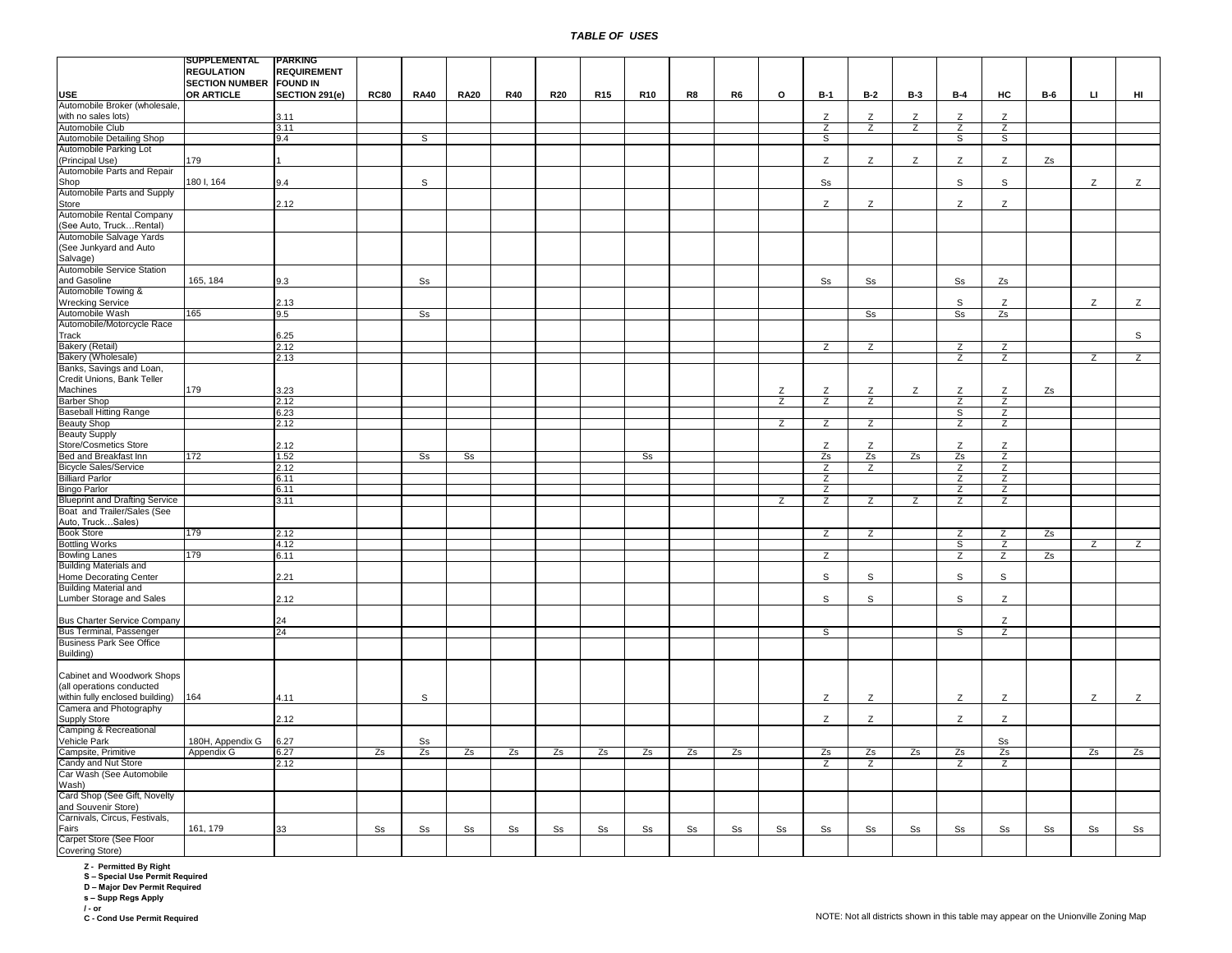|                                       | SUPPLEMENTAL                   | <b>PARKING</b>     |             |                   |                |                        |                |                        |                        |                |                |                |                |                |                |                        |                |                |     |                |
|---------------------------------------|--------------------------------|--------------------|-------------|-------------------|----------------|------------------------|----------------|------------------------|------------------------|----------------|----------------|----------------|----------------|----------------|----------------|------------------------|----------------|----------------|-----|----------------|
|                                       | <b>REGULATION</b>              | <b>REQUIREMENT</b> |             |                   |                |                        |                |                        |                        |                |                |                |                |                |                |                        |                |                |     |                |
|                                       | <b>SECTION NUMBER FOUND IN</b> |                    |             |                   |                |                        |                |                        |                        |                |                |                |                |                |                |                        |                |                |     |                |
| <b>USE</b>                            | OR ARTICLE                     | SECTION 291(e)     | <b>RC80</b> | <b>RA40</b>       | <b>RA20</b>    | <b>R40</b>             | <b>R20</b>     | R <sub>15</sub>        | <b>R10</b>             | R8             | R <sub>6</sub> | o              | <b>B-1</b>     | $B-2$          | <b>B-3</b>     | $B-4$                  | HC             | <b>B-6</b>     | LI. | HI             |
|                                       |                                |                    |             |                   |                |                        |                |                        |                        |                |                |                |                |                |                |                        |                |                |     |                |
| Automobile Broker (wholesale,         |                                |                    |             |                   |                |                        |                |                        |                        |                |                |                |                |                |                |                        |                |                |     |                |
| with no sales lots)                   |                                | 3.11               |             |                   |                |                        |                |                        |                        |                |                |                | Ζ              | Z              | Z              | Z                      | Z              |                |     |                |
| Automobile Club                       |                                | 3.11               |             |                   |                |                        |                |                        |                        |                |                |                | $\overline{z}$ | $\overline{z}$ | $\overline{z}$ | $\overline{z}$         | $\overline{z}$ |                |     |                |
| Automobile Detailing Shop             |                                | 9.4                |             | S                 |                |                        |                |                        |                        |                |                |                | S              |                |                | S                      | S              |                |     |                |
| Automobile Parking Lot                |                                |                    |             |                   |                |                        |                |                        |                        |                |                |                |                |                |                |                        |                |                |     |                |
| (Principal Use)                       | 179                            |                    |             |                   |                |                        |                |                        |                        |                |                |                | Z              | Z              | Z              | Z                      | Z              | Zs             |     |                |
|                                       |                                |                    |             |                   |                |                        |                |                        |                        |                |                |                |                |                |                |                        |                |                |     |                |
| Automobile Parts and Repair           |                                |                    |             |                   |                |                        |                |                        |                        |                |                |                |                |                |                |                        |                |                |     |                |
| Shop                                  | 180 I, 164                     | 9.4                |             | S                 |                |                        |                |                        |                        |                |                |                | S <sub>S</sub> |                |                | $\mathsf{s}$           | $\mathsf{s}$   |                | Z   | Z              |
| Automobile Parts and Supply           |                                |                    |             |                   |                |                        |                |                        |                        |                |                |                |                |                |                |                        |                |                |     |                |
| Store                                 |                                | 2.12               |             |                   |                |                        |                |                        |                        |                |                |                | Z              | Z              |                | Z                      | Z              |                |     |                |
| Automobile Rental Company             |                                |                    |             |                   |                |                        |                |                        |                        |                |                |                |                |                |                |                        |                |                |     |                |
|                                       |                                |                    |             |                   |                |                        |                |                        |                        |                |                |                |                |                |                |                        |                |                |     |                |
| (See Auto, TruckRental)               |                                |                    |             |                   |                |                        |                |                        |                        |                |                |                |                |                |                |                        |                |                |     |                |
| Automobile Salvage Yards              |                                |                    |             |                   |                |                        |                |                        |                        |                |                |                |                |                |                |                        |                |                |     |                |
| (See Junkyard and Auto                |                                |                    |             |                   |                |                        |                |                        |                        |                |                |                |                |                |                |                        |                |                |     |                |
| Salvage)                              |                                |                    |             |                   |                |                        |                |                        |                        |                |                |                |                |                |                |                        |                |                |     |                |
| Automobile Service Station            |                                |                    |             |                   |                |                        |                |                        |                        |                |                |                |                |                |                |                        |                |                |     |                |
|                                       |                                | 9.3                |             | S <sub>S</sub>    |                |                        |                |                        |                        |                |                |                | S <sub>S</sub> | S <sub>S</sub> |                |                        |                |                |     |                |
| and Gasoline                          | 165, 184                       |                    |             |                   |                |                        |                |                        |                        |                |                |                |                |                |                | $\textsf{S}\textsf{s}$ | Zs             |                |     |                |
| Automobile Towing &                   |                                |                    |             |                   |                |                        |                |                        |                        |                |                |                |                |                |                |                        |                |                |     |                |
| <b>Wrecking Service</b>               |                                | 2.13               |             |                   |                |                        |                |                        |                        |                |                |                |                |                |                | $\mathsf{s}$           | Z              |                | Z   | Z              |
| Automobile Wash                       | 165                            | 9.5                |             | S <sub>s</sub>    |                |                        |                |                        |                        |                |                |                |                | s <sub>s</sub> |                | S <sub>S</sub>         | Zs             |                |     |                |
| Automobile/Motorcycle Race            |                                |                    |             |                   |                |                        |                |                        |                        |                |                |                |                |                |                |                        |                |                |     |                |
| Track                                 |                                | 6.25               |             |                   |                |                        |                |                        |                        |                |                |                |                |                |                |                        |                |                |     | S              |
|                                       |                                |                    |             |                   |                |                        |                |                        |                        |                |                |                |                |                |                |                        |                |                |     |                |
| <b>Bakery (Retail)</b>                |                                | 2.12               |             |                   |                |                        |                |                        |                        |                |                |                | Z              | Z              |                | z                      | Z              |                |     |                |
| Bakery (Wholesale)                    |                                | 2.13               |             |                   |                |                        |                |                        |                        |                |                |                |                |                |                | z                      | z              |                | Z   | z              |
| Banks, Savings and Loan,              |                                |                    |             |                   |                |                        |                |                        |                        |                |                |                |                |                |                |                        |                |                |     |                |
| Credit Unions, Bank Teller            |                                |                    |             |                   |                |                        |                |                        |                        |                |                |                |                |                |                |                        |                |                |     |                |
| Machines                              | 179                            | 3.23               |             |                   |                |                        |                |                        |                        |                |                | Z              | Z              | Z              | z              | Z                      | Z              | Zs             |     |                |
|                                       |                                |                    |             |                   |                |                        |                |                        |                        |                |                |                |                |                |                |                        |                |                |     |                |
| <b>Barber Shop</b>                    |                                | 2.12               |             |                   |                |                        |                |                        |                        |                |                | $\overline{z}$ | $\overline{z}$ | $\overline{z}$ |                | $\overline{z}$         | $\overline{z}$ |                |     |                |
| <b>Baseball Hitting Range</b>         |                                | 6.23               |             |                   |                |                        |                |                        |                        |                |                |                |                |                |                | ड                      | $\overline{z}$ |                |     |                |
| <b>Beauty Shop</b>                    |                                | 2.12               |             |                   |                |                        |                |                        |                        |                |                | $\overline{z}$ | $\overline{z}$ | $\overline{z}$ |                | $\overline{z}$         | $\overline{z}$ |                |     |                |
| <b>Beauty Supply</b>                  |                                |                    |             |                   |                |                        |                |                        |                        |                |                |                |                |                |                |                        |                |                |     |                |
| Store/Cosmetics Store                 |                                | 2.12               |             |                   |                |                        |                |                        |                        |                |                |                | Z              | Z              |                | Z                      | Z              |                |     |                |
| Bed and Breakfast Inn                 | 172                            | 1.52               |             | S <sub>s</sub>    | S <sub>S</sub> |                        |                |                        | s <sub>s</sub>         |                |                |                | Zs             | Zs             | Zs             | Zs                     | $\overline{z}$ |                |     |                |
|                                       |                                |                    |             |                   |                |                        |                |                        |                        |                |                |                |                |                |                |                        |                |                |     |                |
| <b>Bicycle Sales/Service</b>          |                                | 2.12               |             |                   |                |                        |                |                        |                        |                |                |                | Z              | $\overline{z}$ |                | $\overline{z}$         | Z              |                |     |                |
| <b>Billiard Parlor</b>                |                                | 6.11               |             |                   |                |                        |                |                        |                        |                |                |                | $\overline{z}$ |                |                | $\overline{z}$         | $\overline{z}$ |                |     |                |
| <b>Bingo Parlor</b>                   |                                | 6.11               |             |                   |                |                        |                |                        |                        |                |                |                | $\overline{z}$ |                |                | $\overline{z}$         | $\overline{z}$ |                |     |                |
| <b>Blueprint and Drafting Service</b> |                                | 3.11               |             |                   |                |                        |                |                        |                        |                |                | Z              | Z              | Z              | Z              | Z                      | Z              |                |     |                |
| Boat and Trailer/Sales (See           |                                |                    |             |                   |                |                        |                |                        |                        |                |                |                |                |                |                |                        |                |                |     |                |
|                                       |                                |                    |             |                   |                |                        |                |                        |                        |                |                |                |                |                |                |                        |                |                |     |                |
| Auto, TruckSales)                     |                                |                    |             |                   |                |                        |                |                        |                        |                |                |                |                |                |                |                        |                |                |     |                |
| <b>Book Store</b>                     | 179                            | 2.12               |             |                   |                |                        |                |                        |                        |                |                |                | $\overline{z}$ | Z              |                | Z                      | Ζ              | Zs             |     |                |
| <b>Bottling Works</b>                 |                                | 4.12               |             |                   |                |                        |                |                        |                        |                |                |                |                |                |                | S                      | z              |                | Z   | $\overline{z}$ |
| <b>Bowling Lanes</b>                  | 179                            | 6.11               |             |                   |                |                        |                |                        |                        |                |                |                | Z              |                |                | z                      | Z              | Zs             |     |                |
| <b>Building Materials and</b>         |                                |                    |             |                   |                |                        |                |                        |                        |                |                |                |                |                |                |                        |                |                |     |                |
| Home Decorating Center                |                                | 2.21               |             |                   |                |                        |                |                        |                        |                |                |                | S              | S              |                | S                      | S              |                |     |                |
|                                       |                                |                    |             |                   |                |                        |                |                        |                        |                |                |                |                |                |                |                        |                |                |     |                |
| <b>Building Material and</b>          |                                |                    |             |                   |                |                        |                |                        |                        |                |                |                |                |                |                |                        |                |                |     |                |
| Lumber Storage and Sales              |                                | 2.12               |             |                   |                |                        |                |                        |                        |                |                |                | $\mathbb S$    | s              |                | $\mathsf{s}$           | $\mathsf Z$    |                |     |                |
|                                       |                                |                    |             |                   |                |                        |                |                        |                        |                |                |                |                |                |                |                        |                |                |     |                |
| <b>Bus Charter Service Company</b>    |                                | 24                 |             |                   |                |                        |                |                        |                        |                |                |                |                |                |                |                        | Z              |                |     |                |
| Bus Terminal, Passenger               |                                | 24                 |             |                   |                |                        |                |                        |                        |                |                |                | ड              |                |                | ड                      | $\overline{z}$ |                |     |                |
|                                       |                                |                    |             |                   |                |                        |                |                        |                        |                |                |                |                |                |                |                        |                |                |     |                |
| <b>Business Park See Office</b>       |                                |                    |             |                   |                |                        |                |                        |                        |                |                |                |                |                |                |                        |                |                |     |                |
| Building)                             |                                |                    |             |                   |                |                        |                |                        |                        |                |                |                |                |                |                |                        |                |                |     |                |
|                                       |                                |                    |             |                   |                |                        |                |                        |                        |                |                |                |                |                |                |                        |                |                |     |                |
| Cabinet and Woodwork Shops            |                                |                    |             |                   |                |                        |                |                        |                        |                |                |                |                |                |                |                        |                |                |     |                |
| (all operations conducted             |                                |                    |             |                   |                |                        |                |                        |                        |                |                |                |                |                |                |                        |                |                |     |                |
| within fully enclosed building)       | 164                            | 4.11               |             | S                 |                |                        |                |                        |                        |                |                |                | Z              | Ζ              |                | Z                      | Z              |                | Z   | Z              |
|                                       |                                |                    |             |                   |                |                        |                |                        |                        |                |                |                |                |                |                |                        |                |                |     |                |
| Camera and Photography                |                                |                    |             |                   |                |                        |                |                        |                        |                |                |                |                |                |                |                        |                |                |     |                |
| Supply Store                          |                                | 2.12               |             |                   |                |                        |                |                        |                        |                |                |                | z              | z              |                | z                      | Z              |                |     |                |
| Camping & Recreational                |                                |                    |             |                   |                |                        |                |                        |                        |                |                |                |                |                |                |                        |                |                |     |                |
| Vehicle Park                          | 180H, Appendix G               | 6.27               |             | $S_{\frac{S}{2}}$ |                |                        |                |                        |                        |                |                |                |                |                |                |                        | S <sub>S</sub> |                |     |                |
| Campsite, Primitive                   |                                |                    | Zs          | Zs                | Zs             | Zs                     | Zs             |                        | Zs                     | Zs             | Zs             |                |                |                | Zs             |                        |                |                | Zs  |                |
|                                       | Appendix G                     | 6.27               |             |                   |                |                        |                | Zs                     |                        |                |                |                | Zs             | Zs             |                | Zs                     | Zs             |                |     | Zs             |
| Candy and Nut Store                   |                                | 2.12               |             |                   |                |                        |                |                        |                        |                |                |                | z              | z              |                | z                      | Z              |                |     |                |
| Car Wash (See Automobile              |                                |                    |             |                   |                |                        |                |                        |                        |                |                |                |                |                |                |                        |                |                |     |                |
| Wash)                                 |                                |                    |             |                   |                |                        |                |                        |                        |                |                |                |                |                |                |                        |                |                |     |                |
| Card Shop (See Gift, Novelty          |                                |                    |             |                   |                |                        |                |                        |                        |                |                |                |                |                |                |                        |                |                |     |                |
| and Souvenir Store)                   |                                |                    |             |                   |                |                        |                |                        |                        |                |                |                |                |                |                |                        |                |                |     |                |
|                                       |                                |                    |             |                   |                |                        |                |                        |                        |                |                |                |                |                |                |                        |                |                |     |                |
| Carnivals, Circus, Festivals,         |                                |                    |             |                   |                |                        |                |                        |                        |                |                |                |                |                |                |                        |                |                |     |                |
| Fairs                                 | 161, 179                       | 33                 | Ss          | $\rm{Ss}$         | $\rm{Ss}$      | $\texttt{S}\texttt{s}$ | S <sub>S</sub> | $\texttt{S}\texttt{s}$ | $\texttt{S}\texttt{s}$ | S <sub>S</sub> | S <sub>S</sub> | S <sub>S</sub> | S <sub>S</sub> | Ss             | S <sub>S</sub> | Ss                     | S <sub>S</sub> | S <sub>S</sub> | Ss  | S <sub>S</sub> |
| Carpet Store (See Floor               |                                |                    |             |                   |                |                        |                |                        |                        |                |                |                |                |                |                |                        |                |                |     |                |
| Covering Store)                       |                                |                    |             |                   |                |                        |                |                        |                        |                |                |                |                |                |                |                        |                |                |     |                |

**Z - Permitted By Right S – Special Use Permit Required D – Major Dev Permit Required s – Supp Regs Apply**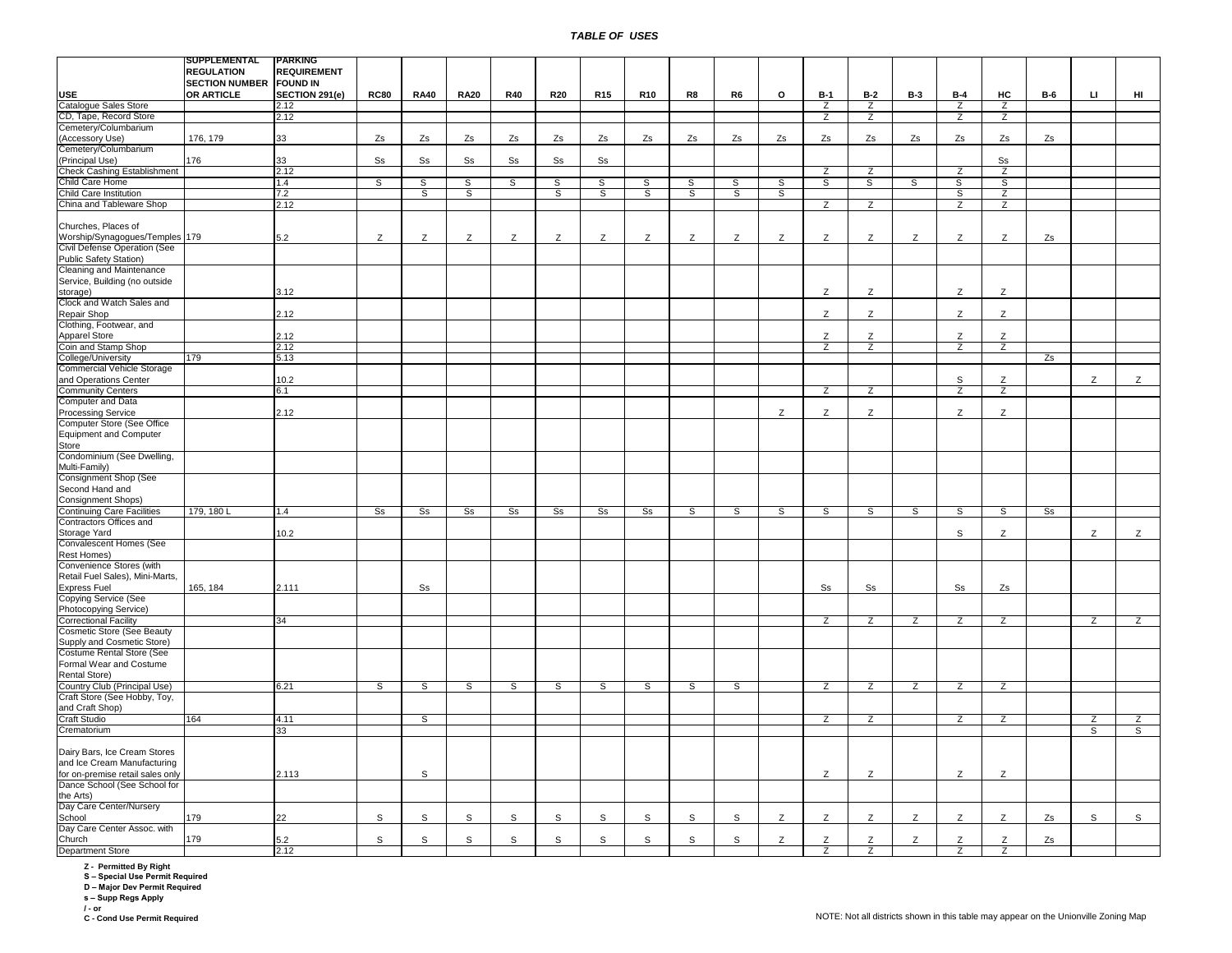|                                   | SUPPLEMENTAL                   | <b>PARKING</b>     |                        |                |                |                |                |                |                |             |              |    |                |                |            |                |                        |                |     |                |
|-----------------------------------|--------------------------------|--------------------|------------------------|----------------|----------------|----------------|----------------|----------------|----------------|-------------|--------------|----|----------------|----------------|------------|----------------|------------------------|----------------|-----|----------------|
|                                   | <b>REGULATION</b>              | <b>REQUIREMENT</b> |                        |                |                |                |                |                |                |             |              |    |                |                |            |                |                        |                |     |                |
|                                   | <b>SECTION NUMBER FOUND IN</b> |                    |                        |                |                |                |                |                |                |             |              |    |                |                |            |                |                        |                |     |                |
| <b>USE</b>                        | <b>OR ARTICLE</b>              | SECTION 291(e)     | <b>RC80</b>            | <b>RA40</b>    | <b>RA20</b>    | <b>R40</b>     | <b>R20</b>     | <b>R15</b>     | <b>R10</b>     | R8          | R6           | o  | $B-1$          | $B-2$          | <b>B-3</b> | $B-4$          | HC                     | <b>B-6</b>     | IJ. | HI             |
| <b>Catalogue Sales Store</b>      |                                | 2.12               |                        |                |                |                |                |                |                |             |              |    | Z              | Z              |            | $\overline{z}$ | $\overline{z}$         |                |     |                |
| CD, Tape, Record Store            |                                | 2.12               |                        |                |                |                |                |                |                |             |              |    | Z              | $\overline{z}$ |            | $\overline{z}$ | Z                      |                |     |                |
| Cemetery/Columbarium              |                                |                    |                        |                |                |                |                |                |                |             |              |    |                |                |            |                |                        |                |     |                |
|                                   |                                |                    |                        |                |                |                |                |                |                |             |              |    |                |                |            |                |                        |                |     |                |
| (Accessory Use)                   | 176, 179                       | 33                 | Zs                     | Zs             | Zs             | Zs             | Zs             | Zs             | Zs             | Zs          | Zs           | Zs | Zs             | Zs             | Zs         | Zs             | Zs                     | Zs             |     |                |
| Cemetery/Columbarium              |                                |                    |                        |                |                |                |                |                |                |             |              |    |                |                |            |                |                        |                |     |                |
| (Principal Use)                   | 176                            | 33                 | $\texttt{S}\texttt{s}$ | Ss             | S <sub>S</sub> | S <sub>S</sub> | S <sub>S</sub> | Ss             |                |             |              |    |                |                |            |                | $\texttt{S}\texttt{s}$ |                |     |                |
| Check Cashing Establishment       |                                | 2.12               |                        |                |                |                |                |                |                |             |              |    | $\overline{z}$ | Z              |            | Z              | $\overline{z}$         |                |     |                |
| Child Care Home                   |                                | 1.4                | s                      | S              | $\overline{s}$ | S              | s              | S              | S              | s           | S            | S  | s              | s              | S          | S              | s                      |                |     |                |
| Child Care Institution            |                                | 7.2                |                        | S              | S              |                | S              | S              | S              | S           | S            | S  |                |                |            | S              | Z                      |                |     |                |
| China and Tableware Shop          |                                | 2.12               |                        |                |                |                |                |                |                |             |              |    | $\overline{z}$ | $\overline{z}$ |            | $\overline{z}$ | $\overline{z}$         |                |     |                |
|                                   |                                |                    |                        |                |                |                |                |                |                |             |              |    |                |                |            |                |                        |                |     |                |
| Churches, Places of               |                                |                    |                        |                |                |                |                |                |                |             |              |    |                |                |            |                |                        |                |     |                |
| Worship/Synagogues/Temples        | 179                            | 5.2                | Z                      | Z              | Z              | Z              | Z              | Z              | Z              | Z           | Z            | Z  | Z              | Z              | Z          | Z              | Z                      | Zs             |     |                |
| Civil Defense Operation (See      |                                |                    |                        |                |                |                |                |                |                |             |              |    |                |                |            |                |                        |                |     |                |
|                                   |                                |                    |                        |                |                |                |                |                |                |             |              |    |                |                |            |                |                        |                |     |                |
| Public Safety Station)            |                                |                    |                        |                |                |                |                |                |                |             |              |    |                |                |            |                |                        |                |     |                |
| Cleaning and Maintenance          |                                |                    |                        |                |                |                |                |                |                |             |              |    |                |                |            |                |                        |                |     |                |
| Service, Building (no outside     |                                |                    |                        |                |                |                |                |                |                |             |              |    |                |                |            |                |                        |                |     |                |
| storage)                          |                                | 3.12               |                        |                |                |                |                |                |                |             |              |    | Z              | Z              |            | Z              | Z                      |                |     |                |
| Clock and Watch Sales and         |                                |                    |                        |                |                |                |                |                |                |             |              |    |                |                |            |                |                        |                |     |                |
| Repair Shop                       |                                | 2.12               |                        |                |                |                |                |                |                |             |              |    | Z              | Z              |            | Z              | Z                      |                |     |                |
| Clothing, Footwear, and           |                                |                    |                        |                |                |                |                |                |                |             |              |    |                |                |            |                |                        |                |     |                |
| <b>Apparel Store</b>              |                                | 2.12               |                        |                |                |                |                |                |                |             |              |    | z              | Z              |            | z              | Z                      |                |     |                |
| Coin and Stamp Shop               |                                | 2.12               |                        |                |                |                |                |                |                |             |              |    | Z              | Z              |            | $\overline{z}$ | Z                      |                |     |                |
|                                   | 179                            | 5.13               |                        |                |                |                |                |                |                |             |              |    |                |                |            |                |                        | Zs             |     |                |
| College/University                |                                |                    |                        |                |                |                |                |                |                |             |              |    |                |                |            |                |                        |                |     |                |
| <b>Commercial Vehicle Storage</b> |                                |                    |                        |                |                |                |                |                |                |             |              |    |                |                |            |                |                        |                |     |                |
| and Operations Center             |                                | 10.2               |                        |                |                |                |                |                |                |             |              |    |                |                |            | S              | Z                      |                | Z   | Z              |
| <b>Community Centers</b>          |                                | 6.1                |                        |                |                |                |                |                |                |             |              |    | $\overline{z}$ | $\overline{z}$ |            | $\overline{z}$ | $\overline{z}$         |                |     |                |
| <b>Computer and Data</b>          |                                |                    |                        |                |                |                |                |                |                |             |              |    |                |                |            |                |                        |                |     |                |
| Processing Service                |                                | 2.12               |                        |                |                |                |                |                |                |             |              | Z  | Z              | Z              |            | Z              | Z                      |                |     |                |
| Computer Store (See Office        |                                |                    |                        |                |                |                |                |                |                |             |              |    |                |                |            |                |                        |                |     |                |
| <b>Equipment and Computer</b>     |                                |                    |                        |                |                |                |                |                |                |             |              |    |                |                |            |                |                        |                |     |                |
| Store                             |                                |                    |                        |                |                |                |                |                |                |             |              |    |                |                |            |                |                        |                |     |                |
| Condominium (See Dwelling,        |                                |                    |                        |                |                |                |                |                |                |             |              |    |                |                |            |                |                        |                |     |                |
|                                   |                                |                    |                        |                |                |                |                |                |                |             |              |    |                |                |            |                |                        |                |     |                |
| Multi-Family)                     |                                |                    |                        |                |                |                |                |                |                |             |              |    |                |                |            |                |                        |                |     |                |
| Consignment Shop (See             |                                |                    |                        |                |                |                |                |                |                |             |              |    |                |                |            |                |                        |                |     |                |
| Second Hand and                   |                                |                    |                        |                |                |                |                |                |                |             |              |    |                |                |            |                |                        |                |     |                |
| <b>Consignment Shops)</b>         |                                |                    |                        |                |                |                |                |                |                |             |              |    |                |                |            |                |                        |                |     |                |
| <b>Continuing Care Facilities</b> | 179, 180 L                     | 1.4                | s <sub>s</sub>         | s <sub>s</sub> | s <sub>s</sub> | S <sub>s</sub> | s <sub>s</sub> | S <sub>s</sub> | S <sub>S</sub> | s           | $\mathsf{s}$ | s  | s              | $\overline{s}$ | s          | s              | <sub>S</sub>           | S <sub>s</sub> |     |                |
| Contractors Offices and           |                                |                    |                        |                |                |                |                |                |                |             |              |    |                |                |            |                |                        |                |     |                |
| Storage Yard                      |                                | 10.2               |                        |                |                |                |                |                |                |             |              |    |                |                |            | ${\tt S}$      | Z                      |                | Z   | Z              |
| Convalescent Homes (See           |                                |                    |                        |                |                |                |                |                |                |             |              |    |                |                |            |                |                        |                |     |                |
|                                   |                                |                    |                        |                |                |                |                |                |                |             |              |    |                |                |            |                |                        |                |     |                |
| Rest Homes)                       |                                |                    |                        |                |                |                |                |                |                |             |              |    |                |                |            |                |                        |                |     |                |
| Convenience Stores (with          |                                |                    |                        |                |                |                |                |                |                |             |              |    |                |                |            |                |                        |                |     |                |
| Retail Fuel Sales), Mini-Marts,   |                                |                    |                        |                |                |                |                |                |                |             |              |    |                |                |            |                |                        |                |     |                |
| <b>Express Fuel</b>               | 165, 184                       | 2.111              |                        | Ss             |                |                |                |                |                |             |              |    | S <sub>S</sub> | S <sub>S</sub> |            | S <sub>S</sub> | Zs                     |                |     |                |
| Copying Service (See              |                                |                    |                        |                |                |                |                |                |                |             |              |    |                |                |            |                |                        |                |     |                |
| Photocopying Service)             |                                |                    |                        |                |                |                |                |                |                |             |              |    |                |                |            |                |                        |                |     |                |
| <b>Correctional Facility</b>      |                                | 34                 |                        |                |                |                |                |                |                |             |              |    | Z              | $\overline{z}$ | Z          | $\overline{z}$ | $\overline{z}$         |                | Z   | $\overline{z}$ |
| <b>Cosmetic Store (See Beauty</b> |                                |                    |                        |                |                |                |                |                |                |             |              |    |                |                |            |                |                        |                |     |                |
| Supply and Cosmetic Store)        |                                |                    |                        |                |                |                |                |                |                |             |              |    |                |                |            |                |                        |                |     |                |
| Costume Rental Store (See         |                                |                    |                        |                |                |                |                |                |                |             |              |    |                |                |            |                |                        |                |     |                |
|                                   |                                |                    |                        |                |                |                |                |                |                |             |              |    |                |                |            |                |                        |                |     |                |
| Formal Wear and Costume           |                                |                    |                        |                |                |                |                |                |                |             |              |    |                |                |            |                |                        |                |     |                |
| Rental Store)                     |                                |                    |                        |                |                |                |                |                |                |             |              |    |                |                |            |                |                        |                |     |                |
| Country Club (Principal Use)      |                                | 6.21               | s                      | S              | s              | S              | s              | S              | s              | S           | S            |    | Z              | Z              | Z          | Z              | Z                      |                |     |                |
| Craft Store (See Hobby, Toy,      |                                |                    |                        |                |                |                |                |                |                |             |              |    |                |                |            |                |                        |                |     |                |
| and Craft Shop)                   |                                |                    |                        |                |                |                |                |                |                |             |              |    |                |                |            |                |                        |                |     |                |
| <b>Craft Studio</b>               | 164                            | 4.11               |                        | S              |                |                |                |                |                |             |              |    | z              | z              |            | Z              | Z                      |                | z   | Z              |
| Crematorium                       |                                | 33                 |                        |                |                |                |                |                |                |             |              |    |                |                |            |                |                        |                | S   | ड              |
|                                   |                                |                    |                        |                |                |                |                |                |                |             |              |    |                |                |            |                |                        |                |     |                |
| Dairy Bars, Ice Cream Stores      |                                |                    |                        |                |                |                |                |                |                |             |              |    |                |                |            |                |                        |                |     |                |
|                                   |                                |                    |                        |                |                |                |                |                |                |             |              |    |                |                |            |                |                        |                |     |                |
| and Ice Cream Manufacturing       |                                |                    |                        |                |                |                |                |                |                |             |              |    |                |                |            |                |                        |                |     |                |
| for on-premise retail sales only  |                                | 2.113              |                        | $\mathbb S$    |                |                |                |                |                |             |              |    | Z              | Z              |            | Z              | Z                      |                |     |                |
| Dance School (See School for      |                                |                    |                        |                |                |                |                |                |                |             |              |    |                |                |            |                |                        |                |     |                |
| the Arts)                         |                                |                    |                        |                |                |                |                |                |                |             |              |    |                |                |            |                |                        |                |     |                |
| Day Care Center/Nursery           |                                |                    |                        |                |                |                |                |                |                |             |              |    |                |                |            |                |                        |                |     |                |
| School                            | 179                            | 22                 | S                      | S              | S              | S              | S              | S              | S              | $\mathsf S$ | $\mathbb S$  | Z  | Z              | Z              | Z          | Z              | Z                      | Zs             | S   | $\mathsf{s}$   |
| Day Care Center Assoc. with       |                                |                    |                        |                |                |                |                |                |                |             |              |    |                |                |            |                |                        |                |     |                |
| Church                            | 179                            | 5.2                | $\mathsf{s}$           | S              | S              | S              | S              | S              | S              | $\mathsf S$ | S            | Z  | Z              | Z              | Z          | Z              | Z                      | Zs             |     |                |
| <b>Department Store</b>           |                                |                    |                        |                |                |                |                |                |                |             |              |    |                |                |            |                |                        |                |     |                |
|                                   |                                | 2.12               |                        |                |                |                |                |                |                |             |              |    | Z              | $\overline{z}$ |            | $\overline{z}$ | $\overline{z}$         |                |     |                |

**Z - Permitted By Right S – Special Use Permit Required D – Major Dev Permit Required s – Supp Regs Apply**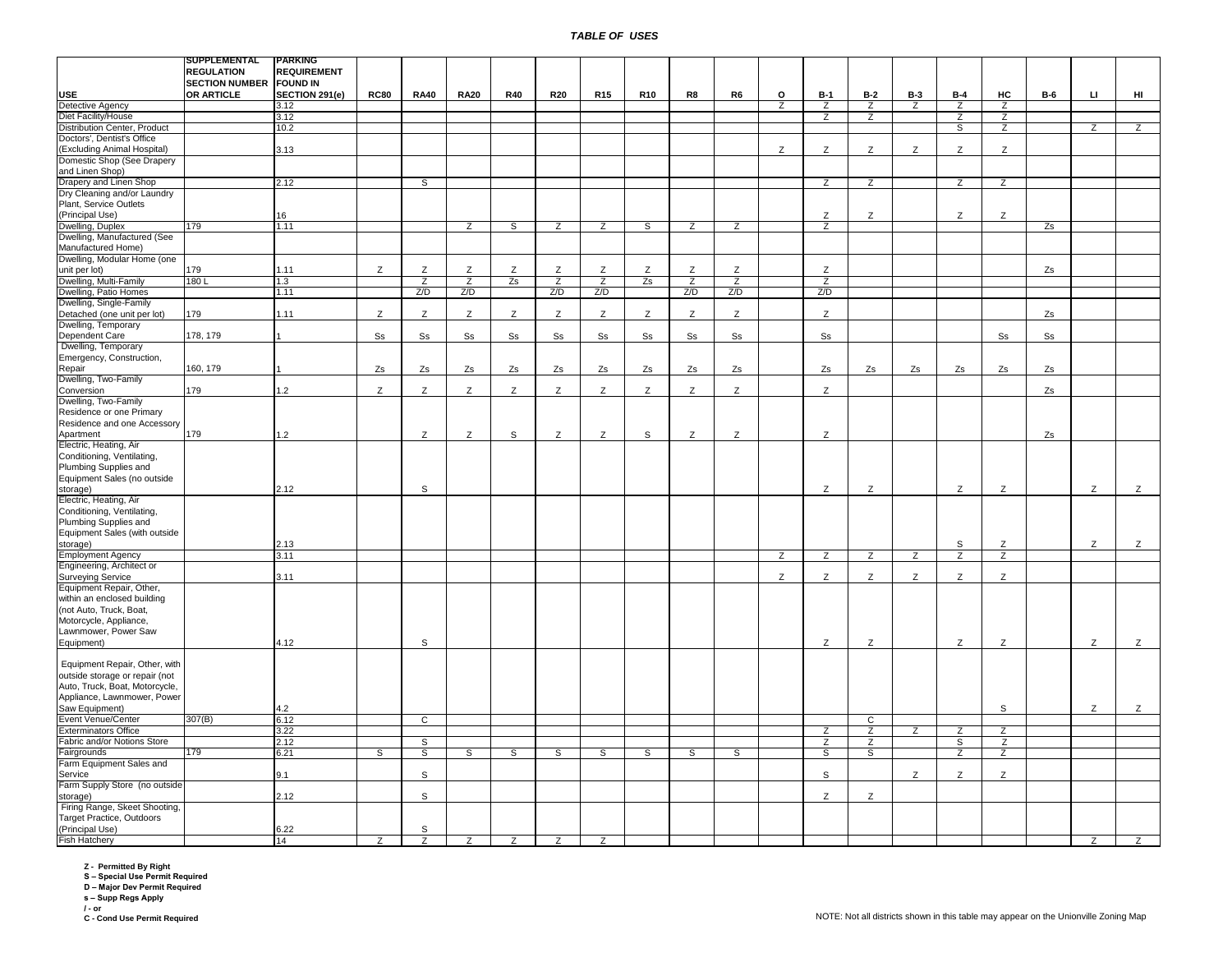|                                                           | SUPPLEMENTAL          | PARKING            |                        |                |                |                |                |                |                |                |                |                |                |                |                |                |                |                |                        |                |
|-----------------------------------------------------------|-----------------------|--------------------|------------------------|----------------|----------------|----------------|----------------|----------------|----------------|----------------|----------------|----------------|----------------|----------------|----------------|----------------|----------------|----------------|------------------------|----------------|
|                                                           | <b>REGULATION</b>     | <b>REQUIREMENT</b> |                        |                |                |                |                |                |                |                |                |                |                |                |                |                |                |                |                        |                |
|                                                           | <b>SECTION NUMBER</b> | <b>FOUND IN</b>    |                        |                |                |                |                |                |                |                |                |                |                |                |                |                |                |                |                        |                |
| <b>USE</b>                                                | OR ARTICLE            | SECTION 291(e)     | <b>RC80</b>            | <b>RA40</b>    | <b>RA20</b>    | <b>R40</b>     | <b>R20</b>     | <b>R15</b>     | <b>R10</b>     | R8             | R6             | o              | $B-1$          | $B-2$          | <b>B-3</b>     | $B-4$          | HC             | <b>B-6</b>     | $\mathbf{L}\mathbf{I}$ | HI             |
| <b>Detective Agency</b>                                   |                       | 3.12               |                        |                |                |                |                |                |                |                |                | $\overline{z}$ | Z              | $\overline{z}$ | Z              | $\overline{z}$ | Z              |                |                        |                |
| Diet Facility/House                                       |                       | 3.12               |                        |                |                |                |                |                |                |                |                |                | Z              | Z              |                | Z              | Z              |                |                        |                |
| Distribution Center, Product                              |                       | 10.2               |                        |                |                |                |                |                |                |                |                |                |                |                |                | S              | Z              |                | $\overline{z}$         | $\overline{z}$ |
| Doctors', Dentist's Office<br>(Excluding Animal Hospital) |                       | 3.13               |                        |                |                |                |                |                |                |                |                | Z              | Z              | Z              | Z              | Z              | Z              |                |                        |                |
| Domestic Shop (See Drapery                                |                       |                    |                        |                |                |                |                |                |                |                |                |                |                |                |                |                |                |                |                        |                |
| and Linen Shop)                                           |                       |                    |                        |                |                |                |                |                |                |                |                |                |                |                |                |                |                |                |                        |                |
| Drapery and Linen Shop                                    |                       | 2.12               |                        | S              |                |                |                |                |                |                |                |                | $\overline{z}$ | $\overline{z}$ |                | $\overline{z}$ | $\overline{z}$ |                |                        |                |
| Dry Cleaning and/or Laundry                               |                       |                    |                        |                |                |                |                |                |                |                |                |                |                |                |                |                |                |                |                        |                |
| Plant, Service Outlets                                    |                       |                    |                        |                |                |                |                |                |                |                |                |                |                |                |                |                |                |                |                        |                |
| (Principal Use)                                           |                       | 16                 |                        |                |                |                |                |                |                |                |                |                | Z              | Ζ              |                | Z              | Z              |                |                        |                |
| Dwelling, Duplex                                          | 179                   | 1.11               |                        |                | Ζ              | s              | Z              | Z              | S              | Z              | Z              |                | Z              |                |                |                |                | Zs             |                        |                |
| Dwelling, Manufactured (See                               |                       |                    |                        |                |                |                |                |                |                |                |                |                |                |                |                |                |                |                |                        |                |
| Manufactured Home)                                        |                       |                    |                        |                |                |                |                |                |                |                |                |                |                |                |                |                |                |                |                        |                |
| Dwelling, Modular Home (one                               |                       |                    |                        |                |                |                |                |                |                |                |                |                |                |                |                |                |                |                |                        |                |
| unit per lot)                                             | 179                   | 1.11               | Z                      | Z              | Z              | Z              | Z              | Ζ              | Z              | Ζ              | Z              |                | Z              |                |                |                |                | Zs             |                        |                |
| Dwelling, Multi-Family                                    | 180L                  | 1.3                |                        | $\overline{z}$ | $\overline{z}$ | Zs             | $\overline{z}$ | Z              | Zs             | $\overline{z}$ | $\overline{z}$ |                | $\overline{z}$ |                |                |                |                |                |                        |                |
| Dwelling, Patio Homes                                     |                       | 1.11               |                        | Z/D            | Z/D            |                | Z/D            | Z/D            |                | Z/D            | Z/D            |                | Z/D            |                |                |                |                |                |                        |                |
| Dwelling, Single-Family                                   |                       |                    |                        |                |                |                |                |                |                |                |                |                |                |                |                |                |                |                |                        |                |
| Detached (one unit per lot)                               | 179                   | 1.11               | Z                      | Z              | Z              | Z              | Z              | Z              | Z              | Z              | Z              |                | Z              |                |                |                |                | Zs             |                        |                |
| Dwelling, Temporary                                       |                       |                    |                        |                |                |                |                |                |                |                |                |                |                |                |                |                |                |                |                        |                |
| Dependent Care                                            | 178, 179              |                    | $\texttt{S}\texttt{s}$ | S <sub>S</sub> | S <sub>S</sub> | S <sub>S</sub> | S <sub>S</sub> | S <sub>S</sub> | S <sub>S</sub> | S <sub>S</sub> | S <sub>S</sub> |                | S <sub>S</sub> |                |                |                | S <sub>S</sub> | S <sub>S</sub> |                        |                |
| Dwelling, Temporary                                       |                       |                    |                        |                |                |                |                |                |                |                |                |                |                |                |                |                |                |                |                        |                |
| Emergency, Construction,                                  |                       |                    |                        |                |                |                |                |                |                |                |                |                |                |                |                |                |                |                |                        |                |
| Repair                                                    | 160, 179              |                    | Zs                     | Zs             | Zs             | Zs             | Zs             | Zs             | Zs             | Zs             | Zs             |                | Zs             | Zs             | Zs             | Zs             | Zs             | Zs             |                        |                |
| Dwelling, Two-Family                                      |                       |                    |                        |                |                |                |                |                |                |                |                |                |                |                |                |                |                |                |                        |                |
| Conversion                                                | 179                   | 1.2                | $\mathsf{Z}$           | Z              | Z              | Z              | Z              | Z              | Z              | Z              | Z              |                | Z              |                |                |                |                | Zs             |                        |                |
| Dwelling, Two-Family                                      |                       |                    |                        |                |                |                |                |                |                |                |                |                |                |                |                |                |                |                |                        |                |
| Residence or one Primary                                  |                       |                    |                        |                |                |                |                |                |                |                |                |                |                |                |                |                |                |                |                        |                |
| Residence and one Accessory                               |                       |                    |                        |                |                |                |                |                |                |                |                |                |                |                |                |                |                |                |                        |                |
| Apartment                                                 | 179                   | 1.2                |                        | Z              | Z              | S              | Z              | Z              | S              | Z              | Z              |                | Z              |                |                |                |                | Zs             |                        |                |
| Electric, Heating, Air                                    |                       |                    |                        |                |                |                |                |                |                |                |                |                |                |                |                |                |                |                |                        |                |
| Conditioning, Ventilating,                                |                       |                    |                        |                |                |                |                |                |                |                |                |                |                |                |                |                |                |                |                        |                |
| Plumbing Supplies and                                     |                       |                    |                        |                |                |                |                |                |                |                |                |                |                |                |                |                |                |                |                        |                |
| Equipment Sales (no outside                               |                       |                    |                        |                |                |                |                |                |                |                |                |                |                |                |                |                |                |                |                        |                |
| storage)                                                  |                       | 2.12               |                        | S              |                |                |                |                |                |                |                |                | Z              | Z              |                | Z              | Z              |                | Z                      | Z              |
| Electric, Heating, Air                                    |                       |                    |                        |                |                |                |                |                |                |                |                |                |                |                |                |                |                |                |                        |                |
| Conditioning, Ventilating,                                |                       |                    |                        |                |                |                |                |                |                |                |                |                |                |                |                |                |                |                |                        |                |
| Plumbing Supplies and                                     |                       |                    |                        |                |                |                |                |                |                |                |                |                |                |                |                |                |                |                |                        |                |
| Equipment Sales (with outside                             |                       |                    |                        |                |                |                |                |                |                |                |                |                |                |                |                |                |                |                |                        |                |
| storage)                                                  |                       | 2.13               |                        |                |                |                |                |                |                |                |                |                |                |                |                | S              | Z              |                | Z                      | z              |
| <b>Employment Agency</b>                                  |                       | 3.11               |                        |                |                |                |                |                |                |                |                | $\overline{z}$ | $\overline{z}$ | $\overline{z}$ | $\overline{z}$ | $\overline{z}$ | $\overline{z}$ |                |                        |                |
| Engineering, Architect or                                 |                       |                    |                        |                |                |                |                |                |                |                |                |                |                |                |                |                |                |                |                        |                |
| <b>Surveying Service</b>                                  |                       | 3.11               |                        |                |                |                |                |                |                |                |                | Z              | Z              | Z              | Z              | Z              | Z              |                |                        |                |
| Equipment Repair, Other,                                  |                       |                    |                        |                |                |                |                |                |                |                |                |                |                |                |                |                |                |                |                        |                |
| within an enclosed building                               |                       |                    |                        |                |                |                |                |                |                |                |                |                |                |                |                |                |                |                |                        |                |
| (not Auto, Truck, Boat,                                   |                       |                    |                        |                |                |                |                |                |                |                |                |                |                |                |                |                |                |                |                        |                |
| Motorcycle, Appliance,                                    |                       |                    |                        |                |                |                |                |                |                |                |                |                |                |                |                |                |                |                |                        |                |
| Lawnmower, Power Saw                                      |                       |                    |                        |                |                |                |                |                |                |                |                |                |                |                |                |                |                |                |                        |                |
| Equipment)                                                |                       | 4.12               |                        | S              |                |                |                |                |                |                |                |                | Z              | Z              |                | Z              | Z              |                | Z                      | Z              |
|                                                           |                       |                    |                        |                |                |                |                |                |                |                |                |                |                |                |                |                |                |                |                        |                |
| Equipment Repair, Other, with                             |                       |                    |                        |                |                |                |                |                |                |                |                |                |                |                |                |                |                |                |                        |                |
| outside storage or repair (not                            |                       |                    |                        |                |                |                |                |                |                |                |                |                |                |                |                |                |                |                |                        |                |
| Auto, Truck, Boat, Motorcycle,                            |                       |                    |                        |                |                |                |                |                |                |                |                |                |                |                |                |                |                |                |                        |                |
| Appliance, Lawnmower, Power                               |                       |                    |                        |                |                |                |                |                |                |                |                |                |                |                |                |                |                |                |                        |                |
| Saw Equipment)                                            |                       | 4.2                |                        |                |                |                |                |                |                |                |                |                |                |                |                |                | S              |                | Z                      | Z              |
| <b>Event Venue/Center</b>                                 | 307(B)                | 6.12               |                        | $\overline{c}$ |                |                |                |                |                |                |                |                |                | $\overline{c}$ |                |                |                |                |                        |                |
| <b>Exterminators Office</b>                               |                       | 3.22               |                        |                |                |                |                |                |                |                |                |                | Ζ              | Z              | Z              | Z              | Z              |                |                        |                |
| Fabric and/or Notions Store                               |                       | 2.12               |                        | S              |                |                |                |                |                |                |                |                | Z              | z              |                | S              | Z              |                |                        |                |
| Fairgrounds                                               | 179                   | 6.21               | s                      | s              | S              | s              | S              | s              | S              | S              | S              |                | S              | S              |                | Z              | Z              |                |                        |                |
| Farm Equipment Sales and                                  |                       |                    |                        |                |                |                |                |                |                |                |                |                |                |                |                |                |                |                |                        |                |
| Service                                                   |                       | 9.1                |                        | S              |                |                |                |                |                |                |                |                | $\mathbb S$    |                | z              | Z              | Z              |                |                        |                |
| Farm Supply Store (no outside                             |                       |                    |                        |                |                |                |                |                |                |                |                |                |                |                |                |                |                |                |                        |                |
| storage)                                                  |                       | 2.12               |                        | s              |                |                |                |                |                |                |                |                | Z              | Z              |                |                |                |                |                        |                |
| Firing Range, Skeet Shooting,                             |                       |                    |                        |                |                |                |                |                |                |                |                |                |                |                |                |                |                |                |                        |                |
| Target Practice, Outdoors                                 |                       |                    |                        |                |                |                |                |                |                |                |                |                |                |                |                |                |                |                |                        |                |
| (Principal Use)                                           |                       | 6.22               |                        | s              |                |                |                |                |                |                |                |                |                |                |                |                |                |                |                        |                |
| <b>Fish Hatchery</b>                                      |                       | 14                 | Z                      | Z              | Z              | Z              | Z              | Z              |                |                |                |                |                |                |                |                |                |                | Z                      | Z              |

**Z - Permitted By Right S – Special Use Permit Required D – Major Dev Permit Required s – Supp Regs Apply**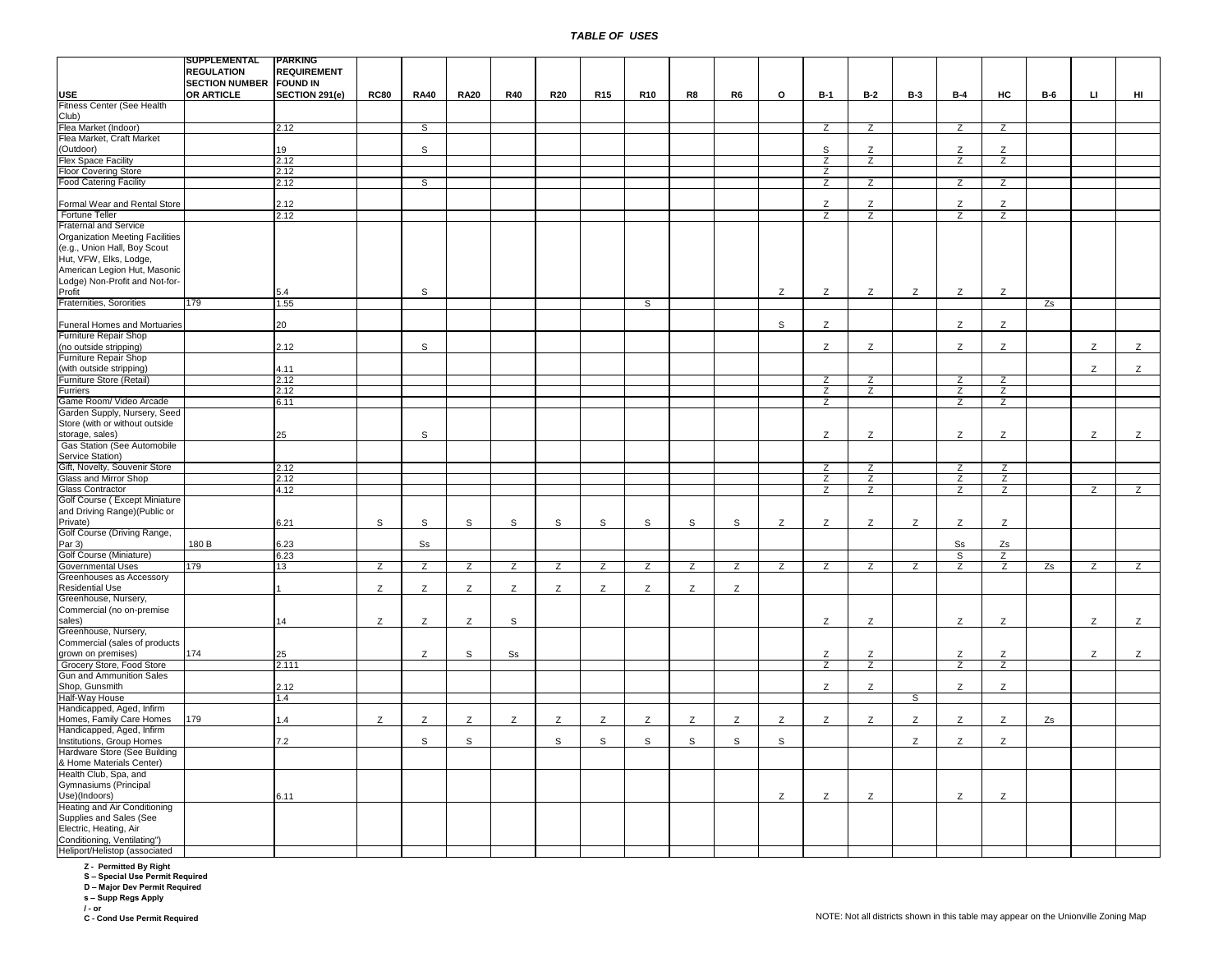|                                        | SUPPLEMENTAL                   | <b>PARKING</b>     |             |                |                |                |                |                 |                |                |    |                |                |                |                |                |                |            |                |                |
|----------------------------------------|--------------------------------|--------------------|-------------|----------------|----------------|----------------|----------------|-----------------|----------------|----------------|----|----------------|----------------|----------------|----------------|----------------|----------------|------------|----------------|----------------|
|                                        | <b>REGULATION</b>              | <b>REQUIREMENT</b> |             |                |                |                |                |                 |                |                |    |                |                |                |                |                |                |            |                |                |
|                                        | <b>SECTION NUMBER FOUND IN</b> |                    |             |                |                |                |                |                 |                |                |    |                |                |                |                |                |                |            |                |                |
|                                        |                                |                    |             |                |                |                |                |                 |                |                |    |                |                |                |                |                |                |            |                |                |
| <b>USE</b>                             | OR ARTICLE                     | SECTION 291(e)     | <b>RC80</b> | <b>RA40</b>    | <b>RA20</b>    | <b>R40</b>     | <b>R20</b>     | R <sub>15</sub> | <b>R10</b>     | R8             | R6 | $\circ$        | <b>B-1</b>     | <b>B-2</b>     | <b>B-3</b>     | <b>B-4</b>     | HC             | <b>B-6</b> | $\mathbf{L}$   | HI             |
| Fitness Center (See Health             |                                |                    |             |                |                |                |                |                 |                |                |    |                |                |                |                |                |                |            |                |                |
| Club)                                  |                                |                    |             |                |                |                |                |                 |                |                |    |                |                |                |                |                |                |            |                |                |
| Flea Market (Indoor)                   |                                | 2.12               |             | S              |                |                |                |                 |                |                |    |                | $\overline{z}$ | $\overline{z}$ |                | $\overline{z}$ | $\overline{z}$ |            |                |                |
| Flea Market, Craft Market              |                                |                    |             |                |                |                |                |                 |                |                |    |                |                |                |                |                |                |            |                |                |
| (Outdoor)                              |                                | 19                 |             | S              |                |                |                |                 |                |                |    |                | S              | Z              |                | Z              | Z              |            |                |                |
| Flex Space Facility                    |                                | 2.12               |             |                |                |                |                |                 |                |                |    |                | $\overline{z}$ | $\overline{z}$ |                | $\overline{z}$ | $\overline{z}$ |            |                |                |
|                                        |                                |                    |             |                |                |                |                |                 |                |                |    |                |                |                |                |                |                |            |                |                |
| <b>Floor Covering Store</b>            |                                | 2.12               |             |                |                |                |                |                 |                |                |    |                | $\overline{z}$ |                |                |                |                |            |                |                |
| <b>Food Catering Facility</b>          |                                | 2.12               |             | $\overline{s}$ |                |                |                |                 |                |                |    |                | $\overline{z}$ | $\overline{z}$ |                | $\overline{z}$ | $\overline{z}$ |            |                |                |
|                                        |                                |                    |             |                |                |                |                |                 |                |                |    |                |                |                |                |                |                |            |                |                |
| Formal Wear and Rental Store           |                                | 2.12               |             |                |                |                |                |                 |                |                |    |                | Z              | Z              |                | Z              | Z              |            |                |                |
| Fortune Teller                         |                                | 2.12               |             |                |                |                |                |                 |                |                |    |                | $\overline{z}$ | $\overline{z}$ |                | Z              | Z              |            |                |                |
| Fraternal and Service                  |                                |                    |             |                |                |                |                |                 |                |                |    |                |                |                |                |                |                |            |                |                |
|                                        |                                |                    |             |                |                |                |                |                 |                |                |    |                |                |                |                |                |                |            |                |                |
| <b>Organization Meeting Facilities</b> |                                |                    |             |                |                |                |                |                 |                |                |    |                |                |                |                |                |                |            |                |                |
| (e.g., Union Hall, Boy Scout           |                                |                    |             |                |                |                |                |                 |                |                |    |                |                |                |                |                |                |            |                |                |
| Hut, VFW, Elks, Lodge,                 |                                |                    |             |                |                |                |                |                 |                |                |    |                |                |                |                |                |                |            |                |                |
| American Legion Hut, Masonic           |                                |                    |             |                |                |                |                |                 |                |                |    |                |                |                |                |                |                |            |                |                |
| Lodge) Non-Profit and Not-for-         |                                |                    |             |                |                |                |                |                 |                |                |    |                |                |                |                |                |                |            |                |                |
| Profit                                 |                                | 5.4                |             | S              |                |                |                |                 |                |                |    | Z              | Z              | Z              | Z              | Z              | Z              |            |                |                |
|                                        |                                |                    |             |                |                |                |                |                 |                |                |    |                |                |                |                |                |                |            |                |                |
| Fraternities, Sororities               | 179                            | 1.55               |             |                |                |                |                |                 | S              |                |    |                |                |                |                |                |                | Zs         |                |                |
|                                        |                                |                    |             |                |                |                |                |                 |                |                |    |                |                |                |                |                |                |            |                |                |
| Funeral Homes and Mortuaries           |                                | 20                 |             |                |                |                |                |                 |                |                |    | s              | Z              |                |                | Z              | Z              |            |                |                |
| Furniture Repair Shop                  |                                |                    |             |                |                |                |                |                 |                |                |    |                |                |                |                |                |                |            |                |                |
| (no outside stripping)                 |                                | 2.12               |             | S              |                |                |                |                 |                |                |    |                | Z              | Z              |                | Z              | $\mathsf{Z}$   |            | Z              | $\mathsf{Z}$   |
| Furniture Repair Shop                  |                                |                    |             |                |                |                |                |                 |                |                |    |                |                |                |                |                |                |            |                |                |
|                                        |                                | 4.11               |             |                |                |                |                |                 |                |                |    |                |                |                |                |                |                |            | Z              | Z              |
| (with outside stripping)               |                                |                    |             |                |                |                |                |                 |                |                |    |                |                |                |                |                |                |            |                |                |
| Furniture Store (Retail)               |                                | 2.12               |             |                |                |                |                |                 |                |                |    |                | $\overline{z}$ | $\overline{z}$ |                | Z              | $\overline{z}$ |            |                |                |
| Furriers                               |                                | 2.12               |             |                |                |                |                |                 |                |                |    |                | $\overline{z}$ | $\overline{z}$ |                | $\overline{z}$ | Z              |            |                |                |
| Game Room/ Video Arcade                |                                | 6.11               |             |                |                |                |                |                 |                |                |    |                | $\overline{z}$ |                |                | $\overline{z}$ | $\overline{z}$ |            |                |                |
| Garden Supply, Nursery, Seed           |                                |                    |             |                |                |                |                |                 |                |                |    |                |                |                |                |                |                |            |                |                |
| Store (with or without outside         |                                |                    |             |                |                |                |                |                 |                |                |    |                |                |                |                |                |                |            |                |                |
|                                        |                                |                    |             |                |                |                |                |                 |                |                |    |                |                |                |                |                |                |            |                |                |
| storage, sales)                        |                                | 25                 |             | S              |                |                |                |                 |                |                |    |                | Z              | Z              |                | Z              | Z              |            | Z              | Z              |
| Gas Station (See Automobile            |                                |                    |             |                |                |                |                |                 |                |                |    |                |                |                |                |                |                |            |                |                |
| Service Station)                       |                                |                    |             |                |                |                |                |                 |                |                |    |                |                |                |                |                |                |            |                |                |
| Gift, Novelty, Souvenir Store          |                                | 2.12               |             |                |                |                |                |                 |                |                |    |                | Ζ              | Ζ              |                | Ζ              | Ζ              |            |                |                |
| Glass and Mirror Shop                  |                                | 2.12               |             |                |                |                |                |                 |                |                |    |                | Ζ              | Ζ              |                | Ζ              | $\overline{z}$ |            |                |                |
| <b>Glass Contractor</b>                |                                | 4.12               |             |                |                |                |                |                 |                |                |    |                | $\overline{z}$ | $\overline{z}$ |                | $\overline{z}$ | $\overline{z}$ |            | $\overline{z}$ | $\overline{z}$ |
|                                        |                                |                    |             |                |                |                |                |                 |                |                |    |                |                |                |                |                |                |            |                |                |
| Golf Course (Except Miniature          |                                |                    |             |                |                |                |                |                 |                |                |    |                |                |                |                |                |                |            |                |                |
| and Driving Range)(Public or           |                                |                    |             |                |                |                |                |                 |                |                |    |                |                |                |                |                |                |            |                |                |
| Private)                               |                                | 6.21               | s           | S              | $\mathsf{s}$   | $\mathsf{s}$   | S              | $\mathsf{s}$    | S              | $\mathsf S$    | s  | Z              | Z              | Z              | Z              | Z              | Z              |            |                |                |
| Golf Course (Driving Range,            |                                |                    |             |                |                |                |                |                 |                |                |    |                |                |                |                |                |                |            |                |                |
| Par 3)                                 | 180 B                          | 6.23               |             | Ss             |                |                |                |                 |                |                |    |                |                |                |                | Ss             | Zs             |            |                |                |
| Golf Course (Miniature)                |                                | 6.23               |             |                |                |                |                |                 |                |                |    |                |                |                |                | S              | Z              |            |                |                |
|                                        |                                |                    |             |                |                |                |                |                 |                |                |    |                |                |                |                |                |                |            |                |                |
| <b>Governmental Uses</b>               | 179                            | 13                 | Z           | $\overline{z}$ | $\overline{z}$ | $\overline{z}$ | $\overline{z}$ | $\overline{z}$  | $\overline{z}$ | $\overline{z}$ | Z  | $\overline{z}$ | Z              | Z              | $\overline{z}$ | Z              | $\overline{z}$ | Zs         | $\overline{z}$ | $\overline{z}$ |
| Greenhouses as Accessory               |                                |                    |             |                |                |                |                |                 |                |                |    |                |                |                |                |                |                |            |                |                |
| <b>Residential Use</b>                 |                                |                    | Z           | Z              | Z              | Z              | Z              | Z               | Z              | Z              | Z  |                |                |                |                |                |                |            |                |                |
| Greenhouse, Nursery,                   |                                |                    |             |                |                |                |                |                 |                |                |    |                |                |                |                |                |                |            |                |                |
| Commercial (no on-premise              |                                |                    |             |                |                |                |                |                 |                |                |    |                |                |                |                |                |                |            |                |                |
| sales)                                 |                                | 14                 | Z           | Z              | Z              | S              |                |                 |                |                |    |                | Z              | Ζ              |                | Ζ              | Z              |            | Z              | Z              |
|                                        |                                |                    |             |                |                |                |                |                 |                |                |    |                |                |                |                |                |                |            |                |                |
| Greenhouse, Nursery,                   |                                |                    |             |                |                |                |                |                 |                |                |    |                |                |                |                |                |                |            |                |                |
| Commercial (sales of products          |                                |                    |             |                |                |                |                |                 |                |                |    |                |                |                |                |                |                |            |                |                |
| grown on premises)                     | 174                            | 25                 |             | Z              | S              | S <sub>S</sub> |                |                 |                |                |    |                | Z              | Z              |                | Z              | Z              |            | Z              | Z              |
| Grocery Store, Food Store              |                                | 2.111              |             |                |                |                |                |                 |                |                |    |                | Z              | Z              |                | Z              | Z              |            |                |                |
| Gun and Ammunition Sales               |                                |                    |             |                |                |                |                |                 |                |                |    |                |                |                |                |                |                |            |                |                |
| Shop, Gunsmith                         |                                | 2.12               |             |                |                |                |                |                 |                |                |    |                | Z              | Z              |                | Z              | Z              |            |                |                |
| Half-Way House                         |                                |                    |             |                |                |                |                |                 |                |                |    |                |                |                |                |                |                |            |                |                |
|                                        |                                | 1.4                |             |                |                |                |                |                 |                |                |    |                |                |                | S              |                |                |            |                |                |
| Handicapped, Aged, Infirm              |                                |                    |             |                |                |                |                |                 |                |                |    |                |                |                |                |                |                |            |                |                |
| Homes, Family Care Homes               | 179                            | 1.4                | Z           | Z              | Z              | Z              | Z              | Z               | Z              | Z              | Z  | Z              | Z              | Z              | Z              | Z              | Z              | Zs         |                |                |
| Handicapped, Aged, Infirm              |                                |                    |             |                |                |                |                |                 |                |                |    |                |                |                |                |                |                |            |                |                |
| Institutions, Group Homes              |                                | 7.2                |             | s              | s              |                | s              | s               | s              | s              | S  | s              |                |                | Z              | Z              | Z              |            |                |                |
| Hardware Store (See Building           |                                |                    |             |                |                |                |                |                 |                |                |    |                |                |                |                |                |                |            |                |                |
|                                        |                                |                    |             |                |                |                |                |                 |                |                |    |                |                |                |                |                |                |            |                |                |
| & Home Materials Center)               |                                |                    |             |                |                |                |                |                 |                |                |    |                |                |                |                |                |                |            |                |                |
| Health Club, Spa, and                  |                                |                    |             |                |                |                |                |                 |                |                |    |                |                |                |                |                |                |            |                |                |
| Gymnasiums (Principal                  |                                |                    |             |                |                |                |                |                 |                |                |    |                |                |                |                |                |                |            |                |                |
| Use)(Indoors)                          |                                | 6.11               |             |                |                |                |                |                 |                |                |    | Z              | Z              | Z              |                | Z              | Z              |            |                |                |
| Heating and Air Conditioning           |                                |                    |             |                |                |                |                |                 |                |                |    |                |                |                |                |                |                |            |                |                |
| Supplies and Sales (See                |                                |                    |             |                |                |                |                |                 |                |                |    |                |                |                |                |                |                |            |                |                |
| Electric, Heating, Air                 |                                |                    |             |                |                |                |                |                 |                |                |    |                |                |                |                |                |                |            |                |                |
|                                        |                                |                    |             |                |                |                |                |                 |                |                |    |                |                |                |                |                |                |            |                |                |
| Conditioning, Ventilating")            |                                |                    |             |                |                |                |                |                 |                |                |    |                |                |                |                |                |                |            |                |                |
| Heliport/Helistop (associated          |                                |                    |             |                |                |                |                |                 |                |                |    |                |                |                |                |                |                |            |                |                |

**Z - Permitted By Right S – Special Use Permit Required D – Major Dev Permit Required**

**s – Supp Regs Apply**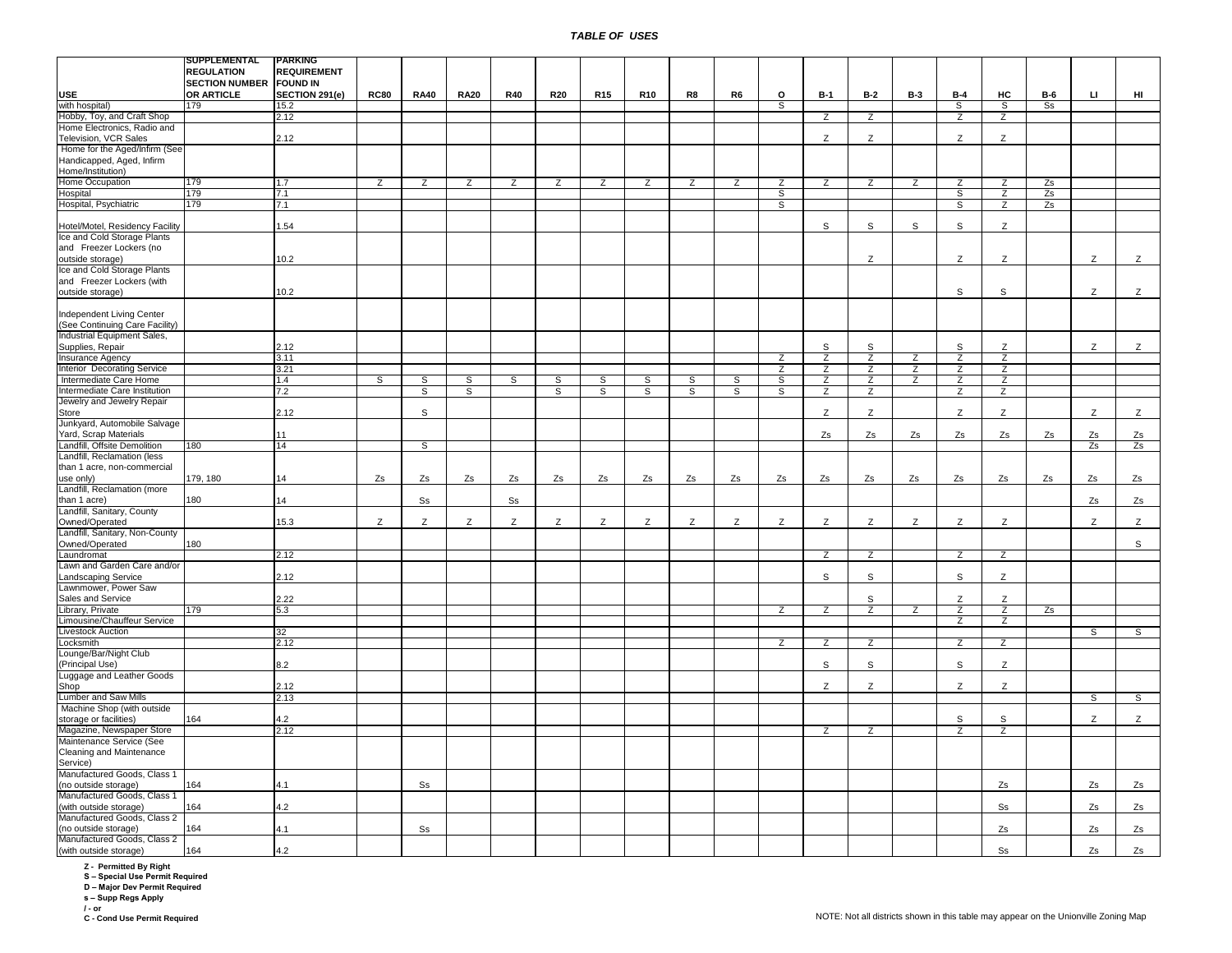|                                 | SUPPLEMENTAL                   | <b>PARKING</b>     |                |                |                |                |                |                |                |                |                |                |                |                |                |                |                |            |     |                |
|---------------------------------|--------------------------------|--------------------|----------------|----------------|----------------|----------------|----------------|----------------|----------------|----------------|----------------|----------------|----------------|----------------|----------------|----------------|----------------|------------|-----|----------------|
|                                 | <b>REGULATION</b>              | <b>REQUIREMENT</b> |                |                |                |                |                |                |                |                |                |                |                |                |                |                |                |            |     |                |
|                                 | <b>SECTION NUMBER FOUND IN</b> |                    |                |                |                |                |                |                |                |                |                |                |                |                |                |                |                |            |     |                |
|                                 |                                |                    |                |                |                |                |                |                |                |                |                |                |                |                |                |                |                |            |     |                |
| <b>USE</b>                      | OR ARTICLE                     | SECTION 291(e)     | <b>RC80</b>    | <b>RA40</b>    | <b>RA20</b>    | <b>R40</b>     | <b>R20</b>     | <b>R15</b>     | <b>R10</b>     | R8             | R6             | o              | $B-1$          | $B-2$          | <b>B-3</b>     | $B-4$          | HC             | <b>B-6</b> | IJ. | HI             |
| with hospital)                  | 179                            | 15.2               |                |                |                |                |                |                |                |                |                | s              |                |                |                | S              | S              | Ss         |     |                |
|                                 |                                |                    |                |                |                |                |                |                |                |                |                |                |                |                |                |                |                |            |     |                |
| Hobby, Toy, and Craft Shop      |                                | 2.12               |                |                |                |                |                |                |                |                |                |                | $\overline{z}$ | $\overline{z}$ |                | Z              | Z              |            |     |                |
| Home Electronics, Radio and     |                                |                    |                |                |                |                |                |                |                |                |                |                |                |                |                |                |                |            |     |                |
| Television, VCR Sales           |                                | 2.12               |                |                |                |                |                |                |                |                |                |                | Z              | Z              |                | Z              | Z              |            |     |                |
| Home for the Aged/Infirm (See   |                                |                    |                |                |                |                |                |                |                |                |                |                |                |                |                |                |                |            |     |                |
|                                 |                                |                    |                |                |                |                |                |                |                |                |                |                |                |                |                |                |                |            |     |                |
| Handicapped, Aged, Infirm       |                                |                    |                |                |                |                |                |                |                |                |                |                |                |                |                |                |                |            |     |                |
| Home/Institution)               |                                |                    |                |                |                |                |                |                |                |                |                |                |                |                |                |                |                |            |     |                |
| Home Occupation                 | 179                            | 1.7                | $\overline{z}$ | $\overline{z}$ | $\overline{z}$ | $\overline{z}$ | $\overline{z}$ | $\overline{z}$ | $\overline{z}$ | $\overline{z}$ | $\overline{z}$ | $\overline{z}$ | $\overline{z}$ | $\overline{z}$ | $\overline{z}$ | $\overline{z}$ | $\overline{z}$ | Zs         |     |                |
|                                 | 179                            |                    |                |                |                |                |                |                |                |                |                |                |                |                |                |                |                |            |     |                |
| Hospital                        |                                | 7.1                |                |                |                |                |                |                |                |                |                | S              |                |                |                | S              | $\overline{z}$ | Zs         |     |                |
| Hospital, Psychiatric           | 179                            | 7.1                |                |                |                |                |                |                |                |                |                | s              |                |                |                | s              | $\overline{z}$ | Zs         |     |                |
|                                 |                                |                    |                |                |                |                |                |                |                |                |                |                |                |                |                |                |                |            |     |                |
| Hotel/Motel, Residency Facility |                                | .54                |                |                |                |                |                |                |                |                |                |                | S              | S              | S              | S              | Z              |            |     |                |
|                                 |                                |                    |                |                |                |                |                |                |                |                |                |                |                |                |                |                |                |            |     |                |
| Ice and Cold Storage Plants     |                                |                    |                |                |                |                |                |                |                |                |                |                |                |                |                |                |                |            |     |                |
| and Freezer Lockers (no         |                                |                    |                |                |                |                |                |                |                |                |                |                |                |                |                |                |                |            |     |                |
| outside storage)                |                                | 10.2               |                |                |                |                |                |                |                |                |                |                |                | Z              |                | Z              | Z              |            | Z   | Z              |
|                                 |                                |                    |                |                |                |                |                |                |                |                |                |                |                |                |                |                |                |            |     |                |
| Ice and Cold Storage Plants     |                                |                    |                |                |                |                |                |                |                |                |                |                |                |                |                |                |                |            |     |                |
| and Freezer Lockers (with       |                                |                    |                |                |                |                |                |                |                |                |                |                |                |                |                |                |                |            |     |                |
| outside storage)                |                                | 10.2               |                |                |                |                |                |                |                |                |                |                |                |                |                | S              | s              |            | Z   | Z              |
|                                 |                                |                    |                |                |                |                |                |                |                |                |                |                |                |                |                |                |                |            |     |                |
|                                 |                                |                    |                |                |                |                |                |                |                |                |                |                |                |                |                |                |                |            |     |                |
| Independent Living Center       |                                |                    |                |                |                |                |                |                |                |                |                |                |                |                |                |                |                |            |     |                |
| (See Continuing Care Facility)  |                                |                    |                |                |                |                |                |                |                |                |                |                |                |                |                |                |                |            |     |                |
| Industrial Equipment Sales,     |                                |                    |                |                |                |                |                |                |                |                |                |                |                |                |                |                |                |            |     |                |
|                                 |                                |                    |                |                |                |                |                |                |                |                |                |                |                |                |                |                |                |            |     |                |
| Supplies, Repair                |                                | 2.12               |                |                |                |                |                |                |                |                |                |                | S              | S              |                | S              | Z              |            | Z   | Z              |
| Insurance Agency                |                                | 3.11               |                |                |                |                |                |                |                |                |                | Z              | $\overline{z}$ | Z              | Z              | $\overline{z}$ | Z              |            |     |                |
| Interior Decorating Service     |                                | 3.21               |                |                |                |                |                |                |                |                |                | Z              | Z              | Z              | Z              | Z              | Z              |            |     |                |
|                                 |                                |                    |                |                |                |                |                |                |                |                |                |                |                |                |                |                |                |            |     |                |
| Intermediate Care Home          |                                | 1.4                | s              | S              | S              | s,             | $\overline{s}$ | S              | s              | $\overline{s}$ | s              | S              | $\overline{z}$ | $\overline{z}$ | $\overline{z}$ | Z              | Z              |            |     |                |
| Intermediate Care Institution   |                                | 7.2                |                | $\overline{s}$ | $\overline{s}$ |                | $\overline{s}$ | $\overline{s}$ | S              | $\overline{s}$ | $\overline{s}$ | $\overline{s}$ | $\overline{z}$ | Z              |                | Z              | $\overline{z}$ |            |     |                |
| Jewelry and Jewelry Repair      |                                |                    |                |                |                |                |                |                |                |                |                |                |                |                |                |                |                |            |     |                |
|                                 |                                | 2.12               |                | s              |                |                |                |                |                |                |                |                | Z              | Z              |                | Z              | Z              |            | Z   |                |
| Store                           |                                |                    |                |                |                |                |                |                |                |                |                |                |                |                |                |                |                |            |     | Z              |
| Junkyard, Automobile Salvage    |                                |                    |                |                |                |                |                |                |                |                |                |                |                |                |                |                |                |            |     |                |
| Yard, Scrap Materials           |                                | 11                 |                |                |                |                |                |                |                |                |                |                | Zs             | Zs             | Zs             | Zs             | Zs             | Zs         | Zs  | Zs             |
| Landfill, Offsite Demolition    | 180                            | 14                 |                |                |                |                |                |                |                |                |                |                |                |                |                |                |                |            | Zs  | Zs             |
|                                 |                                |                    |                | S              |                |                |                |                |                |                |                |                |                |                |                |                |                |            |     |                |
| Landfill, Reclamation (less     |                                |                    |                |                |                |                |                |                |                |                |                |                |                |                |                |                |                |            |     |                |
| than 1 acre, non-commercial     |                                |                    |                |                |                |                |                |                |                |                |                |                |                |                |                |                |                |            |     |                |
| use only)                       | 179, 180                       | 14                 | Zs             | Zs             | Zs             | Zs             | Zs             | Zs             | Zs             | Zs             | Zs             | Zs             | Zs             | Zs             | Zs             | Zs             | Zs             | Zs         | Zs  | Zs             |
|                                 |                                |                    |                |                |                |                |                |                |                |                |                |                |                |                |                |                |                |            |     |                |
| Landfill, Reclamation (more     |                                |                    |                |                |                |                |                |                |                |                |                |                |                |                |                |                |                |            |     |                |
| than 1 acre)                    | 180                            | 14                 |                | S <sub>S</sub> |                | S <sub>S</sub> |                |                |                |                |                |                |                |                |                |                |                |            | Zs  | Zs             |
| Landfill, Sanitary, County      |                                |                    |                |                |                |                |                |                |                |                |                |                |                |                |                |                |                |            |     |                |
| Owned/Operated                  |                                | 15.3               | Z              | Z              | Z              | Z              | Z              | Z              | Z              | Z              | Z              | Z              | Z              | Z              | Z              | Z              | Z              |            | Z   | Z              |
|                                 |                                |                    |                |                |                |                |                |                |                |                |                |                |                |                |                |                |                |            |     |                |
| Landfill, Sanitary, Non-County  |                                |                    |                |                |                |                |                |                |                |                |                |                |                |                |                |                |                |            |     |                |
| Owned/Operated                  | 180                            |                    |                |                |                |                |                |                |                |                |                |                |                |                |                |                |                |            |     | S              |
| Laundromat                      |                                | 2.12               |                |                |                |                |                |                |                |                |                |                | Z              | Z              |                | Z              | Z              |            |     |                |
|                                 |                                |                    |                |                |                |                |                |                |                |                |                |                |                |                |                |                |                |            |     |                |
| Lawn and Garden Care and/or     |                                |                    |                |                |                |                |                |                |                |                |                |                |                |                |                |                |                |            |     |                |
| Landscaping Service             |                                | 2.12               |                |                |                |                |                |                |                |                |                |                | S              | S              |                | $\mathbb S$    | Z              |            |     |                |
| Lawnmower, Power Saw            |                                |                    |                |                |                |                |                |                |                |                |                |                |                |                |                |                |                |            |     |                |
|                                 |                                | 2.22               |                |                |                |                |                |                |                |                |                |                |                | $\mathsf{s}$   |                | Z              | Z              |            |     |                |
| Sales and Service               |                                |                    |                |                |                |                |                |                |                |                |                |                |                |                |                |                |                |            |     |                |
| Library, Private                | 179                            | 5.3                |                |                |                |                |                |                |                |                |                | Z              | Z              | $\overline{z}$ | Z              | Z              | Z              | Zs         |     |                |
| Limousine/Chauffeur Service     |                                |                    |                |                |                |                |                |                |                |                |                |                |                |                |                | z              | $\overline{z}$ |            |     |                |
| <b>Livestock Auction</b>        |                                | $\overline{32}$    |                |                |                |                |                |                |                |                |                |                |                |                |                |                |                |            | s   | $\overline{s}$ |
|                                 |                                |                    |                |                |                |                |                |                |                |                |                |                |                |                |                |                |                |            |     |                |
| Locksmith                       |                                | 2.12               |                |                |                |                |                |                |                |                |                | Z              | z              | Z              |                | Z              | Z              |            |     |                |
| Lounge/Bar/Night Club           |                                |                    |                |                |                |                |                |                |                |                |                |                |                |                |                |                |                |            |     |                |
| (Principal Use)                 |                                | 8.2                |                |                |                |                |                |                |                |                |                |                | S              | $\mathsf{s}$   |                | $\mathsf{s}$   | Z              |            |     |                |
|                                 |                                |                    |                |                |                |                |                |                |                |                |                |                |                |                |                |                |                |            |     |                |
| Luggage and Leather Goods       |                                |                    |                |                |                |                |                |                |                |                |                |                |                |                |                |                |                |            |     |                |
| Shop                            |                                | 2.12               |                |                |                |                |                |                |                |                |                |                | Z              | Z              |                | Z              | Z              |            |     |                |
| Lumber and Saw Mills            |                                | 2.13               |                |                |                |                |                |                |                |                |                |                |                |                |                |                |                |            | S   | S              |
| Machine Shop (with outside      |                                |                    |                |                |                |                |                |                |                |                |                |                |                |                |                |                |                |            |     |                |
|                                 |                                |                    |                |                |                |                |                |                |                |                |                |                |                |                |                |                |                |            |     |                |
| storage or facilities)          | 164                            | 4.2                |                |                |                |                |                |                |                |                |                |                |                |                |                | S              | S              |            | Z   | $\mathsf{Z}$   |
| Magazine, Newspaper Store       |                                | 2.12               |                |                |                |                |                |                |                |                |                |                | z              | z              |                | z              | Z              |            |     |                |
| Maintenance Service (See        |                                |                    |                |                |                |                |                |                |                |                |                |                |                |                |                |                |                |            |     |                |
|                                 |                                |                    |                |                |                |                |                |                |                |                |                |                |                |                |                |                |                |            |     |                |
| Cleaning and Maintenance        |                                |                    |                |                |                |                |                |                |                |                |                |                |                |                |                |                |                |            |     |                |
| Service)                        |                                |                    |                |                |                |                |                |                |                |                |                |                |                |                |                |                |                |            |     |                |
| Manufactured Goods, Class 1     |                                |                    |                |                |                |                |                |                |                |                |                |                |                |                |                |                |                |            |     |                |
| (no outside storage)            | 164                            |                    |                |                |                |                |                |                |                |                |                |                |                |                |                |                |                |            |     |                |
|                                 |                                | 4.1                |                | S <sub>S</sub> |                |                |                |                |                |                |                |                |                |                |                |                | Zs             |            | Zs  | Zs             |
| Manufactured Goods, Class 1     |                                |                    |                |                |                |                |                |                |                |                |                |                |                |                |                |                |                |            |     |                |
| (with outside storage)          | 164                            | 4.2                |                |                |                |                |                |                |                |                |                |                |                |                |                |                | S <sub>S</sub> |            | Zs  | Zs             |
| Manufactured Goods, Class 2     |                                |                    |                |                |                |                |                |                |                |                |                |                |                |                |                |                |                |            |     |                |
|                                 |                                |                    |                |                |                |                |                |                |                |                |                |                |                |                |                |                |                |            |     |                |
| (no outside storage)            | 164                            | 4.1                |                | S <sub>S</sub> |                |                |                |                |                |                |                |                |                |                |                |                | Zs             |            | Zs  | Zs             |
| Manufactured Goods, Class 2     |                                |                    |                |                |                |                |                |                |                |                |                |                |                |                |                |                |                |            |     |                |
| (with outside storage)          | 164                            | 4.2                |                |                |                |                |                |                |                |                |                |                |                |                |                |                | Ss             |            | Zs  | Zs             |
|                                 |                                |                    |                |                |                |                |                |                |                |                |                |                |                |                |                |                |                |            |     |                |

**Z - Permitted By Right S – Special Use Permit Required D – Major Dev Permit Required s – Supp Regs Apply**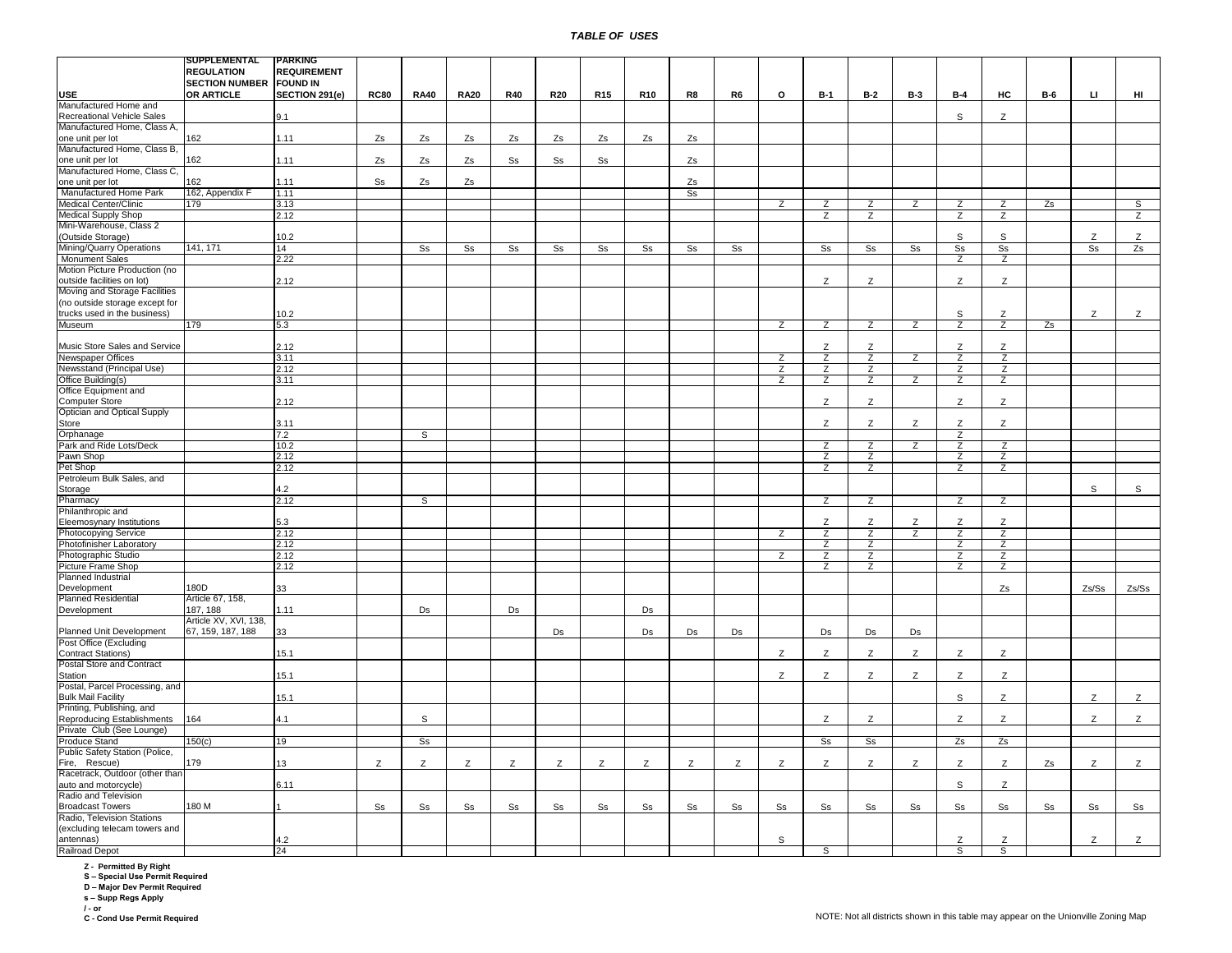| <b>REGULATION</b><br><b>REQUIREMENT</b><br><b>SECTION NUMBER FOUND IN</b><br>OR ARTICLE<br>SECTION 291(e)<br><b>RC80</b><br>нc<br>LI.<br>HI<br><b>USE</b><br><b>RA40</b><br><b>RA20</b><br><b>R40</b><br><b>R20</b><br>R <sub>15</sub><br><b>R10</b><br>R8<br>R6<br>o<br>$B-1$<br><b>B-2</b><br><b>B-3</b><br>$B-4$<br><b>B-6</b><br>Manufactured Home and<br><b>Recreational Vehicle Sales</b><br>9.1<br>s<br>Z<br>Manufactured Home, Class A,<br>162<br>1.11<br>Zs<br>Zs<br>Zs<br>Zs<br>Zs<br>one unit per lot<br>Zs<br>Zs<br>Zs<br>Manufactured Home, Class B,<br>162<br>1.11<br>Zs<br>Zs<br>Zs<br>one unit per lot<br>Ss<br>Ss<br>Ss<br>Zs<br>Manufactured Home, Class C,<br>162<br>1.11<br>S <sub>S</sub><br>Zs<br>one unit per lot<br>Zs<br>Zs<br>162, Appendix F<br>Manufactured Home Park<br>1.11<br>S <sub>S</sub><br>Medical Center/Clinic<br>Zs<br>S<br>179<br>3.13<br>Z<br>Ζ<br>Z<br>Z<br>Z<br>Z<br><b>Medical Supply Shop</b><br>2.12<br>$\overline{z}$<br>$\overline{z}$<br>$\overline{z}$<br>Z<br>$\overline{z}$<br>Mini-Warehouse, Class 2<br>(Outside Storage)<br>10.2<br>S<br>S<br>Z<br>Z<br>Mining/Quarry Operations<br>141, 171<br>s <sub>s</sub><br>S <sub>s</sub><br>Zs<br>14<br>S <sub>S</sub><br>S <sub>S</sub><br>S <sub>S</sub><br>S <sub>S</sub><br>S <sub>S</sub><br>S <sub>S</sub><br>S <sub>S</sub><br>S <sub>S</sub><br>S <sub>s</sub><br>S <sub>S</sub><br>S <sub>S</sub><br>S <sub>S</sub><br><b>Monument Sales</b><br>2.22<br>z<br>z<br>Motion Picture Production (no<br>2.12<br>Z<br>Z<br>Z<br>Z<br>outside facilities on lot)<br>Moving and Storage Facilities<br>(no outside storage except for<br>trucks used in the business)<br>Z<br>10.2<br>S<br>Z<br>Z<br>Museum<br>179<br>5.3<br>Z<br>$\overline{z}$<br>$\overline{z}$<br>$\overline{z}$<br>$\overline{z}$<br>$\overline{z}$<br>Zs<br>Music Store Sales and Service<br>2.12<br>Z<br>Z<br>Z<br>Z<br>Newspaper Offices<br>3.11<br>$\overline{z}$<br>$\overline{z}$<br>Z<br>$\overline{z}$<br>$\overline{z}$<br>$\overline{z}$<br>$\overline{z}$<br>$\overline{z}$<br>Newsstand (Principal Use)<br>$\overline{z}$<br>$\overline{z}$<br>$\overline{z}$<br>2.12<br>Office Building(s)<br>$\overline{z}$<br>$\overline{z}$<br>$\overline{z}$<br>$\overline{z}$<br>$\overline{z}$<br>$\overline{z}$<br>3.11<br>Office Equipment and<br>Z<br>Z<br>Z<br>Z<br><b>Computer Store</b><br>2.12<br>Optician and Optical Supply<br>Store<br>3.11<br>Z<br>Z<br>Z<br>Z<br>Z<br>Orphanage<br>7.2<br>S<br>Ζ<br>Park and Ride Lots/Deck<br>10.2<br>Z<br>Z<br>Z<br>Ζ<br>Z<br>Pawn Shop<br>2.12<br>Ζ<br>Z<br>Z<br>Z<br>Ζ<br>Z<br>Pet Shop<br>2.12<br>Z<br>Z<br>Petroleum Bulk Sales, and<br>s<br>4.2<br>S<br>Storage<br>2.12<br>S<br>Z<br>Z<br>Pharmacy<br>z<br>Z<br>Philanthropic and<br>Z<br>Eleemosynary Institutions<br>5.3<br>Z<br>Z<br>Z<br>z<br><b>Photocopying Service</b><br>2.12<br>$\overline{z}$<br>$\overline{z}$<br>$\overline{z}$<br>$\overline{z}$<br>$\overline{z}$<br>$\overline{z}$<br>Photofinisher Laboratory<br>2.12<br>$\overline{z}$<br>$\overline{z}$<br>$\overline{z}$<br>Z<br>$\overline{z}$<br>$\overline{z}$<br>$\overline{z}$<br>Photographic Studio<br>2.12<br>Z<br>$\overline{z}$<br>Picture Frame Shop<br>$\overline{z}$<br>$\overline{z}$<br>$\overline{z}$<br>$\overline{z}$<br>2.12<br>Planned Industrial<br>180D<br>Zs/Ss<br>Zs/Ss<br>33<br>Development<br>Zs<br>Planned Residential<br>Article 67, 158,<br>187, 188<br>1.11<br>Ds<br>Ds<br>Development<br>Ds<br>Article XV, XVI, 138,<br>Planned Unit Development<br>67, 159, 187, 188<br>33<br>Ds<br>Ds<br>Ds<br>Ds<br>Ds<br>Ds<br>Ds<br>Post Office (Excluding<br><b>Contract Stations)</b><br>15.1<br>Z<br>Z<br>Z<br>Z<br>Z<br>Z<br><b>Postal Store and Contract</b><br>Z<br>Station<br>15.1<br>Ζ<br>Ζ<br>Z<br>Ζ<br>Ζ<br>Postal, Parcel Processing, and<br>15.1<br>s<br>Z<br>Z<br><b>Bulk Mail Facility</b><br>Z<br>Printing, Publishing, and<br>164<br>Z<br>Reproducing Establishments<br>4.1<br>Z<br>Z<br>Z<br>Z<br>S<br>Ζ<br>Private Club (See Lounge)<br>Produce Stand<br>150(c)<br>19<br>s <sub>s</sub><br>s <sub>s</sub><br>s <sub>s</sub><br>Zs<br>Zs<br>Public Safety Station (Police,<br>Fire, Rescue)<br>179<br>13<br>Z<br>Z<br>Z<br>Z<br>Z<br>Z<br>Z<br>Z<br>Z<br>Z<br>Z<br>Z<br>Z<br>Z<br>Z<br>Z<br>Z<br>Zs<br>Racetrack, Outdoor (other than<br>Z<br>auto and motorcycle)<br>6.11<br>s<br>Radio and Television<br>180 M<br><b>Broadcast Towers</b><br>Ss<br>S <sub>S</sub><br>S <sub>S</sub><br>S <sub>S</sub><br>S <sub>S</sub><br>Ss<br>S <sub>S</sub><br>Ss<br>Ss<br>Ss<br>S <sub>S</sub><br>S <sub>S</sub><br>S <sub>S</sub><br>S <sub>S</sub><br>Ss<br>S <sub>S</sub><br>S <sub>S</sub><br>S <sub>S</sub><br>Radio, Television Stations<br>(excluding telecam towers and<br>4.2<br>Z<br>Z<br>Z<br>Z<br>antennas)<br>s<br><b>Railroad Depot</b><br>24<br>s<br>s<br>S | SUPPLEMENTAL | PARKING |  |  |  |  |  |  |  |  |  |
|-----------------------------------------------------------------------------------------------------------------------------------------------------------------------------------------------------------------------------------------------------------------------------------------------------------------------------------------------------------------------------------------------------------------------------------------------------------------------------------------------------------------------------------------------------------------------------------------------------------------------------------------------------------------------------------------------------------------------------------------------------------------------------------------------------------------------------------------------------------------------------------------------------------------------------------------------------------------------------------------------------------------------------------------------------------------------------------------------------------------------------------------------------------------------------------------------------------------------------------------------------------------------------------------------------------------------------------------------------------------------------------------------------------------------------------------------------------------------------------------------------------------------------------------------------------------------------------------------------------------------------------------------------------------------------------------------------------------------------------------------------------------------------------------------------------------------------------------------------------------------------------------------------------------------------------------------------------------------------------------------------------------------------------------------------------------------------------------------------------------------------------------------------------------------------------------------------------------------------------------------------------------------------------------------------------------------------------------------------------------------------------------------------------------------------------------------------------------------------------------------------------------------------------------------------------------------------------------------------------------------------------------------------------------------------------------------------------------------------------------------------------------------------------------------------------------------------------------------------------------------------------------------------------------------------------------------------------------------------------------------------------------------------------------------------------------------------------------------------------------------------------------------------------------------------------------------------------------------------------------------------------------------------------------------------------------------------------------------------------------------------------------------------------------------------------------------------------------------------------------------------------------------------------------------------------------------------------------------------------------------------------------------------------------------------------------------------------------------------------------------------------------------------------------------------------------------------------------------------------------------------------------------------------------------------------------------------------------------------------------------------------------------------------------------------------------------------------------------------------------------------------------------------------------------------------------------------------------------------------------------------------------------------------------------------------------------------------------------------------------------------------------------------------------------------------------------------------------------------------------------------------------------------------------------------------------------------------------------------------------------------------------------------------------------------------------------------------------------------------------------------------------------------------------------------------------------------------------------------|--------------|---------|--|--|--|--|--|--|--|--|--|
|                                                                                                                                                                                                                                                                                                                                                                                                                                                                                                                                                                                                                                                                                                                                                                                                                                                                                                                                                                                                                                                                                                                                                                                                                                                                                                                                                                                                                                                                                                                                                                                                                                                                                                                                                                                                                                                                                                                                                                                                                                                                                                                                                                                                                                                                                                                                                                                                                                                                                                                                                                                                                                                                                                                                                                                                                                                                                                                                                                                                                                                                                                                                                                                                                                                                                                                                                                                                                                                                                                                                                                                                                                                                                                                                                                                                                                                                                                                                                                                                                                                                                                                                                                                                                                                                                                                                                                                                                                                                                                                                                                                                                                                                                                                                                                                                                                                     |              |         |  |  |  |  |  |  |  |  |  |
|                                                                                                                                                                                                                                                                                                                                                                                                                                                                                                                                                                                                                                                                                                                                                                                                                                                                                                                                                                                                                                                                                                                                                                                                                                                                                                                                                                                                                                                                                                                                                                                                                                                                                                                                                                                                                                                                                                                                                                                                                                                                                                                                                                                                                                                                                                                                                                                                                                                                                                                                                                                                                                                                                                                                                                                                                                                                                                                                                                                                                                                                                                                                                                                                                                                                                                                                                                                                                                                                                                                                                                                                                                                                                                                                                                                                                                                                                                                                                                                                                                                                                                                                                                                                                                                                                                                                                                                                                                                                                                                                                                                                                                                                                                                                                                                                                                                     |              |         |  |  |  |  |  |  |  |  |  |
|                                                                                                                                                                                                                                                                                                                                                                                                                                                                                                                                                                                                                                                                                                                                                                                                                                                                                                                                                                                                                                                                                                                                                                                                                                                                                                                                                                                                                                                                                                                                                                                                                                                                                                                                                                                                                                                                                                                                                                                                                                                                                                                                                                                                                                                                                                                                                                                                                                                                                                                                                                                                                                                                                                                                                                                                                                                                                                                                                                                                                                                                                                                                                                                                                                                                                                                                                                                                                                                                                                                                                                                                                                                                                                                                                                                                                                                                                                                                                                                                                                                                                                                                                                                                                                                                                                                                                                                                                                                                                                                                                                                                                                                                                                                                                                                                                                                     |              |         |  |  |  |  |  |  |  |  |  |
|                                                                                                                                                                                                                                                                                                                                                                                                                                                                                                                                                                                                                                                                                                                                                                                                                                                                                                                                                                                                                                                                                                                                                                                                                                                                                                                                                                                                                                                                                                                                                                                                                                                                                                                                                                                                                                                                                                                                                                                                                                                                                                                                                                                                                                                                                                                                                                                                                                                                                                                                                                                                                                                                                                                                                                                                                                                                                                                                                                                                                                                                                                                                                                                                                                                                                                                                                                                                                                                                                                                                                                                                                                                                                                                                                                                                                                                                                                                                                                                                                                                                                                                                                                                                                                                                                                                                                                                                                                                                                                                                                                                                                                                                                                                                                                                                                                                     |              |         |  |  |  |  |  |  |  |  |  |
|                                                                                                                                                                                                                                                                                                                                                                                                                                                                                                                                                                                                                                                                                                                                                                                                                                                                                                                                                                                                                                                                                                                                                                                                                                                                                                                                                                                                                                                                                                                                                                                                                                                                                                                                                                                                                                                                                                                                                                                                                                                                                                                                                                                                                                                                                                                                                                                                                                                                                                                                                                                                                                                                                                                                                                                                                                                                                                                                                                                                                                                                                                                                                                                                                                                                                                                                                                                                                                                                                                                                                                                                                                                                                                                                                                                                                                                                                                                                                                                                                                                                                                                                                                                                                                                                                                                                                                                                                                                                                                                                                                                                                                                                                                                                                                                                                                                     |              |         |  |  |  |  |  |  |  |  |  |
|                                                                                                                                                                                                                                                                                                                                                                                                                                                                                                                                                                                                                                                                                                                                                                                                                                                                                                                                                                                                                                                                                                                                                                                                                                                                                                                                                                                                                                                                                                                                                                                                                                                                                                                                                                                                                                                                                                                                                                                                                                                                                                                                                                                                                                                                                                                                                                                                                                                                                                                                                                                                                                                                                                                                                                                                                                                                                                                                                                                                                                                                                                                                                                                                                                                                                                                                                                                                                                                                                                                                                                                                                                                                                                                                                                                                                                                                                                                                                                                                                                                                                                                                                                                                                                                                                                                                                                                                                                                                                                                                                                                                                                                                                                                                                                                                                                                     |              |         |  |  |  |  |  |  |  |  |  |
|                                                                                                                                                                                                                                                                                                                                                                                                                                                                                                                                                                                                                                                                                                                                                                                                                                                                                                                                                                                                                                                                                                                                                                                                                                                                                                                                                                                                                                                                                                                                                                                                                                                                                                                                                                                                                                                                                                                                                                                                                                                                                                                                                                                                                                                                                                                                                                                                                                                                                                                                                                                                                                                                                                                                                                                                                                                                                                                                                                                                                                                                                                                                                                                                                                                                                                                                                                                                                                                                                                                                                                                                                                                                                                                                                                                                                                                                                                                                                                                                                                                                                                                                                                                                                                                                                                                                                                                                                                                                                                                                                                                                                                                                                                                                                                                                                                                     |              |         |  |  |  |  |  |  |  |  |  |
|                                                                                                                                                                                                                                                                                                                                                                                                                                                                                                                                                                                                                                                                                                                                                                                                                                                                                                                                                                                                                                                                                                                                                                                                                                                                                                                                                                                                                                                                                                                                                                                                                                                                                                                                                                                                                                                                                                                                                                                                                                                                                                                                                                                                                                                                                                                                                                                                                                                                                                                                                                                                                                                                                                                                                                                                                                                                                                                                                                                                                                                                                                                                                                                                                                                                                                                                                                                                                                                                                                                                                                                                                                                                                                                                                                                                                                                                                                                                                                                                                                                                                                                                                                                                                                                                                                                                                                                                                                                                                                                                                                                                                                                                                                                                                                                                                                                     |              |         |  |  |  |  |  |  |  |  |  |
|                                                                                                                                                                                                                                                                                                                                                                                                                                                                                                                                                                                                                                                                                                                                                                                                                                                                                                                                                                                                                                                                                                                                                                                                                                                                                                                                                                                                                                                                                                                                                                                                                                                                                                                                                                                                                                                                                                                                                                                                                                                                                                                                                                                                                                                                                                                                                                                                                                                                                                                                                                                                                                                                                                                                                                                                                                                                                                                                                                                                                                                                                                                                                                                                                                                                                                                                                                                                                                                                                                                                                                                                                                                                                                                                                                                                                                                                                                                                                                                                                                                                                                                                                                                                                                                                                                                                                                                                                                                                                                                                                                                                                                                                                                                                                                                                                                                     |              |         |  |  |  |  |  |  |  |  |  |
|                                                                                                                                                                                                                                                                                                                                                                                                                                                                                                                                                                                                                                                                                                                                                                                                                                                                                                                                                                                                                                                                                                                                                                                                                                                                                                                                                                                                                                                                                                                                                                                                                                                                                                                                                                                                                                                                                                                                                                                                                                                                                                                                                                                                                                                                                                                                                                                                                                                                                                                                                                                                                                                                                                                                                                                                                                                                                                                                                                                                                                                                                                                                                                                                                                                                                                                                                                                                                                                                                                                                                                                                                                                                                                                                                                                                                                                                                                                                                                                                                                                                                                                                                                                                                                                                                                                                                                                                                                                                                                                                                                                                                                                                                                                                                                                                                                                     |              |         |  |  |  |  |  |  |  |  |  |
|                                                                                                                                                                                                                                                                                                                                                                                                                                                                                                                                                                                                                                                                                                                                                                                                                                                                                                                                                                                                                                                                                                                                                                                                                                                                                                                                                                                                                                                                                                                                                                                                                                                                                                                                                                                                                                                                                                                                                                                                                                                                                                                                                                                                                                                                                                                                                                                                                                                                                                                                                                                                                                                                                                                                                                                                                                                                                                                                                                                                                                                                                                                                                                                                                                                                                                                                                                                                                                                                                                                                                                                                                                                                                                                                                                                                                                                                                                                                                                                                                                                                                                                                                                                                                                                                                                                                                                                                                                                                                                                                                                                                                                                                                                                                                                                                                                                     |              |         |  |  |  |  |  |  |  |  |  |
|                                                                                                                                                                                                                                                                                                                                                                                                                                                                                                                                                                                                                                                                                                                                                                                                                                                                                                                                                                                                                                                                                                                                                                                                                                                                                                                                                                                                                                                                                                                                                                                                                                                                                                                                                                                                                                                                                                                                                                                                                                                                                                                                                                                                                                                                                                                                                                                                                                                                                                                                                                                                                                                                                                                                                                                                                                                                                                                                                                                                                                                                                                                                                                                                                                                                                                                                                                                                                                                                                                                                                                                                                                                                                                                                                                                                                                                                                                                                                                                                                                                                                                                                                                                                                                                                                                                                                                                                                                                                                                                                                                                                                                                                                                                                                                                                                                                     |              |         |  |  |  |  |  |  |  |  |  |
|                                                                                                                                                                                                                                                                                                                                                                                                                                                                                                                                                                                                                                                                                                                                                                                                                                                                                                                                                                                                                                                                                                                                                                                                                                                                                                                                                                                                                                                                                                                                                                                                                                                                                                                                                                                                                                                                                                                                                                                                                                                                                                                                                                                                                                                                                                                                                                                                                                                                                                                                                                                                                                                                                                                                                                                                                                                                                                                                                                                                                                                                                                                                                                                                                                                                                                                                                                                                                                                                                                                                                                                                                                                                                                                                                                                                                                                                                                                                                                                                                                                                                                                                                                                                                                                                                                                                                                                                                                                                                                                                                                                                                                                                                                                                                                                                                                                     |              |         |  |  |  |  |  |  |  |  |  |
|                                                                                                                                                                                                                                                                                                                                                                                                                                                                                                                                                                                                                                                                                                                                                                                                                                                                                                                                                                                                                                                                                                                                                                                                                                                                                                                                                                                                                                                                                                                                                                                                                                                                                                                                                                                                                                                                                                                                                                                                                                                                                                                                                                                                                                                                                                                                                                                                                                                                                                                                                                                                                                                                                                                                                                                                                                                                                                                                                                                                                                                                                                                                                                                                                                                                                                                                                                                                                                                                                                                                                                                                                                                                                                                                                                                                                                                                                                                                                                                                                                                                                                                                                                                                                                                                                                                                                                                                                                                                                                                                                                                                                                                                                                                                                                                                                                                     |              |         |  |  |  |  |  |  |  |  |  |
|                                                                                                                                                                                                                                                                                                                                                                                                                                                                                                                                                                                                                                                                                                                                                                                                                                                                                                                                                                                                                                                                                                                                                                                                                                                                                                                                                                                                                                                                                                                                                                                                                                                                                                                                                                                                                                                                                                                                                                                                                                                                                                                                                                                                                                                                                                                                                                                                                                                                                                                                                                                                                                                                                                                                                                                                                                                                                                                                                                                                                                                                                                                                                                                                                                                                                                                                                                                                                                                                                                                                                                                                                                                                                                                                                                                                                                                                                                                                                                                                                                                                                                                                                                                                                                                                                                                                                                                                                                                                                                                                                                                                                                                                                                                                                                                                                                                     |              |         |  |  |  |  |  |  |  |  |  |
|                                                                                                                                                                                                                                                                                                                                                                                                                                                                                                                                                                                                                                                                                                                                                                                                                                                                                                                                                                                                                                                                                                                                                                                                                                                                                                                                                                                                                                                                                                                                                                                                                                                                                                                                                                                                                                                                                                                                                                                                                                                                                                                                                                                                                                                                                                                                                                                                                                                                                                                                                                                                                                                                                                                                                                                                                                                                                                                                                                                                                                                                                                                                                                                                                                                                                                                                                                                                                                                                                                                                                                                                                                                                                                                                                                                                                                                                                                                                                                                                                                                                                                                                                                                                                                                                                                                                                                                                                                                                                                                                                                                                                                                                                                                                                                                                                                                     |              |         |  |  |  |  |  |  |  |  |  |
|                                                                                                                                                                                                                                                                                                                                                                                                                                                                                                                                                                                                                                                                                                                                                                                                                                                                                                                                                                                                                                                                                                                                                                                                                                                                                                                                                                                                                                                                                                                                                                                                                                                                                                                                                                                                                                                                                                                                                                                                                                                                                                                                                                                                                                                                                                                                                                                                                                                                                                                                                                                                                                                                                                                                                                                                                                                                                                                                                                                                                                                                                                                                                                                                                                                                                                                                                                                                                                                                                                                                                                                                                                                                                                                                                                                                                                                                                                                                                                                                                                                                                                                                                                                                                                                                                                                                                                                                                                                                                                                                                                                                                                                                                                                                                                                                                                                     |              |         |  |  |  |  |  |  |  |  |  |
|                                                                                                                                                                                                                                                                                                                                                                                                                                                                                                                                                                                                                                                                                                                                                                                                                                                                                                                                                                                                                                                                                                                                                                                                                                                                                                                                                                                                                                                                                                                                                                                                                                                                                                                                                                                                                                                                                                                                                                                                                                                                                                                                                                                                                                                                                                                                                                                                                                                                                                                                                                                                                                                                                                                                                                                                                                                                                                                                                                                                                                                                                                                                                                                                                                                                                                                                                                                                                                                                                                                                                                                                                                                                                                                                                                                                                                                                                                                                                                                                                                                                                                                                                                                                                                                                                                                                                                                                                                                                                                                                                                                                                                                                                                                                                                                                                                                     |              |         |  |  |  |  |  |  |  |  |  |
|                                                                                                                                                                                                                                                                                                                                                                                                                                                                                                                                                                                                                                                                                                                                                                                                                                                                                                                                                                                                                                                                                                                                                                                                                                                                                                                                                                                                                                                                                                                                                                                                                                                                                                                                                                                                                                                                                                                                                                                                                                                                                                                                                                                                                                                                                                                                                                                                                                                                                                                                                                                                                                                                                                                                                                                                                                                                                                                                                                                                                                                                                                                                                                                                                                                                                                                                                                                                                                                                                                                                                                                                                                                                                                                                                                                                                                                                                                                                                                                                                                                                                                                                                                                                                                                                                                                                                                                                                                                                                                                                                                                                                                                                                                                                                                                                                                                     |              |         |  |  |  |  |  |  |  |  |  |
|                                                                                                                                                                                                                                                                                                                                                                                                                                                                                                                                                                                                                                                                                                                                                                                                                                                                                                                                                                                                                                                                                                                                                                                                                                                                                                                                                                                                                                                                                                                                                                                                                                                                                                                                                                                                                                                                                                                                                                                                                                                                                                                                                                                                                                                                                                                                                                                                                                                                                                                                                                                                                                                                                                                                                                                                                                                                                                                                                                                                                                                                                                                                                                                                                                                                                                                                                                                                                                                                                                                                                                                                                                                                                                                                                                                                                                                                                                                                                                                                                                                                                                                                                                                                                                                                                                                                                                                                                                                                                                                                                                                                                                                                                                                                                                                                                                                     |              |         |  |  |  |  |  |  |  |  |  |
|                                                                                                                                                                                                                                                                                                                                                                                                                                                                                                                                                                                                                                                                                                                                                                                                                                                                                                                                                                                                                                                                                                                                                                                                                                                                                                                                                                                                                                                                                                                                                                                                                                                                                                                                                                                                                                                                                                                                                                                                                                                                                                                                                                                                                                                                                                                                                                                                                                                                                                                                                                                                                                                                                                                                                                                                                                                                                                                                                                                                                                                                                                                                                                                                                                                                                                                                                                                                                                                                                                                                                                                                                                                                                                                                                                                                                                                                                                                                                                                                                                                                                                                                                                                                                                                                                                                                                                                                                                                                                                                                                                                                                                                                                                                                                                                                                                                     |              |         |  |  |  |  |  |  |  |  |  |
|                                                                                                                                                                                                                                                                                                                                                                                                                                                                                                                                                                                                                                                                                                                                                                                                                                                                                                                                                                                                                                                                                                                                                                                                                                                                                                                                                                                                                                                                                                                                                                                                                                                                                                                                                                                                                                                                                                                                                                                                                                                                                                                                                                                                                                                                                                                                                                                                                                                                                                                                                                                                                                                                                                                                                                                                                                                                                                                                                                                                                                                                                                                                                                                                                                                                                                                                                                                                                                                                                                                                                                                                                                                                                                                                                                                                                                                                                                                                                                                                                                                                                                                                                                                                                                                                                                                                                                                                                                                                                                                                                                                                                                                                                                                                                                                                                                                     |              |         |  |  |  |  |  |  |  |  |  |
|                                                                                                                                                                                                                                                                                                                                                                                                                                                                                                                                                                                                                                                                                                                                                                                                                                                                                                                                                                                                                                                                                                                                                                                                                                                                                                                                                                                                                                                                                                                                                                                                                                                                                                                                                                                                                                                                                                                                                                                                                                                                                                                                                                                                                                                                                                                                                                                                                                                                                                                                                                                                                                                                                                                                                                                                                                                                                                                                                                                                                                                                                                                                                                                                                                                                                                                                                                                                                                                                                                                                                                                                                                                                                                                                                                                                                                                                                                                                                                                                                                                                                                                                                                                                                                                                                                                                                                                                                                                                                                                                                                                                                                                                                                                                                                                                                                                     |              |         |  |  |  |  |  |  |  |  |  |
|                                                                                                                                                                                                                                                                                                                                                                                                                                                                                                                                                                                                                                                                                                                                                                                                                                                                                                                                                                                                                                                                                                                                                                                                                                                                                                                                                                                                                                                                                                                                                                                                                                                                                                                                                                                                                                                                                                                                                                                                                                                                                                                                                                                                                                                                                                                                                                                                                                                                                                                                                                                                                                                                                                                                                                                                                                                                                                                                                                                                                                                                                                                                                                                                                                                                                                                                                                                                                                                                                                                                                                                                                                                                                                                                                                                                                                                                                                                                                                                                                                                                                                                                                                                                                                                                                                                                                                                                                                                                                                                                                                                                                                                                                                                                                                                                                                                     |              |         |  |  |  |  |  |  |  |  |  |
|                                                                                                                                                                                                                                                                                                                                                                                                                                                                                                                                                                                                                                                                                                                                                                                                                                                                                                                                                                                                                                                                                                                                                                                                                                                                                                                                                                                                                                                                                                                                                                                                                                                                                                                                                                                                                                                                                                                                                                                                                                                                                                                                                                                                                                                                                                                                                                                                                                                                                                                                                                                                                                                                                                                                                                                                                                                                                                                                                                                                                                                                                                                                                                                                                                                                                                                                                                                                                                                                                                                                                                                                                                                                                                                                                                                                                                                                                                                                                                                                                                                                                                                                                                                                                                                                                                                                                                                                                                                                                                                                                                                                                                                                                                                                                                                                                                                     |              |         |  |  |  |  |  |  |  |  |  |
|                                                                                                                                                                                                                                                                                                                                                                                                                                                                                                                                                                                                                                                                                                                                                                                                                                                                                                                                                                                                                                                                                                                                                                                                                                                                                                                                                                                                                                                                                                                                                                                                                                                                                                                                                                                                                                                                                                                                                                                                                                                                                                                                                                                                                                                                                                                                                                                                                                                                                                                                                                                                                                                                                                                                                                                                                                                                                                                                                                                                                                                                                                                                                                                                                                                                                                                                                                                                                                                                                                                                                                                                                                                                                                                                                                                                                                                                                                                                                                                                                                                                                                                                                                                                                                                                                                                                                                                                                                                                                                                                                                                                                                                                                                                                                                                                                                                     |              |         |  |  |  |  |  |  |  |  |  |
|                                                                                                                                                                                                                                                                                                                                                                                                                                                                                                                                                                                                                                                                                                                                                                                                                                                                                                                                                                                                                                                                                                                                                                                                                                                                                                                                                                                                                                                                                                                                                                                                                                                                                                                                                                                                                                                                                                                                                                                                                                                                                                                                                                                                                                                                                                                                                                                                                                                                                                                                                                                                                                                                                                                                                                                                                                                                                                                                                                                                                                                                                                                                                                                                                                                                                                                                                                                                                                                                                                                                                                                                                                                                                                                                                                                                                                                                                                                                                                                                                                                                                                                                                                                                                                                                                                                                                                                                                                                                                                                                                                                                                                                                                                                                                                                                                                                     |              |         |  |  |  |  |  |  |  |  |  |
|                                                                                                                                                                                                                                                                                                                                                                                                                                                                                                                                                                                                                                                                                                                                                                                                                                                                                                                                                                                                                                                                                                                                                                                                                                                                                                                                                                                                                                                                                                                                                                                                                                                                                                                                                                                                                                                                                                                                                                                                                                                                                                                                                                                                                                                                                                                                                                                                                                                                                                                                                                                                                                                                                                                                                                                                                                                                                                                                                                                                                                                                                                                                                                                                                                                                                                                                                                                                                                                                                                                                                                                                                                                                                                                                                                                                                                                                                                                                                                                                                                                                                                                                                                                                                                                                                                                                                                                                                                                                                                                                                                                                                                                                                                                                                                                                                                                     |              |         |  |  |  |  |  |  |  |  |  |
|                                                                                                                                                                                                                                                                                                                                                                                                                                                                                                                                                                                                                                                                                                                                                                                                                                                                                                                                                                                                                                                                                                                                                                                                                                                                                                                                                                                                                                                                                                                                                                                                                                                                                                                                                                                                                                                                                                                                                                                                                                                                                                                                                                                                                                                                                                                                                                                                                                                                                                                                                                                                                                                                                                                                                                                                                                                                                                                                                                                                                                                                                                                                                                                                                                                                                                                                                                                                                                                                                                                                                                                                                                                                                                                                                                                                                                                                                                                                                                                                                                                                                                                                                                                                                                                                                                                                                                                                                                                                                                                                                                                                                                                                                                                                                                                                                                                     |              |         |  |  |  |  |  |  |  |  |  |
|                                                                                                                                                                                                                                                                                                                                                                                                                                                                                                                                                                                                                                                                                                                                                                                                                                                                                                                                                                                                                                                                                                                                                                                                                                                                                                                                                                                                                                                                                                                                                                                                                                                                                                                                                                                                                                                                                                                                                                                                                                                                                                                                                                                                                                                                                                                                                                                                                                                                                                                                                                                                                                                                                                                                                                                                                                                                                                                                                                                                                                                                                                                                                                                                                                                                                                                                                                                                                                                                                                                                                                                                                                                                                                                                                                                                                                                                                                                                                                                                                                                                                                                                                                                                                                                                                                                                                                                                                                                                                                                                                                                                                                                                                                                                                                                                                                                     |              |         |  |  |  |  |  |  |  |  |  |
|                                                                                                                                                                                                                                                                                                                                                                                                                                                                                                                                                                                                                                                                                                                                                                                                                                                                                                                                                                                                                                                                                                                                                                                                                                                                                                                                                                                                                                                                                                                                                                                                                                                                                                                                                                                                                                                                                                                                                                                                                                                                                                                                                                                                                                                                                                                                                                                                                                                                                                                                                                                                                                                                                                                                                                                                                                                                                                                                                                                                                                                                                                                                                                                                                                                                                                                                                                                                                                                                                                                                                                                                                                                                                                                                                                                                                                                                                                                                                                                                                                                                                                                                                                                                                                                                                                                                                                                                                                                                                                                                                                                                                                                                                                                                                                                                                                                     |              |         |  |  |  |  |  |  |  |  |  |
|                                                                                                                                                                                                                                                                                                                                                                                                                                                                                                                                                                                                                                                                                                                                                                                                                                                                                                                                                                                                                                                                                                                                                                                                                                                                                                                                                                                                                                                                                                                                                                                                                                                                                                                                                                                                                                                                                                                                                                                                                                                                                                                                                                                                                                                                                                                                                                                                                                                                                                                                                                                                                                                                                                                                                                                                                                                                                                                                                                                                                                                                                                                                                                                                                                                                                                                                                                                                                                                                                                                                                                                                                                                                                                                                                                                                                                                                                                                                                                                                                                                                                                                                                                                                                                                                                                                                                                                                                                                                                                                                                                                                                                                                                                                                                                                                                                                     |              |         |  |  |  |  |  |  |  |  |  |
|                                                                                                                                                                                                                                                                                                                                                                                                                                                                                                                                                                                                                                                                                                                                                                                                                                                                                                                                                                                                                                                                                                                                                                                                                                                                                                                                                                                                                                                                                                                                                                                                                                                                                                                                                                                                                                                                                                                                                                                                                                                                                                                                                                                                                                                                                                                                                                                                                                                                                                                                                                                                                                                                                                                                                                                                                                                                                                                                                                                                                                                                                                                                                                                                                                                                                                                                                                                                                                                                                                                                                                                                                                                                                                                                                                                                                                                                                                                                                                                                                                                                                                                                                                                                                                                                                                                                                                                                                                                                                                                                                                                                                                                                                                                                                                                                                                                     |              |         |  |  |  |  |  |  |  |  |  |
|                                                                                                                                                                                                                                                                                                                                                                                                                                                                                                                                                                                                                                                                                                                                                                                                                                                                                                                                                                                                                                                                                                                                                                                                                                                                                                                                                                                                                                                                                                                                                                                                                                                                                                                                                                                                                                                                                                                                                                                                                                                                                                                                                                                                                                                                                                                                                                                                                                                                                                                                                                                                                                                                                                                                                                                                                                                                                                                                                                                                                                                                                                                                                                                                                                                                                                                                                                                                                                                                                                                                                                                                                                                                                                                                                                                                                                                                                                                                                                                                                                                                                                                                                                                                                                                                                                                                                                                                                                                                                                                                                                                                                                                                                                                                                                                                                                                     |              |         |  |  |  |  |  |  |  |  |  |
|                                                                                                                                                                                                                                                                                                                                                                                                                                                                                                                                                                                                                                                                                                                                                                                                                                                                                                                                                                                                                                                                                                                                                                                                                                                                                                                                                                                                                                                                                                                                                                                                                                                                                                                                                                                                                                                                                                                                                                                                                                                                                                                                                                                                                                                                                                                                                                                                                                                                                                                                                                                                                                                                                                                                                                                                                                                                                                                                                                                                                                                                                                                                                                                                                                                                                                                                                                                                                                                                                                                                                                                                                                                                                                                                                                                                                                                                                                                                                                                                                                                                                                                                                                                                                                                                                                                                                                                                                                                                                                                                                                                                                                                                                                                                                                                                                                                     |              |         |  |  |  |  |  |  |  |  |  |
|                                                                                                                                                                                                                                                                                                                                                                                                                                                                                                                                                                                                                                                                                                                                                                                                                                                                                                                                                                                                                                                                                                                                                                                                                                                                                                                                                                                                                                                                                                                                                                                                                                                                                                                                                                                                                                                                                                                                                                                                                                                                                                                                                                                                                                                                                                                                                                                                                                                                                                                                                                                                                                                                                                                                                                                                                                                                                                                                                                                                                                                                                                                                                                                                                                                                                                                                                                                                                                                                                                                                                                                                                                                                                                                                                                                                                                                                                                                                                                                                                                                                                                                                                                                                                                                                                                                                                                                                                                                                                                                                                                                                                                                                                                                                                                                                                                                     |              |         |  |  |  |  |  |  |  |  |  |
|                                                                                                                                                                                                                                                                                                                                                                                                                                                                                                                                                                                                                                                                                                                                                                                                                                                                                                                                                                                                                                                                                                                                                                                                                                                                                                                                                                                                                                                                                                                                                                                                                                                                                                                                                                                                                                                                                                                                                                                                                                                                                                                                                                                                                                                                                                                                                                                                                                                                                                                                                                                                                                                                                                                                                                                                                                                                                                                                                                                                                                                                                                                                                                                                                                                                                                                                                                                                                                                                                                                                                                                                                                                                                                                                                                                                                                                                                                                                                                                                                                                                                                                                                                                                                                                                                                                                                                                                                                                                                                                                                                                                                                                                                                                                                                                                                                                     |              |         |  |  |  |  |  |  |  |  |  |
|                                                                                                                                                                                                                                                                                                                                                                                                                                                                                                                                                                                                                                                                                                                                                                                                                                                                                                                                                                                                                                                                                                                                                                                                                                                                                                                                                                                                                                                                                                                                                                                                                                                                                                                                                                                                                                                                                                                                                                                                                                                                                                                                                                                                                                                                                                                                                                                                                                                                                                                                                                                                                                                                                                                                                                                                                                                                                                                                                                                                                                                                                                                                                                                                                                                                                                                                                                                                                                                                                                                                                                                                                                                                                                                                                                                                                                                                                                                                                                                                                                                                                                                                                                                                                                                                                                                                                                                                                                                                                                                                                                                                                                                                                                                                                                                                                                                     |              |         |  |  |  |  |  |  |  |  |  |
|                                                                                                                                                                                                                                                                                                                                                                                                                                                                                                                                                                                                                                                                                                                                                                                                                                                                                                                                                                                                                                                                                                                                                                                                                                                                                                                                                                                                                                                                                                                                                                                                                                                                                                                                                                                                                                                                                                                                                                                                                                                                                                                                                                                                                                                                                                                                                                                                                                                                                                                                                                                                                                                                                                                                                                                                                                                                                                                                                                                                                                                                                                                                                                                                                                                                                                                                                                                                                                                                                                                                                                                                                                                                                                                                                                                                                                                                                                                                                                                                                                                                                                                                                                                                                                                                                                                                                                                                                                                                                                                                                                                                                                                                                                                                                                                                                                                     |              |         |  |  |  |  |  |  |  |  |  |
|                                                                                                                                                                                                                                                                                                                                                                                                                                                                                                                                                                                                                                                                                                                                                                                                                                                                                                                                                                                                                                                                                                                                                                                                                                                                                                                                                                                                                                                                                                                                                                                                                                                                                                                                                                                                                                                                                                                                                                                                                                                                                                                                                                                                                                                                                                                                                                                                                                                                                                                                                                                                                                                                                                                                                                                                                                                                                                                                                                                                                                                                                                                                                                                                                                                                                                                                                                                                                                                                                                                                                                                                                                                                                                                                                                                                                                                                                                                                                                                                                                                                                                                                                                                                                                                                                                                                                                                                                                                                                                                                                                                                                                                                                                                                                                                                                                                     |              |         |  |  |  |  |  |  |  |  |  |
|                                                                                                                                                                                                                                                                                                                                                                                                                                                                                                                                                                                                                                                                                                                                                                                                                                                                                                                                                                                                                                                                                                                                                                                                                                                                                                                                                                                                                                                                                                                                                                                                                                                                                                                                                                                                                                                                                                                                                                                                                                                                                                                                                                                                                                                                                                                                                                                                                                                                                                                                                                                                                                                                                                                                                                                                                                                                                                                                                                                                                                                                                                                                                                                                                                                                                                                                                                                                                                                                                                                                                                                                                                                                                                                                                                                                                                                                                                                                                                                                                                                                                                                                                                                                                                                                                                                                                                                                                                                                                                                                                                                                                                                                                                                                                                                                                                                     |              |         |  |  |  |  |  |  |  |  |  |
|                                                                                                                                                                                                                                                                                                                                                                                                                                                                                                                                                                                                                                                                                                                                                                                                                                                                                                                                                                                                                                                                                                                                                                                                                                                                                                                                                                                                                                                                                                                                                                                                                                                                                                                                                                                                                                                                                                                                                                                                                                                                                                                                                                                                                                                                                                                                                                                                                                                                                                                                                                                                                                                                                                                                                                                                                                                                                                                                                                                                                                                                                                                                                                                                                                                                                                                                                                                                                                                                                                                                                                                                                                                                                                                                                                                                                                                                                                                                                                                                                                                                                                                                                                                                                                                                                                                                                                                                                                                                                                                                                                                                                                                                                                                                                                                                                                                     |              |         |  |  |  |  |  |  |  |  |  |
|                                                                                                                                                                                                                                                                                                                                                                                                                                                                                                                                                                                                                                                                                                                                                                                                                                                                                                                                                                                                                                                                                                                                                                                                                                                                                                                                                                                                                                                                                                                                                                                                                                                                                                                                                                                                                                                                                                                                                                                                                                                                                                                                                                                                                                                                                                                                                                                                                                                                                                                                                                                                                                                                                                                                                                                                                                                                                                                                                                                                                                                                                                                                                                                                                                                                                                                                                                                                                                                                                                                                                                                                                                                                                                                                                                                                                                                                                                                                                                                                                                                                                                                                                                                                                                                                                                                                                                                                                                                                                                                                                                                                                                                                                                                                                                                                                                                     |              |         |  |  |  |  |  |  |  |  |  |
|                                                                                                                                                                                                                                                                                                                                                                                                                                                                                                                                                                                                                                                                                                                                                                                                                                                                                                                                                                                                                                                                                                                                                                                                                                                                                                                                                                                                                                                                                                                                                                                                                                                                                                                                                                                                                                                                                                                                                                                                                                                                                                                                                                                                                                                                                                                                                                                                                                                                                                                                                                                                                                                                                                                                                                                                                                                                                                                                                                                                                                                                                                                                                                                                                                                                                                                                                                                                                                                                                                                                                                                                                                                                                                                                                                                                                                                                                                                                                                                                                                                                                                                                                                                                                                                                                                                                                                                                                                                                                                                                                                                                                                                                                                                                                                                                                                                     |              |         |  |  |  |  |  |  |  |  |  |
|                                                                                                                                                                                                                                                                                                                                                                                                                                                                                                                                                                                                                                                                                                                                                                                                                                                                                                                                                                                                                                                                                                                                                                                                                                                                                                                                                                                                                                                                                                                                                                                                                                                                                                                                                                                                                                                                                                                                                                                                                                                                                                                                                                                                                                                                                                                                                                                                                                                                                                                                                                                                                                                                                                                                                                                                                                                                                                                                                                                                                                                                                                                                                                                                                                                                                                                                                                                                                                                                                                                                                                                                                                                                                                                                                                                                                                                                                                                                                                                                                                                                                                                                                                                                                                                                                                                                                                                                                                                                                                                                                                                                                                                                                                                                                                                                                                                     |              |         |  |  |  |  |  |  |  |  |  |
|                                                                                                                                                                                                                                                                                                                                                                                                                                                                                                                                                                                                                                                                                                                                                                                                                                                                                                                                                                                                                                                                                                                                                                                                                                                                                                                                                                                                                                                                                                                                                                                                                                                                                                                                                                                                                                                                                                                                                                                                                                                                                                                                                                                                                                                                                                                                                                                                                                                                                                                                                                                                                                                                                                                                                                                                                                                                                                                                                                                                                                                                                                                                                                                                                                                                                                                                                                                                                                                                                                                                                                                                                                                                                                                                                                                                                                                                                                                                                                                                                                                                                                                                                                                                                                                                                                                                                                                                                                                                                                                                                                                                                                                                                                                                                                                                                                                     |              |         |  |  |  |  |  |  |  |  |  |
|                                                                                                                                                                                                                                                                                                                                                                                                                                                                                                                                                                                                                                                                                                                                                                                                                                                                                                                                                                                                                                                                                                                                                                                                                                                                                                                                                                                                                                                                                                                                                                                                                                                                                                                                                                                                                                                                                                                                                                                                                                                                                                                                                                                                                                                                                                                                                                                                                                                                                                                                                                                                                                                                                                                                                                                                                                                                                                                                                                                                                                                                                                                                                                                                                                                                                                                                                                                                                                                                                                                                                                                                                                                                                                                                                                                                                                                                                                                                                                                                                                                                                                                                                                                                                                                                                                                                                                                                                                                                                                                                                                                                                                                                                                                                                                                                                                                     |              |         |  |  |  |  |  |  |  |  |  |
|                                                                                                                                                                                                                                                                                                                                                                                                                                                                                                                                                                                                                                                                                                                                                                                                                                                                                                                                                                                                                                                                                                                                                                                                                                                                                                                                                                                                                                                                                                                                                                                                                                                                                                                                                                                                                                                                                                                                                                                                                                                                                                                                                                                                                                                                                                                                                                                                                                                                                                                                                                                                                                                                                                                                                                                                                                                                                                                                                                                                                                                                                                                                                                                                                                                                                                                                                                                                                                                                                                                                                                                                                                                                                                                                                                                                                                                                                                                                                                                                                                                                                                                                                                                                                                                                                                                                                                                                                                                                                                                                                                                                                                                                                                                                                                                                                                                     |              |         |  |  |  |  |  |  |  |  |  |
|                                                                                                                                                                                                                                                                                                                                                                                                                                                                                                                                                                                                                                                                                                                                                                                                                                                                                                                                                                                                                                                                                                                                                                                                                                                                                                                                                                                                                                                                                                                                                                                                                                                                                                                                                                                                                                                                                                                                                                                                                                                                                                                                                                                                                                                                                                                                                                                                                                                                                                                                                                                                                                                                                                                                                                                                                                                                                                                                                                                                                                                                                                                                                                                                                                                                                                                                                                                                                                                                                                                                                                                                                                                                                                                                                                                                                                                                                                                                                                                                                                                                                                                                                                                                                                                                                                                                                                                                                                                                                                                                                                                                                                                                                                                                                                                                                                                     |              |         |  |  |  |  |  |  |  |  |  |
|                                                                                                                                                                                                                                                                                                                                                                                                                                                                                                                                                                                                                                                                                                                                                                                                                                                                                                                                                                                                                                                                                                                                                                                                                                                                                                                                                                                                                                                                                                                                                                                                                                                                                                                                                                                                                                                                                                                                                                                                                                                                                                                                                                                                                                                                                                                                                                                                                                                                                                                                                                                                                                                                                                                                                                                                                                                                                                                                                                                                                                                                                                                                                                                                                                                                                                                                                                                                                                                                                                                                                                                                                                                                                                                                                                                                                                                                                                                                                                                                                                                                                                                                                                                                                                                                                                                                                                                                                                                                                                                                                                                                                                                                                                                                                                                                                                                     |              |         |  |  |  |  |  |  |  |  |  |
|                                                                                                                                                                                                                                                                                                                                                                                                                                                                                                                                                                                                                                                                                                                                                                                                                                                                                                                                                                                                                                                                                                                                                                                                                                                                                                                                                                                                                                                                                                                                                                                                                                                                                                                                                                                                                                                                                                                                                                                                                                                                                                                                                                                                                                                                                                                                                                                                                                                                                                                                                                                                                                                                                                                                                                                                                                                                                                                                                                                                                                                                                                                                                                                                                                                                                                                                                                                                                                                                                                                                                                                                                                                                                                                                                                                                                                                                                                                                                                                                                                                                                                                                                                                                                                                                                                                                                                                                                                                                                                                                                                                                                                                                                                                                                                                                                                                     |              |         |  |  |  |  |  |  |  |  |  |
|                                                                                                                                                                                                                                                                                                                                                                                                                                                                                                                                                                                                                                                                                                                                                                                                                                                                                                                                                                                                                                                                                                                                                                                                                                                                                                                                                                                                                                                                                                                                                                                                                                                                                                                                                                                                                                                                                                                                                                                                                                                                                                                                                                                                                                                                                                                                                                                                                                                                                                                                                                                                                                                                                                                                                                                                                                                                                                                                                                                                                                                                                                                                                                                                                                                                                                                                                                                                                                                                                                                                                                                                                                                                                                                                                                                                                                                                                                                                                                                                                                                                                                                                                                                                                                                                                                                                                                                                                                                                                                                                                                                                                                                                                                                                                                                                                                                     |              |         |  |  |  |  |  |  |  |  |  |
|                                                                                                                                                                                                                                                                                                                                                                                                                                                                                                                                                                                                                                                                                                                                                                                                                                                                                                                                                                                                                                                                                                                                                                                                                                                                                                                                                                                                                                                                                                                                                                                                                                                                                                                                                                                                                                                                                                                                                                                                                                                                                                                                                                                                                                                                                                                                                                                                                                                                                                                                                                                                                                                                                                                                                                                                                                                                                                                                                                                                                                                                                                                                                                                                                                                                                                                                                                                                                                                                                                                                                                                                                                                                                                                                                                                                                                                                                                                                                                                                                                                                                                                                                                                                                                                                                                                                                                                                                                                                                                                                                                                                                                                                                                                                                                                                                                                     |              |         |  |  |  |  |  |  |  |  |  |
|                                                                                                                                                                                                                                                                                                                                                                                                                                                                                                                                                                                                                                                                                                                                                                                                                                                                                                                                                                                                                                                                                                                                                                                                                                                                                                                                                                                                                                                                                                                                                                                                                                                                                                                                                                                                                                                                                                                                                                                                                                                                                                                                                                                                                                                                                                                                                                                                                                                                                                                                                                                                                                                                                                                                                                                                                                                                                                                                                                                                                                                                                                                                                                                                                                                                                                                                                                                                                                                                                                                                                                                                                                                                                                                                                                                                                                                                                                                                                                                                                                                                                                                                                                                                                                                                                                                                                                                                                                                                                                                                                                                                                                                                                                                                                                                                                                                     |              |         |  |  |  |  |  |  |  |  |  |
|                                                                                                                                                                                                                                                                                                                                                                                                                                                                                                                                                                                                                                                                                                                                                                                                                                                                                                                                                                                                                                                                                                                                                                                                                                                                                                                                                                                                                                                                                                                                                                                                                                                                                                                                                                                                                                                                                                                                                                                                                                                                                                                                                                                                                                                                                                                                                                                                                                                                                                                                                                                                                                                                                                                                                                                                                                                                                                                                                                                                                                                                                                                                                                                                                                                                                                                                                                                                                                                                                                                                                                                                                                                                                                                                                                                                                                                                                                                                                                                                                                                                                                                                                                                                                                                                                                                                                                                                                                                                                                                                                                                                                                                                                                                                                                                                                                                     |              |         |  |  |  |  |  |  |  |  |  |
|                                                                                                                                                                                                                                                                                                                                                                                                                                                                                                                                                                                                                                                                                                                                                                                                                                                                                                                                                                                                                                                                                                                                                                                                                                                                                                                                                                                                                                                                                                                                                                                                                                                                                                                                                                                                                                                                                                                                                                                                                                                                                                                                                                                                                                                                                                                                                                                                                                                                                                                                                                                                                                                                                                                                                                                                                                                                                                                                                                                                                                                                                                                                                                                                                                                                                                                                                                                                                                                                                                                                                                                                                                                                                                                                                                                                                                                                                                                                                                                                                                                                                                                                                                                                                                                                                                                                                                                                                                                                                                                                                                                                                                                                                                                                                                                                                                                     |              |         |  |  |  |  |  |  |  |  |  |
|                                                                                                                                                                                                                                                                                                                                                                                                                                                                                                                                                                                                                                                                                                                                                                                                                                                                                                                                                                                                                                                                                                                                                                                                                                                                                                                                                                                                                                                                                                                                                                                                                                                                                                                                                                                                                                                                                                                                                                                                                                                                                                                                                                                                                                                                                                                                                                                                                                                                                                                                                                                                                                                                                                                                                                                                                                                                                                                                                                                                                                                                                                                                                                                                                                                                                                                                                                                                                                                                                                                                                                                                                                                                                                                                                                                                                                                                                                                                                                                                                                                                                                                                                                                                                                                                                                                                                                                                                                                                                                                                                                                                                                                                                                                                                                                                                                                     |              |         |  |  |  |  |  |  |  |  |  |
|                                                                                                                                                                                                                                                                                                                                                                                                                                                                                                                                                                                                                                                                                                                                                                                                                                                                                                                                                                                                                                                                                                                                                                                                                                                                                                                                                                                                                                                                                                                                                                                                                                                                                                                                                                                                                                                                                                                                                                                                                                                                                                                                                                                                                                                                                                                                                                                                                                                                                                                                                                                                                                                                                                                                                                                                                                                                                                                                                                                                                                                                                                                                                                                                                                                                                                                                                                                                                                                                                                                                                                                                                                                                                                                                                                                                                                                                                                                                                                                                                                                                                                                                                                                                                                                                                                                                                                                                                                                                                                                                                                                                                                                                                                                                                                                                                                                     |              |         |  |  |  |  |  |  |  |  |  |
|                                                                                                                                                                                                                                                                                                                                                                                                                                                                                                                                                                                                                                                                                                                                                                                                                                                                                                                                                                                                                                                                                                                                                                                                                                                                                                                                                                                                                                                                                                                                                                                                                                                                                                                                                                                                                                                                                                                                                                                                                                                                                                                                                                                                                                                                                                                                                                                                                                                                                                                                                                                                                                                                                                                                                                                                                                                                                                                                                                                                                                                                                                                                                                                                                                                                                                                                                                                                                                                                                                                                                                                                                                                                                                                                                                                                                                                                                                                                                                                                                                                                                                                                                                                                                                                                                                                                                                                                                                                                                                                                                                                                                                                                                                                                                                                                                                                     |              |         |  |  |  |  |  |  |  |  |  |
|                                                                                                                                                                                                                                                                                                                                                                                                                                                                                                                                                                                                                                                                                                                                                                                                                                                                                                                                                                                                                                                                                                                                                                                                                                                                                                                                                                                                                                                                                                                                                                                                                                                                                                                                                                                                                                                                                                                                                                                                                                                                                                                                                                                                                                                                                                                                                                                                                                                                                                                                                                                                                                                                                                                                                                                                                                                                                                                                                                                                                                                                                                                                                                                                                                                                                                                                                                                                                                                                                                                                                                                                                                                                                                                                                                                                                                                                                                                                                                                                                                                                                                                                                                                                                                                                                                                                                                                                                                                                                                                                                                                                                                                                                                                                                                                                                                                     |              |         |  |  |  |  |  |  |  |  |  |
|                                                                                                                                                                                                                                                                                                                                                                                                                                                                                                                                                                                                                                                                                                                                                                                                                                                                                                                                                                                                                                                                                                                                                                                                                                                                                                                                                                                                                                                                                                                                                                                                                                                                                                                                                                                                                                                                                                                                                                                                                                                                                                                                                                                                                                                                                                                                                                                                                                                                                                                                                                                                                                                                                                                                                                                                                                                                                                                                                                                                                                                                                                                                                                                                                                                                                                                                                                                                                                                                                                                                                                                                                                                                                                                                                                                                                                                                                                                                                                                                                                                                                                                                                                                                                                                                                                                                                                                                                                                                                                                                                                                                                                                                                                                                                                                                                                                     |              |         |  |  |  |  |  |  |  |  |  |
|                                                                                                                                                                                                                                                                                                                                                                                                                                                                                                                                                                                                                                                                                                                                                                                                                                                                                                                                                                                                                                                                                                                                                                                                                                                                                                                                                                                                                                                                                                                                                                                                                                                                                                                                                                                                                                                                                                                                                                                                                                                                                                                                                                                                                                                                                                                                                                                                                                                                                                                                                                                                                                                                                                                                                                                                                                                                                                                                                                                                                                                                                                                                                                                                                                                                                                                                                                                                                                                                                                                                                                                                                                                                                                                                                                                                                                                                                                                                                                                                                                                                                                                                                                                                                                                                                                                                                                                                                                                                                                                                                                                                                                                                                                                                                                                                                                                     |              |         |  |  |  |  |  |  |  |  |  |
|                                                                                                                                                                                                                                                                                                                                                                                                                                                                                                                                                                                                                                                                                                                                                                                                                                                                                                                                                                                                                                                                                                                                                                                                                                                                                                                                                                                                                                                                                                                                                                                                                                                                                                                                                                                                                                                                                                                                                                                                                                                                                                                                                                                                                                                                                                                                                                                                                                                                                                                                                                                                                                                                                                                                                                                                                                                                                                                                                                                                                                                                                                                                                                                                                                                                                                                                                                                                                                                                                                                                                                                                                                                                                                                                                                                                                                                                                                                                                                                                                                                                                                                                                                                                                                                                                                                                                                                                                                                                                                                                                                                                                                                                                                                                                                                                                                                     |              |         |  |  |  |  |  |  |  |  |  |
|                                                                                                                                                                                                                                                                                                                                                                                                                                                                                                                                                                                                                                                                                                                                                                                                                                                                                                                                                                                                                                                                                                                                                                                                                                                                                                                                                                                                                                                                                                                                                                                                                                                                                                                                                                                                                                                                                                                                                                                                                                                                                                                                                                                                                                                                                                                                                                                                                                                                                                                                                                                                                                                                                                                                                                                                                                                                                                                                                                                                                                                                                                                                                                                                                                                                                                                                                                                                                                                                                                                                                                                                                                                                                                                                                                                                                                                                                                                                                                                                                                                                                                                                                                                                                                                                                                                                                                                                                                                                                                                                                                                                                                                                                                                                                                                                                                                     |              |         |  |  |  |  |  |  |  |  |  |
|                                                                                                                                                                                                                                                                                                                                                                                                                                                                                                                                                                                                                                                                                                                                                                                                                                                                                                                                                                                                                                                                                                                                                                                                                                                                                                                                                                                                                                                                                                                                                                                                                                                                                                                                                                                                                                                                                                                                                                                                                                                                                                                                                                                                                                                                                                                                                                                                                                                                                                                                                                                                                                                                                                                                                                                                                                                                                                                                                                                                                                                                                                                                                                                                                                                                                                                                                                                                                                                                                                                                                                                                                                                                                                                                                                                                                                                                                                                                                                                                                                                                                                                                                                                                                                                                                                                                                                                                                                                                                                                                                                                                                                                                                                                                                                                                                                                     |              |         |  |  |  |  |  |  |  |  |  |
|                                                                                                                                                                                                                                                                                                                                                                                                                                                                                                                                                                                                                                                                                                                                                                                                                                                                                                                                                                                                                                                                                                                                                                                                                                                                                                                                                                                                                                                                                                                                                                                                                                                                                                                                                                                                                                                                                                                                                                                                                                                                                                                                                                                                                                                                                                                                                                                                                                                                                                                                                                                                                                                                                                                                                                                                                                                                                                                                                                                                                                                                                                                                                                                                                                                                                                                                                                                                                                                                                                                                                                                                                                                                                                                                                                                                                                                                                                                                                                                                                                                                                                                                                                                                                                                                                                                                                                                                                                                                                                                                                                                                                                                                                                                                                                                                                                                     |              |         |  |  |  |  |  |  |  |  |  |
|                                                                                                                                                                                                                                                                                                                                                                                                                                                                                                                                                                                                                                                                                                                                                                                                                                                                                                                                                                                                                                                                                                                                                                                                                                                                                                                                                                                                                                                                                                                                                                                                                                                                                                                                                                                                                                                                                                                                                                                                                                                                                                                                                                                                                                                                                                                                                                                                                                                                                                                                                                                                                                                                                                                                                                                                                                                                                                                                                                                                                                                                                                                                                                                                                                                                                                                                                                                                                                                                                                                                                                                                                                                                                                                                                                                                                                                                                                                                                                                                                                                                                                                                                                                                                                                                                                                                                                                                                                                                                                                                                                                                                                                                                                                                                                                                                                                     |              |         |  |  |  |  |  |  |  |  |  |
|                                                                                                                                                                                                                                                                                                                                                                                                                                                                                                                                                                                                                                                                                                                                                                                                                                                                                                                                                                                                                                                                                                                                                                                                                                                                                                                                                                                                                                                                                                                                                                                                                                                                                                                                                                                                                                                                                                                                                                                                                                                                                                                                                                                                                                                                                                                                                                                                                                                                                                                                                                                                                                                                                                                                                                                                                                                                                                                                                                                                                                                                                                                                                                                                                                                                                                                                                                                                                                                                                                                                                                                                                                                                                                                                                                                                                                                                                                                                                                                                                                                                                                                                                                                                                                                                                                                                                                                                                                                                                                                                                                                                                                                                                                                                                                                                                                                     |              |         |  |  |  |  |  |  |  |  |  |
|                                                                                                                                                                                                                                                                                                                                                                                                                                                                                                                                                                                                                                                                                                                                                                                                                                                                                                                                                                                                                                                                                                                                                                                                                                                                                                                                                                                                                                                                                                                                                                                                                                                                                                                                                                                                                                                                                                                                                                                                                                                                                                                                                                                                                                                                                                                                                                                                                                                                                                                                                                                                                                                                                                                                                                                                                                                                                                                                                                                                                                                                                                                                                                                                                                                                                                                                                                                                                                                                                                                                                                                                                                                                                                                                                                                                                                                                                                                                                                                                                                                                                                                                                                                                                                                                                                                                                                                                                                                                                                                                                                                                                                                                                                                                                                                                                                                     |              |         |  |  |  |  |  |  |  |  |  |
|                                                                                                                                                                                                                                                                                                                                                                                                                                                                                                                                                                                                                                                                                                                                                                                                                                                                                                                                                                                                                                                                                                                                                                                                                                                                                                                                                                                                                                                                                                                                                                                                                                                                                                                                                                                                                                                                                                                                                                                                                                                                                                                                                                                                                                                                                                                                                                                                                                                                                                                                                                                                                                                                                                                                                                                                                                                                                                                                                                                                                                                                                                                                                                                                                                                                                                                                                                                                                                                                                                                                                                                                                                                                                                                                                                                                                                                                                                                                                                                                                                                                                                                                                                                                                                                                                                                                                                                                                                                                                                                                                                                                                                                                                                                                                                                                                                                     |              |         |  |  |  |  |  |  |  |  |  |
|                                                                                                                                                                                                                                                                                                                                                                                                                                                                                                                                                                                                                                                                                                                                                                                                                                                                                                                                                                                                                                                                                                                                                                                                                                                                                                                                                                                                                                                                                                                                                                                                                                                                                                                                                                                                                                                                                                                                                                                                                                                                                                                                                                                                                                                                                                                                                                                                                                                                                                                                                                                                                                                                                                                                                                                                                                                                                                                                                                                                                                                                                                                                                                                                                                                                                                                                                                                                                                                                                                                                                                                                                                                                                                                                                                                                                                                                                                                                                                                                                                                                                                                                                                                                                                                                                                                                                                                                                                                                                                                                                                                                                                                                                                                                                                                                                                                     |              |         |  |  |  |  |  |  |  |  |  |
|                                                                                                                                                                                                                                                                                                                                                                                                                                                                                                                                                                                                                                                                                                                                                                                                                                                                                                                                                                                                                                                                                                                                                                                                                                                                                                                                                                                                                                                                                                                                                                                                                                                                                                                                                                                                                                                                                                                                                                                                                                                                                                                                                                                                                                                                                                                                                                                                                                                                                                                                                                                                                                                                                                                                                                                                                                                                                                                                                                                                                                                                                                                                                                                                                                                                                                                                                                                                                                                                                                                                                                                                                                                                                                                                                                                                                                                                                                                                                                                                                                                                                                                                                                                                                                                                                                                                                                                                                                                                                                                                                                                                                                                                                                                                                                                                                                                     |              |         |  |  |  |  |  |  |  |  |  |
|                                                                                                                                                                                                                                                                                                                                                                                                                                                                                                                                                                                                                                                                                                                                                                                                                                                                                                                                                                                                                                                                                                                                                                                                                                                                                                                                                                                                                                                                                                                                                                                                                                                                                                                                                                                                                                                                                                                                                                                                                                                                                                                                                                                                                                                                                                                                                                                                                                                                                                                                                                                                                                                                                                                                                                                                                                                                                                                                                                                                                                                                                                                                                                                                                                                                                                                                                                                                                                                                                                                                                                                                                                                                                                                                                                                                                                                                                                                                                                                                                                                                                                                                                                                                                                                                                                                                                                                                                                                                                                                                                                                                                                                                                                                                                                                                                                                     |              |         |  |  |  |  |  |  |  |  |  |
|                                                                                                                                                                                                                                                                                                                                                                                                                                                                                                                                                                                                                                                                                                                                                                                                                                                                                                                                                                                                                                                                                                                                                                                                                                                                                                                                                                                                                                                                                                                                                                                                                                                                                                                                                                                                                                                                                                                                                                                                                                                                                                                                                                                                                                                                                                                                                                                                                                                                                                                                                                                                                                                                                                                                                                                                                                                                                                                                                                                                                                                                                                                                                                                                                                                                                                                                                                                                                                                                                                                                                                                                                                                                                                                                                                                                                                                                                                                                                                                                                                                                                                                                                                                                                                                                                                                                                                                                                                                                                                                                                                                                                                                                                                                                                                                                                                                     |              |         |  |  |  |  |  |  |  |  |  |
|                                                                                                                                                                                                                                                                                                                                                                                                                                                                                                                                                                                                                                                                                                                                                                                                                                                                                                                                                                                                                                                                                                                                                                                                                                                                                                                                                                                                                                                                                                                                                                                                                                                                                                                                                                                                                                                                                                                                                                                                                                                                                                                                                                                                                                                                                                                                                                                                                                                                                                                                                                                                                                                                                                                                                                                                                                                                                                                                                                                                                                                                                                                                                                                                                                                                                                                                                                                                                                                                                                                                                                                                                                                                                                                                                                                                                                                                                                                                                                                                                                                                                                                                                                                                                                                                                                                                                                                                                                                                                                                                                                                                                                                                                                                                                                                                                                                     |              |         |  |  |  |  |  |  |  |  |  |
|                                                                                                                                                                                                                                                                                                                                                                                                                                                                                                                                                                                                                                                                                                                                                                                                                                                                                                                                                                                                                                                                                                                                                                                                                                                                                                                                                                                                                                                                                                                                                                                                                                                                                                                                                                                                                                                                                                                                                                                                                                                                                                                                                                                                                                                                                                                                                                                                                                                                                                                                                                                                                                                                                                                                                                                                                                                                                                                                                                                                                                                                                                                                                                                                                                                                                                                                                                                                                                                                                                                                                                                                                                                                                                                                                                                                                                                                                                                                                                                                                                                                                                                                                                                                                                                                                                                                                                                                                                                                                                                                                                                                                                                                                                                                                                                                                                                     |              |         |  |  |  |  |  |  |  |  |  |
|                                                                                                                                                                                                                                                                                                                                                                                                                                                                                                                                                                                                                                                                                                                                                                                                                                                                                                                                                                                                                                                                                                                                                                                                                                                                                                                                                                                                                                                                                                                                                                                                                                                                                                                                                                                                                                                                                                                                                                                                                                                                                                                                                                                                                                                                                                                                                                                                                                                                                                                                                                                                                                                                                                                                                                                                                                                                                                                                                                                                                                                                                                                                                                                                                                                                                                                                                                                                                                                                                                                                                                                                                                                                                                                                                                                                                                                                                                                                                                                                                                                                                                                                                                                                                                                                                                                                                                                                                                                                                                                                                                                                                                                                                                                                                                                                                                                     |              |         |  |  |  |  |  |  |  |  |  |
|                                                                                                                                                                                                                                                                                                                                                                                                                                                                                                                                                                                                                                                                                                                                                                                                                                                                                                                                                                                                                                                                                                                                                                                                                                                                                                                                                                                                                                                                                                                                                                                                                                                                                                                                                                                                                                                                                                                                                                                                                                                                                                                                                                                                                                                                                                                                                                                                                                                                                                                                                                                                                                                                                                                                                                                                                                                                                                                                                                                                                                                                                                                                                                                                                                                                                                                                                                                                                                                                                                                                                                                                                                                                                                                                                                                                                                                                                                                                                                                                                                                                                                                                                                                                                                                                                                                                                                                                                                                                                                                                                                                                                                                                                                                                                                                                                                                     |              |         |  |  |  |  |  |  |  |  |  |
|                                                                                                                                                                                                                                                                                                                                                                                                                                                                                                                                                                                                                                                                                                                                                                                                                                                                                                                                                                                                                                                                                                                                                                                                                                                                                                                                                                                                                                                                                                                                                                                                                                                                                                                                                                                                                                                                                                                                                                                                                                                                                                                                                                                                                                                                                                                                                                                                                                                                                                                                                                                                                                                                                                                                                                                                                                                                                                                                                                                                                                                                                                                                                                                                                                                                                                                                                                                                                                                                                                                                                                                                                                                                                                                                                                                                                                                                                                                                                                                                                                                                                                                                                                                                                                                                                                                                                                                                                                                                                                                                                                                                                                                                                                                                                                                                                                                     |              |         |  |  |  |  |  |  |  |  |  |
|                                                                                                                                                                                                                                                                                                                                                                                                                                                                                                                                                                                                                                                                                                                                                                                                                                                                                                                                                                                                                                                                                                                                                                                                                                                                                                                                                                                                                                                                                                                                                                                                                                                                                                                                                                                                                                                                                                                                                                                                                                                                                                                                                                                                                                                                                                                                                                                                                                                                                                                                                                                                                                                                                                                                                                                                                                                                                                                                                                                                                                                                                                                                                                                                                                                                                                                                                                                                                                                                                                                                                                                                                                                                                                                                                                                                                                                                                                                                                                                                                                                                                                                                                                                                                                                                                                                                                                                                                                                                                                                                                                                                                                                                                                                                                                                                                                                     |              |         |  |  |  |  |  |  |  |  |  |
|                                                                                                                                                                                                                                                                                                                                                                                                                                                                                                                                                                                                                                                                                                                                                                                                                                                                                                                                                                                                                                                                                                                                                                                                                                                                                                                                                                                                                                                                                                                                                                                                                                                                                                                                                                                                                                                                                                                                                                                                                                                                                                                                                                                                                                                                                                                                                                                                                                                                                                                                                                                                                                                                                                                                                                                                                                                                                                                                                                                                                                                                                                                                                                                                                                                                                                                                                                                                                                                                                                                                                                                                                                                                                                                                                                                                                                                                                                                                                                                                                                                                                                                                                                                                                                                                                                                                                                                                                                                                                                                                                                                                                                                                                                                                                                                                                                                     |              |         |  |  |  |  |  |  |  |  |  |
|                                                                                                                                                                                                                                                                                                                                                                                                                                                                                                                                                                                                                                                                                                                                                                                                                                                                                                                                                                                                                                                                                                                                                                                                                                                                                                                                                                                                                                                                                                                                                                                                                                                                                                                                                                                                                                                                                                                                                                                                                                                                                                                                                                                                                                                                                                                                                                                                                                                                                                                                                                                                                                                                                                                                                                                                                                                                                                                                                                                                                                                                                                                                                                                                                                                                                                                                                                                                                                                                                                                                                                                                                                                                                                                                                                                                                                                                                                                                                                                                                                                                                                                                                                                                                                                                                                                                                                                                                                                                                                                                                                                                                                                                                                                                                                                                                                                     |              |         |  |  |  |  |  |  |  |  |  |
|                                                                                                                                                                                                                                                                                                                                                                                                                                                                                                                                                                                                                                                                                                                                                                                                                                                                                                                                                                                                                                                                                                                                                                                                                                                                                                                                                                                                                                                                                                                                                                                                                                                                                                                                                                                                                                                                                                                                                                                                                                                                                                                                                                                                                                                                                                                                                                                                                                                                                                                                                                                                                                                                                                                                                                                                                                                                                                                                                                                                                                                                                                                                                                                                                                                                                                                                                                                                                                                                                                                                                                                                                                                                                                                                                                                                                                                                                                                                                                                                                                                                                                                                                                                                                                                                                                                                                                                                                                                                                                                                                                                                                                                                                                                                                                                                                                                     |              |         |  |  |  |  |  |  |  |  |  |
|                                                                                                                                                                                                                                                                                                                                                                                                                                                                                                                                                                                                                                                                                                                                                                                                                                                                                                                                                                                                                                                                                                                                                                                                                                                                                                                                                                                                                                                                                                                                                                                                                                                                                                                                                                                                                                                                                                                                                                                                                                                                                                                                                                                                                                                                                                                                                                                                                                                                                                                                                                                                                                                                                                                                                                                                                                                                                                                                                                                                                                                                                                                                                                                                                                                                                                                                                                                                                                                                                                                                                                                                                                                                                                                                                                                                                                                                                                                                                                                                                                                                                                                                                                                                                                                                                                                                                                                                                                                                                                                                                                                                                                                                                                                                                                                                                                                     |              |         |  |  |  |  |  |  |  |  |  |
|                                                                                                                                                                                                                                                                                                                                                                                                                                                                                                                                                                                                                                                                                                                                                                                                                                                                                                                                                                                                                                                                                                                                                                                                                                                                                                                                                                                                                                                                                                                                                                                                                                                                                                                                                                                                                                                                                                                                                                                                                                                                                                                                                                                                                                                                                                                                                                                                                                                                                                                                                                                                                                                                                                                                                                                                                                                                                                                                                                                                                                                                                                                                                                                                                                                                                                                                                                                                                                                                                                                                                                                                                                                                                                                                                                                                                                                                                                                                                                                                                                                                                                                                                                                                                                                                                                                                                                                                                                                                                                                                                                                                                                                                                                                                                                                                                                                     |              |         |  |  |  |  |  |  |  |  |  |

**Z - Permitted By Right S – Special Use Permit Required D – Major Dev Permit Required s – Supp Regs Apply**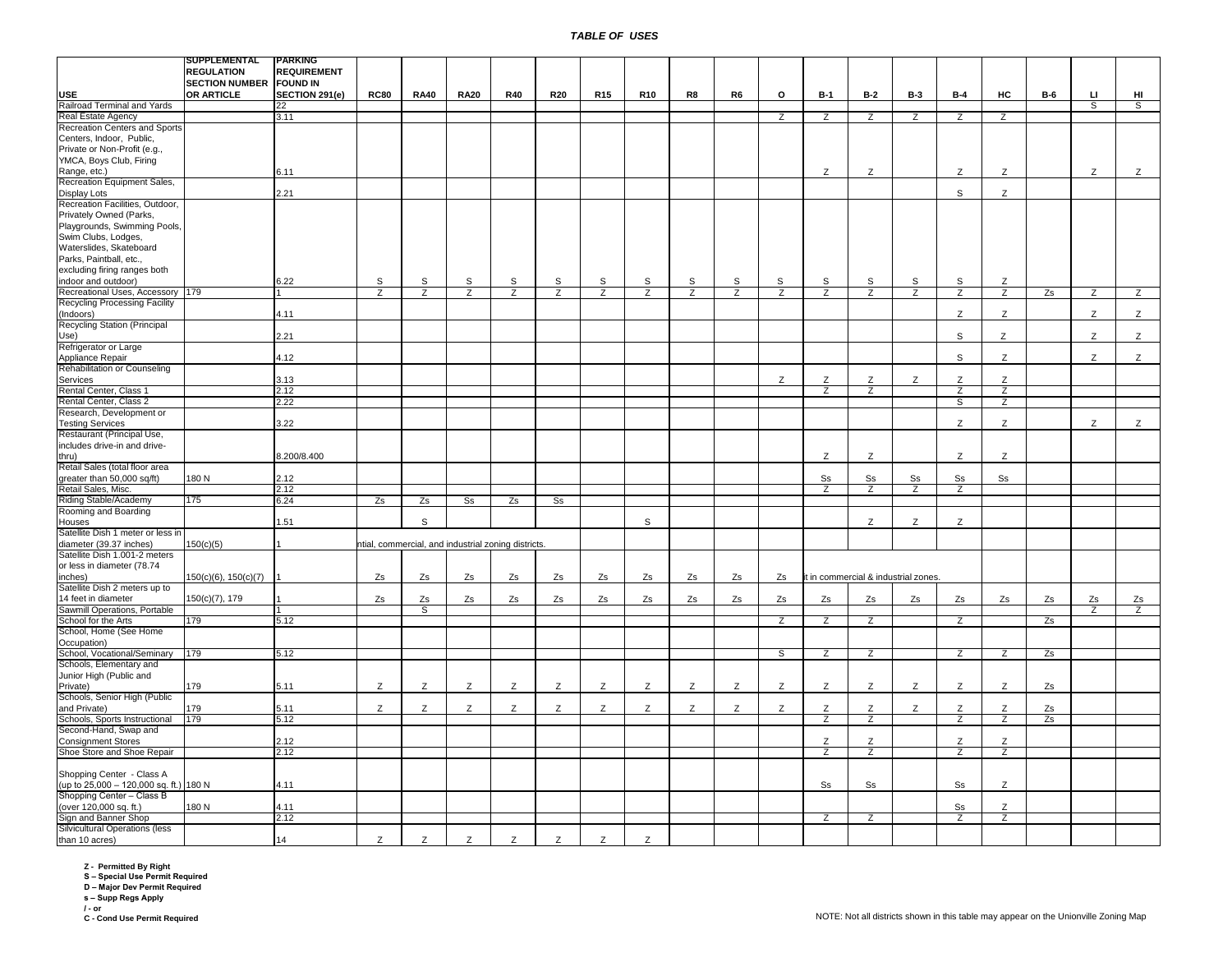|                                        | SUPPLEMENTAL                   | <b>PARKING</b>     |                |                |                                                     |                |                |                |                |                |    |                |                        |                                      |                |                |                |            |                |    |
|----------------------------------------|--------------------------------|--------------------|----------------|----------------|-----------------------------------------------------|----------------|----------------|----------------|----------------|----------------|----|----------------|------------------------|--------------------------------------|----------------|----------------|----------------|------------|----------------|----|
|                                        | <b>REGULATION</b>              | <b>REQUIREMENT</b> |                |                |                                                     |                |                |                |                |                |    |                |                        |                                      |                |                |                |            |                |    |
|                                        | <b>SECTION NUMBER FOUND IN</b> |                    |                |                |                                                     |                |                |                |                |                |    |                |                        |                                      |                |                |                |            |                |    |
|                                        |                                |                    |                |                |                                                     |                |                |                |                |                |    |                |                        |                                      |                |                |                |            |                |    |
| <b>USE</b>                             | OR ARTICLE                     | SECTION 291(e)     | <b>RC80</b>    | <b>RA40</b>    | <b>RA20</b>                                         | <b>R40</b>     | <b>R20</b>     | <b>R15</b>     | <b>R10</b>     | R8             | R6 | o              | $B-1$                  | <b>B-2</b>                           | <b>B-3</b>     | <b>B-4</b>     | HC             | <b>B-6</b> | ш              | HI |
| Railroad Terminal and Yards            |                                | 22                 |                |                |                                                     |                |                |                |                |                |    |                |                        |                                      |                |                |                |            | s,             | ड  |
| Real Estate Agency                     |                                | 3.11               |                |                |                                                     |                |                |                |                |                |    | Z              | Z                      | Z                                    | Z              | Z              | Z              |            |                |    |
| Recreation Centers and Sports          |                                |                    |                |                |                                                     |                |                |                |                |                |    |                |                        |                                      |                |                |                |            |                |    |
| Centers, Indoor, Public,               |                                |                    |                |                |                                                     |                |                |                |                |                |    |                |                        |                                      |                |                |                |            |                |    |
|                                        |                                |                    |                |                |                                                     |                |                |                |                |                |    |                |                        |                                      |                |                |                |            |                |    |
| Private or Non-Profit (e.g.,           |                                |                    |                |                |                                                     |                |                |                |                |                |    |                |                        |                                      |                |                |                |            |                |    |
| YMCA, Boys Club, Firing                |                                |                    |                |                |                                                     |                |                |                |                |                |    |                |                        |                                      |                |                |                |            |                |    |
| Range, etc.)                           |                                | 6.11               |                |                |                                                     |                |                |                |                |                |    |                | Z                      | Ζ                                    |                | Ζ              | Z              |            | Z              | Z  |
| Recreation Equipment Sales,            |                                |                    |                |                |                                                     |                |                |                |                |                |    |                |                        |                                      |                |                |                |            |                |    |
| Display Lots                           |                                | 2.21               |                |                |                                                     |                |                |                |                |                |    |                |                        |                                      |                | $\mathsf{s}$   | Z              |            |                |    |
| Recreation Facilities, Outdoor,        |                                |                    |                |                |                                                     |                |                |                |                |                |    |                |                        |                                      |                |                |                |            |                |    |
|                                        |                                |                    |                |                |                                                     |                |                |                |                |                |    |                |                        |                                      |                |                |                |            |                |    |
| Privately Owned (Parks,                |                                |                    |                |                |                                                     |                |                |                |                |                |    |                |                        |                                      |                |                |                |            |                |    |
| Playgrounds, Swimming Pools,           |                                |                    |                |                |                                                     |                |                |                |                |                |    |                |                        |                                      |                |                |                |            |                |    |
| Swim Clubs, Lodges,                    |                                |                    |                |                |                                                     |                |                |                |                |                |    |                |                        |                                      |                |                |                |            |                |    |
| Waterslides, Skateboard                |                                |                    |                |                |                                                     |                |                |                |                |                |    |                |                        |                                      |                |                |                |            |                |    |
| Parks, Paintball, etc.,                |                                |                    |                |                |                                                     |                |                |                |                |                |    |                |                        |                                      |                |                |                |            |                |    |
|                                        |                                |                    |                |                |                                                     |                |                |                |                |                |    |                |                        |                                      |                |                |                |            |                |    |
| excluding firing ranges both           |                                |                    |                |                |                                                     |                |                |                |                |                |    |                |                        |                                      |                |                |                |            |                |    |
| indoor and outdoor)                    |                                | 6.22               | S              | S              | s                                                   | S              | s              | S              | S              | S              | S  | S              | S                      | $\mathbb S$                          | S              | S              | Ζ              |            |                |    |
| Recreational Uses, Accessory 179       |                                |                    | $\overline{z}$ | $\overline{z}$ | $\overline{z}$                                      | $\overline{z}$ | $\overline{z}$ | $\overline{z}$ | $\overline{z}$ | $\overline{z}$ | Z  | $\overline{z}$ | $\overline{z}$         | $\overline{z}$                       | $\overline{z}$ | $\overline{z}$ | $\mathsf{Z}$   | Zs         | Z              | Z  |
| <b>Recycling Processing Facility</b>   |                                |                    |                |                |                                                     |                |                |                |                |                |    |                |                        |                                      |                |                |                |            |                |    |
| (Indoors)                              |                                | 4.11               |                |                |                                                     |                |                |                |                |                |    |                |                        |                                      |                | Ζ              | Z              |            | Z              | Z  |
| Recycling Station (Principal           |                                |                    |                |                |                                                     |                |                |                |                |                |    |                |                        |                                      |                |                |                |            |                |    |
|                                        |                                |                    |                |                |                                                     |                |                |                |                |                |    |                |                        |                                      |                |                |                |            |                |    |
| Use)                                   |                                | 2.21               |                |                |                                                     |                |                |                |                |                |    |                |                        |                                      |                | s              | Z              |            | Z              | Z  |
| Refrigerator or Large                  |                                |                    |                |                |                                                     |                |                |                |                |                |    |                |                        |                                      |                |                |                |            |                |    |
| Appliance Repair                       |                                | 4.12               |                |                |                                                     |                |                |                |                |                |    |                |                        |                                      |                | S              | Z              |            | Z              | Z  |
| Rehabilitation or Counseling           |                                |                    |                |                |                                                     |                |                |                |                |                |    |                |                        |                                      |                |                |                |            |                |    |
| Services                               |                                | 3.13               |                |                |                                                     |                |                |                |                |                |    | Z              | Z                      | Z                                    | Z              | Z              | z              |            |                |    |
|                                        |                                |                    |                |                |                                                     |                |                |                |                |                |    |                |                        |                                      |                |                |                |            |                |    |
| Rental Center, Class 1                 |                                | 2.12               |                |                |                                                     |                |                |                |                |                |    |                | $\overline{z}$         | $\overline{z}$                       |                | $\overline{z}$ | $\overline{z}$ |            |                |    |
| Rental Center, Class 2                 |                                | 2.22               |                |                |                                                     |                |                |                |                |                |    |                |                        |                                      |                | S              | $\overline{z}$ |            |                |    |
| Research, Development or               |                                |                    |                |                |                                                     |                |                |                |                |                |    |                |                        |                                      |                |                |                |            |                |    |
| <b>Testing Services</b>                |                                | 3.22               |                |                |                                                     |                |                |                |                |                |    |                |                        |                                      |                | Z              | Z              |            | Z              | Z  |
| Restaurant (Principal Use,             |                                |                    |                |                |                                                     |                |                |                |                |                |    |                |                        |                                      |                |                |                |            |                |    |
| includes drive-in and drive-           |                                |                    |                |                |                                                     |                |                |                |                |                |    |                |                        |                                      |                |                |                |            |                |    |
|                                        |                                |                    |                |                |                                                     |                |                |                |                |                |    |                |                        |                                      |                |                |                |            |                |    |
| thru)                                  |                                | 8.200/8.400        |                |                |                                                     |                |                |                |                |                |    |                | Z                      | Z                                    |                | Z              | Z              |            |                |    |
| Retail Sales (total floor area         |                                |                    |                |                |                                                     |                |                |                |                |                |    |                |                        |                                      |                |                |                |            |                |    |
| greater than 50,000 sq/ft)             | 180N                           | 2.12               |                |                |                                                     |                |                |                |                |                |    |                | S <sub>S</sub>         | S <sub>S</sub>                       | S <sub>S</sub> | S <sub>S</sub> | Ss             |            |                |    |
| Retail Sales, Misc.                    |                                | 2.12               |                |                |                                                     |                |                |                |                |                |    |                | z                      | Z                                    | Z              | Z              |                |            |                |    |
| Riding Stable/Academy                  | 175                            | 6.24               | Zs             | Zs             | S <sub>S</sub>                                      | Zs             | s <sub>s</sub> |                |                |                |    |                |                        |                                      |                |                |                |            |                |    |
|                                        |                                |                    |                |                |                                                     |                |                |                |                |                |    |                |                        |                                      |                |                |                |            |                |    |
| Rooming and Boarding                   |                                |                    |                |                |                                                     |                |                |                |                |                |    |                |                        |                                      |                |                |                |            |                |    |
| Houses                                 |                                | 1.51               |                | s              |                                                     |                |                |                | S              |                |    |                |                        | Z                                    | Z              | Z              |                |            |                |    |
| Satellite Dish 1 meter or less in      |                                |                    |                |                |                                                     |                |                |                |                |                |    |                |                        |                                      |                |                |                |            |                |    |
| diameter (39.37 inches)                | 150(c)(5)                      |                    |                |                | ntial, commercial, and industrial zoning districts. |                |                |                |                |                |    |                |                        |                                      |                |                |                |            |                |    |
| Satellite Dish 1.001-2 meters          |                                |                    |                |                |                                                     |                |                |                |                |                |    |                |                        |                                      |                |                |                |            |                |    |
|                                        |                                |                    |                |                |                                                     |                |                |                |                |                |    |                |                        |                                      |                |                |                |            |                |    |
| or less in diameter (78.74             |                                |                    |                |                |                                                     |                |                |                |                |                |    |                |                        |                                      |                |                |                |            |                |    |
| inches)                                | $150(c)(6)$ , $150(c)(7)$      |                    | Zs             | Zs             | Zs                                                  | Zs             | Zs             | Zs             | Zs             | Zs             | Zs | Zs             |                        | it in commercial & industrial zones. |                |                |                |            |                |    |
| Satellite Dish 2 meters up to          |                                |                    |                |                |                                                     |                |                |                |                |                |    |                |                        |                                      |                |                |                |            |                |    |
| 14 feet in diameter                    | 150(c)(7), 179                 |                    | Zs             | Zs             | Zs                                                  | Zs             | Zs             | Zs             | Zs             | Zs             | Zs | Zs             | Zs                     | Zs                                   | Zs             | Zs             | Zs             | Zs         | Zs             | Zs |
| Sawmill Operations, Portable           |                                |                    |                | S              |                                                     |                |                |                |                |                |    |                |                        |                                      |                |                |                |            | $\overline{z}$ | Z  |
| School for the Arts                    | 179                            | 5.12               |                |                |                                                     |                |                |                |                |                |    | $\overline{z}$ | $\overline{z}$         | $\overline{z}$                       |                | $\overline{z}$ |                | Zs         |                |    |
|                                        |                                |                    |                |                |                                                     |                |                |                |                |                |    |                |                        |                                      |                |                |                |            |                |    |
| School, Home (See Home                 |                                |                    |                |                |                                                     |                |                |                |                |                |    |                |                        |                                      |                |                |                |            |                |    |
| Occupation)                            |                                |                    |                |                |                                                     |                |                |                |                |                |    |                |                        |                                      |                |                |                |            |                |    |
| School, Vocational/Seminary            | 179                            | 5.12               |                |                |                                                     |                |                |                |                |                |    | s              | Z                      | $\overline{z}$                       |                | $\mathsf{Z}$   | Z              | Zs         |                |    |
| Schools, Elementary and                |                                |                    |                |                |                                                     |                |                |                |                |                |    |                |                        |                                      |                |                |                |            |                |    |
| Junior High (Public and                |                                |                    |                |                |                                                     |                |                |                |                |                |    |                |                        |                                      |                |                |                |            |                |    |
|                                        | 179                            | 5.11               | Z              | Z              | Z                                                   | Z              | Z              | Z              | Z              | Z              | Z  | Z              | Z                      | Z                                    | Z              | Z              | Z              |            |                |    |
| Private)                               |                                |                    |                |                |                                                     |                |                |                |                |                |    |                |                        |                                      |                |                |                | Zs         |                |    |
| Schools, Senior High (Public           |                                |                    |                |                |                                                     |                |                |                |                |                |    |                |                        |                                      |                |                |                |            |                |    |
| and Private)                           | 179                            | 5.11               | Z              | Z              | Z                                                   | Z              | Z              | Z              | Z              | Z              | Z  | Z              | $\mathsf Z$            | Z                                    | Z              | Z              | $\mathsf Z$    | Zs         |                |    |
| Schools, Sports Instructional          | 179                            | 5.12               |                |                |                                                     |                |                |                |                |                |    |                | $\overline{z}$         | $\overline{z}$                       |                | $\overline{z}$ | $\overline{z}$ | Zs         |                |    |
| Second-Hand, Swap and                  |                                |                    |                |                |                                                     |                |                |                |                |                |    |                |                        |                                      |                |                |                |            |                |    |
| <b>Consignment Stores</b>              |                                | 2.12               |                |                |                                                     |                |                |                |                |                |    |                | Z                      | Z                                    |                | Z              | Z              |            |                |    |
|                                        |                                |                    |                |                |                                                     |                |                |                |                |                |    |                |                        |                                      |                |                |                |            |                |    |
| Shoe Store and Shoe Repair             |                                | 2.12               |                |                |                                                     |                |                |                |                |                |    |                | Ζ                      | z                                    |                | z              | Z              |            |                |    |
|                                        |                                |                    |                |                |                                                     |                |                |                |                |                |    |                |                        |                                      |                |                |                |            |                |    |
| Shopping Center - Class A              |                                |                    |                |                |                                                     |                |                |                |                |                |    |                |                        |                                      |                |                |                |            |                |    |
| (up to 25,000 - 120,000 sq. ft.) 180 N |                                | 4.11               |                |                |                                                     |                |                |                |                |                |    |                | $\texttt{S}\texttt{s}$ | S <sub>S</sub>                       |                | $\rm{Ss}$      | Z              |            |                |    |
| Shopping Center - Class B              |                                |                    |                |                |                                                     |                |                |                |                |                |    |                |                        |                                      |                |                |                |            |                |    |
|                                        | 180N                           |                    |                |                |                                                     |                |                |                |                |                |    |                |                        |                                      |                |                |                |            |                |    |
| (over 120,000 sq. ft.)                 |                                | 4.11               |                |                |                                                     |                |                |                |                |                |    |                |                        |                                      |                | Ss             | Z              |            |                |    |
| Sign and Banner Shop                   |                                | 2.12               |                |                |                                                     |                |                |                |                |                |    |                | Z                      | $\overline{z}$                       |                | Z              | $\overline{z}$ |            |                |    |
| Silvicultural Operations (less         |                                |                    |                |                |                                                     |                |                |                |                |                |    |                |                        |                                      |                |                |                |            |                |    |
| than 10 acres)                         |                                | 14                 | Z              | Z              | Z                                                   | Z              | Z              | Z              | Z              |                |    |                |                        |                                      |                |                |                |            |                |    |

**Z - Permitted By Right S – Special Use Permit Required D – Major Dev Permit Required s – Supp Regs Apply**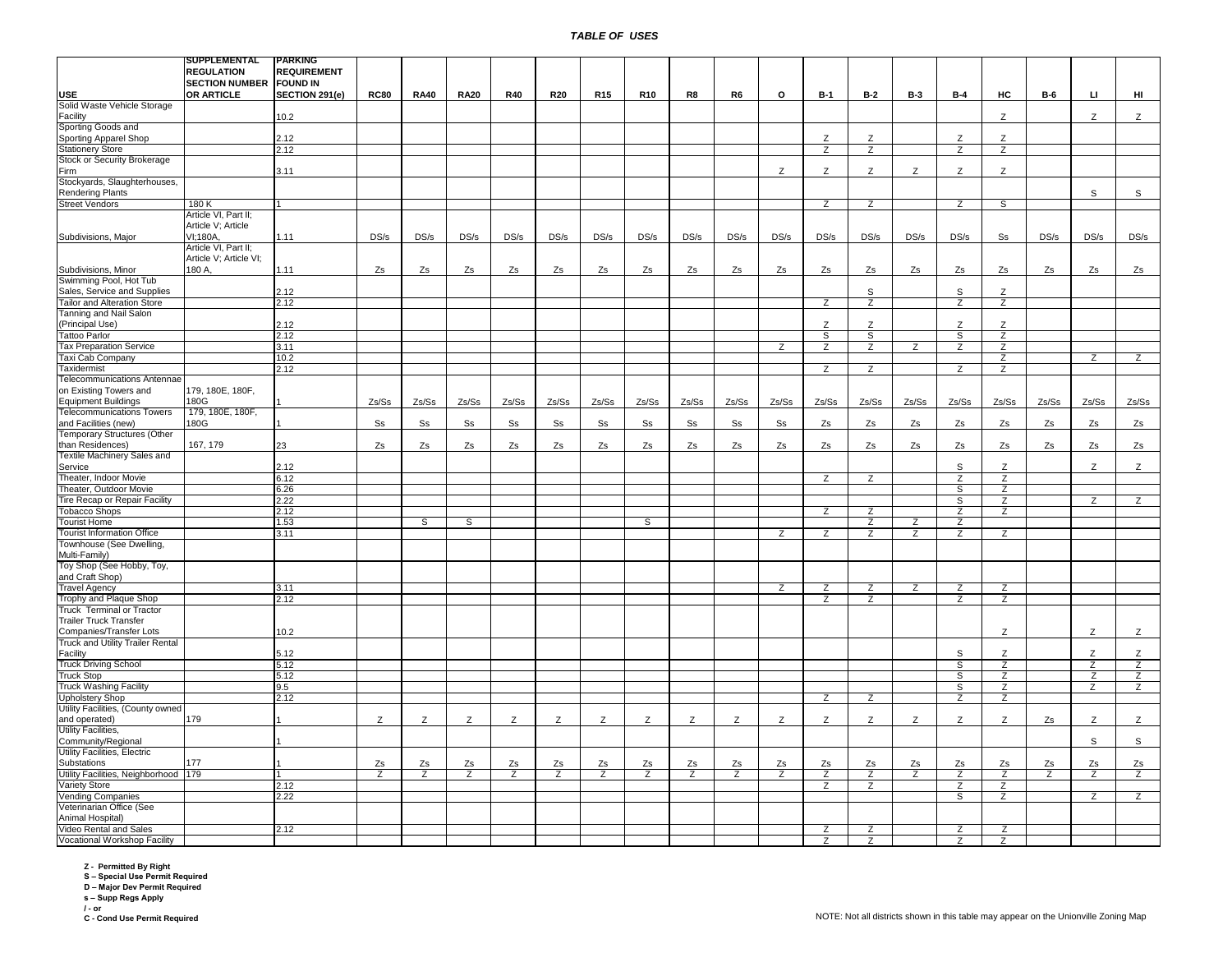|                                             | SUPPLEMENTAL                   | PARKING            |                |                |                |                |                |                 |                 |                |                |                |                |                |                |                |                |       |                |                |
|---------------------------------------------|--------------------------------|--------------------|----------------|----------------|----------------|----------------|----------------|-----------------|-----------------|----------------|----------------|----------------|----------------|----------------|----------------|----------------|----------------|-------|----------------|----------------|
|                                             | <b>REGULATION</b>              | <b>REQUIREMENT</b> |                |                |                |                |                |                 |                 |                |                |                |                |                |                |                |                |       |                |                |
|                                             | <b>SECTION NUMBER FOUND IN</b> |                    |                |                |                |                |                |                 |                 |                |                |                |                |                |                |                |                |       |                |                |
| <b>USE</b>                                  | <b>OR ARTICLE</b>              | SECTION 291(e)     | <b>RC80</b>    | <b>RA40</b>    | <b>RA20</b>    | <b>R40</b>     | <b>R20</b>     | R <sub>15</sub> | R <sub>10</sub> | R8             | R <sub>6</sub> | o              | $B-1$          | B-2            | <b>B-3</b>     | $B-4$          | HC             | $B-6$ | $\sqcup$       | HI             |
| Solid Waste Vehicle Storage                 |                                |                    |                |                |                |                |                |                 |                 |                |                |                |                |                |                |                |                |       |                |                |
| Facility                                    |                                | 10.2               |                |                |                |                |                |                 |                 |                |                |                |                |                |                |                | Z              |       | Z              | Z              |
| Sporting Goods and<br>Sporting Apparel Shop |                                | 2.12               |                |                |                |                |                |                 |                 |                |                |                | Z              | Z              |                | Z              | Z              |       |                |                |
| <b>Stationery Store</b>                     |                                | 2.12               |                |                |                |                |                |                 |                 |                |                |                | Z              | Z              |                | Z              | Ζ              |       |                |                |
| Stock or Security Brokerage                 |                                |                    |                |                |                |                |                |                 |                 |                |                |                |                |                |                |                |                |       |                |                |
|                                             |                                |                    |                |                |                |                |                |                 |                 |                |                |                |                |                |                |                |                |       |                |                |
| Firm                                        |                                | 3.11               |                |                |                |                |                |                 |                 |                |                | Z              | Z              | Z              | Z              | Z              | Z              |       |                |                |
| Stockyards, Slaughterhouses,                |                                |                    |                |                |                |                |                |                 |                 |                |                |                |                |                |                |                |                |       |                |                |
| <b>Rendering Plants</b>                     |                                |                    |                |                |                |                |                |                 |                 |                |                |                |                |                |                |                |                |       | $\mathbb S$    | $\mathbb S$    |
| <b>Street Vendors</b>                       | 180K                           |                    |                |                |                |                |                |                 |                 |                |                |                | z              | z              |                | z              | S              |       |                |                |
|                                             | Article VI, Part II;           |                    |                |                |                |                |                |                 |                 |                |                |                |                |                |                |                |                |       |                |                |
|                                             | Article V; Article             |                    |                |                |                |                |                |                 |                 |                |                |                |                |                |                |                |                |       |                |                |
| Subdivisions, Major                         | VI:180A.                       | 1.11               | DS/s           | DS/s           | DS/s           | DS/s           | DS/s           | DS/s            | DS/s            | DS/s           | DS/s           | DS/s           | DS/s           | DS/s           | DS/s           | DS/s           | Ss             | DS/s  | DS/s           | DS/s           |
|                                             | Article VI, Part II;           |                    |                |                |                |                |                |                 |                 |                |                |                |                |                |                |                |                |       |                |                |
|                                             | Article V; Article VI;         |                    |                |                |                |                |                |                 |                 |                |                |                |                |                |                |                |                |       |                |                |
| Subdivisions, Minor                         | 180 A,                         | 1.11               | Zs             | Zs             | Zs             | Zs             | Zs             | Zs              | Zs              | Zs             | Zs             | Zs             | Zs             | Zs             | Zs             | Zs             | Zs             | Zs    | Zs             | Zs             |
| Swimming Pool, Hot Tub                      |                                |                    |                |                |                |                |                |                 |                 |                |                |                |                |                |                |                |                |       |                |                |
| Sales, Service and Supplies                 |                                | 2.12               |                |                |                |                |                |                 |                 |                |                |                |                | S              |                | S              | Z              |       |                |                |
| Tailor and Alteration Store                 |                                | 2.12               |                |                |                |                |                |                 |                 |                |                |                | $\overline{z}$ | $\overline{z}$ |                | $\overline{z}$ | $\overline{z}$ |       |                |                |
| Tanning and Nail Salon                      |                                |                    |                |                |                |                |                |                 |                 |                |                |                |                |                |                |                |                |       |                |                |
| (Principal Use)                             |                                | 2.12               |                |                |                |                |                |                 |                 |                |                |                | Z              | Z              |                | Z              | Ζ              |       |                |                |
| <b>Tattoo Parlor</b>                        |                                | 2.12               |                |                |                |                |                |                 |                 |                |                |                | S              | S              |                | S              | Z              |       |                |                |
| <b>Tax Preparation Service</b>              |                                | 3.11               |                |                |                |                |                |                 |                 |                |                | z              | Z              | $\overline{z}$ | Z              | Z              | Ζ              |       |                |                |
| Taxi Cab Company                            |                                | 10.2               |                |                |                |                |                |                 |                 |                |                |                |                |                |                |                | z              |       | z              | $\overline{z}$ |
| Taxidermist                                 |                                | 2.12               |                |                |                |                |                |                 |                 |                |                |                | Z              | Z              |                | Z              | $\overline{z}$ |       |                |                |
|                                             |                                |                    |                |                |                |                |                |                 |                 |                |                |                |                |                |                |                |                |       |                |                |
| Telecommunications Antennae                 |                                |                    |                |                |                |                |                |                 |                 |                |                |                |                |                |                |                |                |       |                |                |
| on Existing Towers and                      | 179, 180E, 180F,               |                    |                |                |                |                |                |                 |                 |                |                |                |                |                |                |                |                |       |                |                |
| <b>Equipment Buildings</b>                  | 180G                           |                    | Zs/Ss          | Zs/Ss          | Zs/Ss          | Zs/Ss          | Zs/Ss          | Zs/Ss           | Zs/Ss           | Zs/Ss          | Zs/Ss          | Zs/Ss          | Zs/Ss          | Zs/Ss          | Zs/Ss          | Zs/Ss          | Zs/Ss          | Zs/Ss | Zs/Ss          | Zs/Ss          |
| <b>Telecommunications Towers</b>            | 179, 180E, 180F,               |                    |                |                |                |                |                |                 |                 |                |                |                |                |                |                |                |                |       |                |                |
| and Facilities (new)                        | 180G                           |                    | S <sub>S</sub> | S <sub>S</sub> | S <sub>S</sub> | S <sub>S</sub> | S <sub>S</sub> | S <sub>S</sub>  | S <sub>S</sub>  | S <sub>S</sub> | S <sub>S</sub> | Ss             | Zs             | Zs             | Zs             | Zs             | Zs             | Zs    | Zs             | Zs             |
| <b>Temporary Structures (Other</b>          |                                |                    |                |                |                |                |                |                 |                 |                |                |                |                |                |                |                |                |       |                |                |
| than Residences)                            | 167, 179                       | 23                 | Zs             | Zs             | Zs             | Zs             | Zs             | Zs              | Zs              | Zs             | Zs             | Zs             | Zs             | Zs             | Zs             | Zs             | Zs             | Zs    | Zs             | Zs             |
| Textile Machinery Sales and                 |                                |                    |                |                |                |                |                |                 |                 |                |                |                |                |                |                |                |                |       |                |                |
| Service                                     |                                | 2.12               |                |                |                |                |                |                 |                 |                |                |                |                |                |                | S              | Z              |       | Z              | Z              |
| Theater, Indoor Movie                       |                                | 6.12               |                |                |                |                |                |                 |                 |                |                |                | z              | Z              |                | Z              | $\overline{z}$ |       |                |                |
| Theater, Outdoor Movie                      |                                | 6.26               |                |                |                |                |                |                 |                 |                |                |                |                |                |                | S              | Z              |       |                |                |
| Tire Recap or Repair Facility               |                                | 2.22               |                |                |                |                |                |                 |                 |                |                |                |                |                |                | s              | Z              |       | $\overline{z}$ | Z              |
| <b>Tobacco Shops</b>                        |                                | 2.12               |                |                |                |                |                |                 |                 |                |                |                | $\overline{z}$ | Z              |                | $\overline{z}$ | $\overline{z}$ |       |                |                |
| <b>Tourist Home</b>                         |                                | 1.53               |                | S              | S              |                |                |                 | s               |                |                |                |                | $\overline{z}$ | $\overline{z}$ | $\overline{z}$ |                |       |                |                |
| <b>Tourist Information Office</b>           |                                | 3.11               |                |                |                |                |                |                 |                 |                |                | $\overline{z}$ | $\overline{z}$ | $\overline{z}$ | $\overline{z}$ | $\overline{z}$ | Z              |       |                |                |
| Townhouse (See Dwelling,                    |                                |                    |                |                |                |                |                |                 |                 |                |                |                |                |                |                |                |                |       |                |                |
| Multi-Family)                               |                                |                    |                |                |                |                |                |                 |                 |                |                |                |                |                |                |                |                |       |                |                |
| Toy Shop (See Hobby, Toy,                   |                                |                    |                |                |                |                |                |                 |                 |                |                |                |                |                |                |                |                |       |                |                |
| and Craft Shop)                             |                                |                    |                |                |                |                |                |                 |                 |                |                |                |                |                |                |                |                |       |                |                |
| <b>Travel Agency</b>                        |                                | 3.11               |                |                |                |                |                |                 |                 |                |                | $\overline{z}$ | $\overline{z}$ | $\overline{z}$ | $\overline{z}$ | $\overline{z}$ | $\overline{z}$ |       |                |                |
| Trophy and Plaque Shop                      |                                |                    |                |                |                |                |                |                 |                 |                |                |                | $\overline{z}$ | $\overline{z}$ |                | $\overline{z}$ | $\overline{z}$ |       |                |                |
| <b>Truck Terminal or Tractor</b>            |                                | 2.12               |                |                |                |                |                |                 |                 |                |                |                |                |                |                |                |                |       |                |                |
| <b>Trailer Truck Transfer</b>               |                                |                    |                |                |                |                |                |                 |                 |                |                |                |                |                |                |                |                |       |                |                |
| <b>Companies/Transfer Lots</b>              |                                | 10.2               |                |                |                |                |                |                 |                 |                |                |                |                |                |                |                |                |       | Z              | Z              |
|                                             |                                |                    |                |                |                |                |                |                 |                 |                |                |                |                |                |                |                | Z              |       |                |                |
| Truck and Utility Trailer Rental            |                                |                    |                |                |                |                |                |                 |                 |                |                |                |                |                |                |                |                |       |                |                |
| Facility                                    |                                | 5.12               |                |                |                |                |                |                 |                 |                |                |                |                |                |                | S              | Z              |       | Z              | Z              |
| <b>Truck Driving School</b>                 |                                | 5.12               |                |                |                |                |                |                 |                 |                |                |                |                |                |                | ड              | Z              |       | $\overline{z}$ | Z              |
| <b>Truck Stop</b>                           |                                | 5.12               |                |                |                |                |                |                 |                 |                |                |                |                |                |                | $\overline{s}$ | $\overline{z}$ |       | $\overline{z}$ | $\overline{z}$ |
| <b>Truck Washing Facility</b>               |                                | 9.5                |                |                |                |                |                |                 |                 |                |                |                |                |                |                | S              | Z              |       | $\overline{z}$ | $\overline{z}$ |
| <b>Upholstery Shop</b>                      |                                | 2.12               |                |                |                |                |                |                 |                 |                |                |                | Z              | Z              |                | z              | Z              |       |                |                |
| Utility Facilities, (County owned           |                                |                    |                |                |                |                |                |                 |                 |                |                |                |                |                |                |                |                |       |                |                |
| and operated)                               | 179                            |                    | Z              | Z              | Ζ              | Z              | Ζ              | Z               | Z               | Ζ              | Z              | Z              | Z              | Z              | Z              | Z              | Z              | Zs    | Z              | Z              |
| Utility Facilities,                         |                                |                    |                |                |                |                |                |                 |                 |                |                |                |                |                |                |                |                |       |                |                |
| Community/Regional                          |                                |                    |                |                |                |                |                |                 |                 |                |                |                |                |                |                |                |                |       | $\mathsf S$    | $\mathsf S$    |
| Utility Facilities, Electric                |                                |                    |                |                |                |                |                |                 |                 |                |                |                |                |                |                |                |                |       |                |                |
| Substations                                 | 177                            |                    | Zs             | Zs             | Zs             | Zs             | Zs             | Zs              | Zs              | Zs             | Zs             | Zs             | Zs             | Zs             | Zs             | Zs             | Zs             | Zs    | Zs             | Zs             |
| Utility Facilities, Neighborhood 179        |                                |                    | Z              | Z              | Z              | $\overline{z}$ | Z              | $\overline{z}$  | Z               | Z              | Z              | Z              | Z              | $\overline{z}$ | Z              | Z              | Z              | Z     | Z              | Z              |
| Variety Store                               |                                | 2.12               |                |                |                |                |                |                 |                 |                |                |                | $\overline{z}$ | $\overline{z}$ |                | $\overline{z}$ | $\overline{z}$ |       |                |                |
| Vending Companies                           |                                | 2.22               |                |                |                |                |                |                 |                 |                |                |                |                |                |                | S              | $\overline{z}$ |       | $\overline{z}$ | $\overline{z}$ |
| Veterinarian Office (See                    |                                |                    |                |                |                |                |                |                 |                 |                |                |                |                |                |                |                |                |       |                |                |
| Animal Hospital)                            |                                |                    |                |                |                |                |                |                 |                 |                |                |                |                |                |                |                |                |       |                |                |
| Video Rental and Sales                      |                                | 2.12               |                |                |                |                |                |                 |                 |                |                |                | Ζ              | Ζ              |                | Ζ              | z              |       |                |                |
| Vocational Workshop Facility                |                                |                    |                |                |                |                |                |                 |                 |                |                |                |                |                |                |                |                |       |                |                |
|                                             |                                |                    |                |                |                |                |                |                 |                 |                |                |                | Ζ              | Ζ              |                | Ζ              | Ζ              |       |                |                |

**Z - Permitted By Right S – Special Use Permit Required D – Major Dev Permit Required s – Supp Regs Apply**